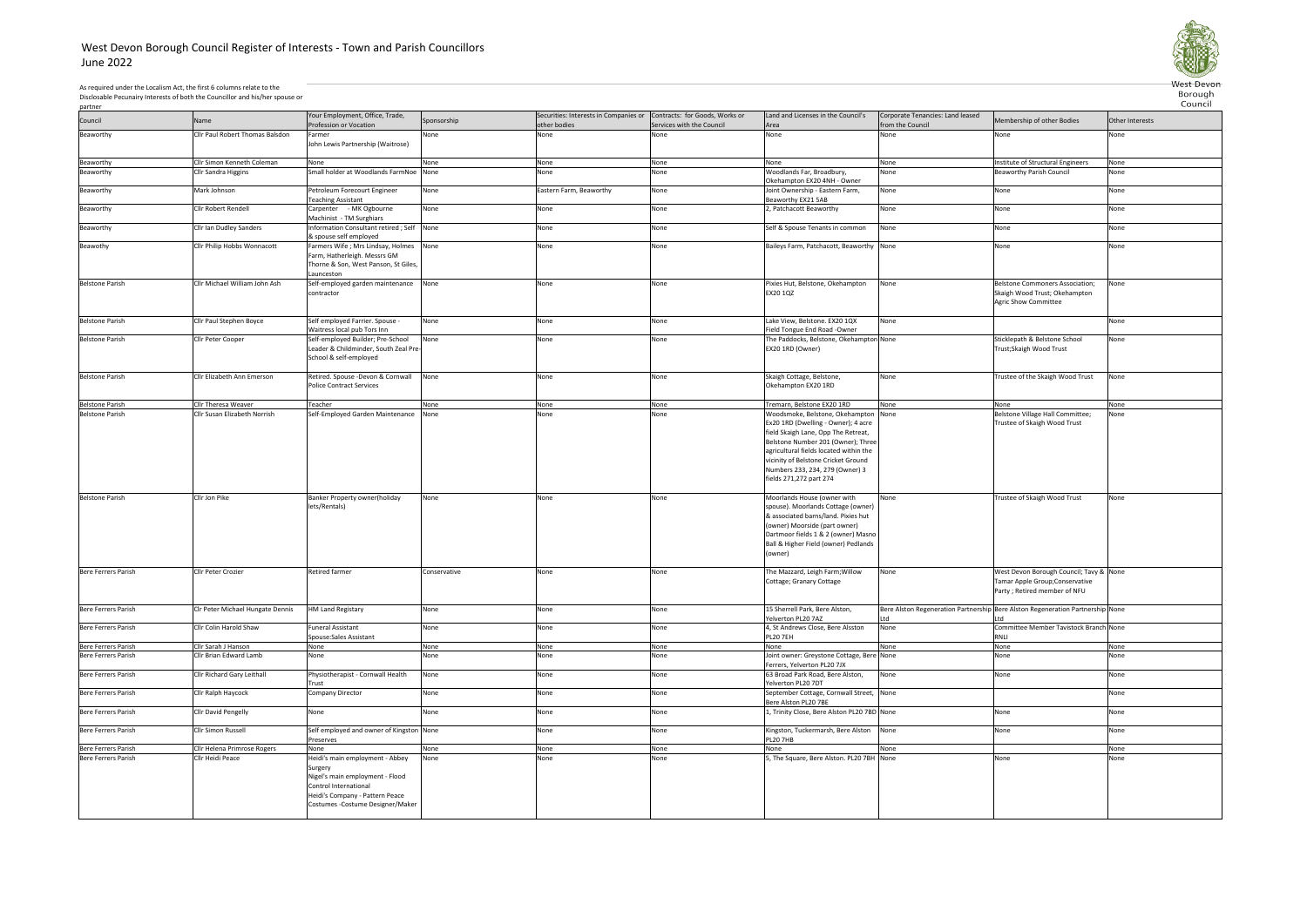## West Devon Borough Council Register of Interests - Town and Parish CouncillorsJune 2022



Council

As required under the Localism Act, the first 6 columns relate to the Disclosable Pecunairy Interests of both the Councillor and his/her spouse or

partner

|                            |                                  | Your Employment, Office, Trade,                                                                                                                                                |              | Securities: Interests in Companies or Contracts: for Goods, Works or |                           | Land and Licenses in the Council's                                                                                                                                                                                                                              | Corporate Tenancies: Land leased |                                                                                                             |                 |
|----------------------------|----------------------------------|--------------------------------------------------------------------------------------------------------------------------------------------------------------------------------|--------------|----------------------------------------------------------------------|---------------------------|-----------------------------------------------------------------------------------------------------------------------------------------------------------------------------------------------------------------------------------------------------------------|----------------------------------|-------------------------------------------------------------------------------------------------------------|-----------------|
| Council                    | Name                             | Profession or Vocation                                                                                                                                                         | Sponsorship  | other bodies                                                         | Services with the Council | Area                                                                                                                                                                                                                                                            | from the Council                 | Membership of other Bodies                                                                                  | Other Interests |
|                            |                                  |                                                                                                                                                                                |              |                                                                      |                           | None                                                                                                                                                                                                                                                            |                                  |                                                                                                             |                 |
| Beaworthy                  | Cllr Paul Robert Thomas Balsdon  | Farmer<br>John Lewis Partnership (Waitrose)                                                                                                                                    | None         | None                                                                 | None                      |                                                                                                                                                                                                                                                                 | None                             | None                                                                                                        | None            |
|                            | Cllr Simon Kenneth Coleman       |                                                                                                                                                                                |              |                                                                      |                           |                                                                                                                                                                                                                                                                 |                                  |                                                                                                             |                 |
| Beaworthy                  |                                  | None                                                                                                                                                                           | None         | None                                                                 | None                      | None                                                                                                                                                                                                                                                            | None                             | Institute of Structural Engineers                                                                           | None            |
| Beaworthy                  | <b>Cllr Sandra Higgins</b>       | Small holder at Woodlands FarmNoe                                                                                                                                              | None         | None                                                                 | None                      | Woodlands Far, Broadbury,<br>Okehampton EX20 4NH - Owner                                                                                                                                                                                                        | None                             | <b>Beaworthy Parish Council</b>                                                                             | None            |
| Beaworthy                  | Mark Johnson                     | Petroleum Forecourt Engineer<br><b>Teaching Assistant</b>                                                                                                                      | None         | Eastern Farm, Beaworthy                                              | None                      | Joint Ownership - Eastern Farm,<br>Beaworthy EX21 5AB                                                                                                                                                                                                           | None                             | None                                                                                                        | None            |
| Beaworthy                  | Cllr Robert Rendell              | Carpenter - MK Ogbourne<br>Machinist - TM Surghiars                                                                                                                            | None         | None                                                                 | None                      | 2, Patchacott Beaworthy                                                                                                                                                                                                                                         | None                             | None                                                                                                        | None            |
| Beaworthy                  | Cllr Ian Dudley Sanders          | Information Consultant retired; Self<br>& spouse self employed                                                                                                                 | None         | None                                                                 | None                      | Self & Spouse Tenants in common                                                                                                                                                                                                                                 | None                             | None                                                                                                        | None            |
| Beawothy                   | Cllr Philip Hobbs Wonnacott      | Farmers Wife ; Mrs Lindsay, Holmes None<br>Farm, Hatherleigh. Messrs GM<br>Thorne & Son, West Panson, St Giles,<br>Launceston                                                  |              | None                                                                 | None                      | Baileys Farm, Patchacott, Beaworthy None                                                                                                                                                                                                                        |                                  | None                                                                                                        | None            |
| <b>Belstone Parish</b>     | Cllr Michael William John Ash    | Self-employed garden maintenance<br>contractor                                                                                                                                 | None         | None                                                                 | None                      | Pixies Hut, Belstone, Okehampton<br>EX20 1QZ                                                                                                                                                                                                                    | None                             | Belstone Commoners Association;<br>Skaigh Wood Trust; Okehampton<br><b>Agric Show Committee</b>             | None            |
| <b>Belstone Parish</b>     | Cllr Paul Stephen Boyce          | Self employed Farrier. Spouse -<br>Waitress local pub Tors Inn                                                                                                                 | None         | None                                                                 | None                      | Lake View, Belstone. EX20 1QX<br>Field Tongue End Road -Owner                                                                                                                                                                                                   | None                             |                                                                                                             | None            |
| <b>Belstone Parish</b>     | Cllr Peter Cooper                | Self-employed Builder; Pre-School                                                                                                                                              | None         | None                                                                 | None                      | The Paddocks, Belstone, Okehampton None                                                                                                                                                                                                                         |                                  | Sticklepath & Belstone School                                                                               | None            |
|                            |                                  | Leader & Childminder, South Zeal Pre-<br>School & self-employed                                                                                                                |              |                                                                      |                           | EX20 1RD (Owner)                                                                                                                                                                                                                                                |                                  | Trust;Skaigh Wood Trust                                                                                     |                 |
| <b>Belstone Parish</b>     | Cllr Elizabeth Ann Emerson       | Retired. Spouse -Devon & Cornwall                                                                                                                                              | None         | None                                                                 | None                      | Skaigh Cottage, Belstone,                                                                                                                                                                                                                                       | None                             | Trustee of the Skaigh Wood Trust                                                                            | None            |
|                            |                                  | Police Contract Services                                                                                                                                                       |              |                                                                      |                           | Okehampton EX20 1RD                                                                                                                                                                                                                                             |                                  |                                                                                                             |                 |
| <b>Belstone Parish</b>     | Cllr Theresa Weaver              | Teacher                                                                                                                                                                        | None         | None                                                                 | None                      | Tremarn, Belstone EX20 1RD                                                                                                                                                                                                                                      | None                             | None                                                                                                        | None            |
| <b>Belstone Parish</b>     | Cllr Susan Elizabeth Norrish     | Self-Employed Garden Maintenance                                                                                                                                               | None         | None                                                                 | None                      | Woodsmoke, Belstone, Okehampton None                                                                                                                                                                                                                            |                                  | Belstone Village Hall Committee;                                                                            | None            |
|                            |                                  |                                                                                                                                                                                |              |                                                                      |                           | Ex20 1RD (Dwelling - Owner); 4 acre<br>field Skaigh Lane, Opp The Retreat,<br>Belstone Number 201 (Owner); Three<br>agricultural fields located within the<br>vicinity of Belstone Cricket Ground<br>Numbers 233, 234, 279 (Owner) 3<br>fields 271,272 part 274 |                                  | Trustee of Skaigh Wood Trust                                                                                |                 |
| <b>Belstone Parish</b>     | Cllr Jon Pike                    | Banker Property owner(holiday<br>lets/Rentals)                                                                                                                                 | None         | None                                                                 | None                      | Moorlands House (owner with<br>spouse). Moorlands Cottage (owner)<br>& associated barns/land. Pixies hut<br>(owner) Moorside (part owner)<br>Dartmoor fields 1 & 2 (owner) Masno<br>Ball & Higher Field (owner) Pedlands<br>(owner)                             | None                             | Trustee of Skaigh Wood Trust                                                                                | None            |
| Bere Ferrers Parish        | Cllr Peter Crozier               | Retired farmer                                                                                                                                                                 | Conservative | None                                                                 | None                      | The Mazzard, Leigh Farm; Willow<br>Cottage; Granary Cottage                                                                                                                                                                                                     | None                             | West Devon Borough Council; Tavy & None<br>Tamar Apple Group; Conservative<br>Party ; Retired member of NFU |                 |
| Bere Ferrers Parish        | CIr Peter Michael Hungate Dennis | <b>HM Land Registary</b>                                                                                                                                                       | None         | None                                                                 | None                      | 15 Sherrell Park, Bere Alston,<br>elverton PL20 7AZ                                                                                                                                                                                                             | ht I                             | Bere Alston Regeneration Partnership Bere Alston Regeneration Partnership None<br>Ltd                       |                 |
| Bere Ferrers Parish        | Cllr Colin Harold Shaw           | <b>Funeral Assistant</b><br>Spouse:Sales Assistant                                                                                                                             | None         | None                                                                 | None                      | 4, St Andrews Close, Bere Alsston<br><b>PL20 7EH</b>                                                                                                                                                                                                            | None                             | Committee Member Tavistock Branch None<br>RNLI                                                              |                 |
| Bere Ferrers Parish        | Cllr Sarah J Hanson              | None                                                                                                                                                                           | None         | None                                                                 | None                      | None                                                                                                                                                                                                                                                            | None                             | None                                                                                                        | None            |
| Bere Ferrers Parish        | Cllr Brian Edward Lamb           | None                                                                                                                                                                           | None         | None                                                                 | None                      | Joint owner: Greystone Cottage, Bere None<br>Ferrers, Yelverton PL20 7JX                                                                                                                                                                                        |                                  | None                                                                                                        | None            |
| Bere Ferrers Parish        | Cllr Richard Gary Leithall       | Physiotherapist - Cornwall Health                                                                                                                                              | None         | None                                                                 | None                      | 63 Broad Park Road, Bere Alston,                                                                                                                                                                                                                                | None                             | None                                                                                                        | None            |
| Bere Ferrers Parish        | Cllr Ralph Haycock               | Trust<br>Company Director                                                                                                                                                      | None         | None                                                                 | None                      | Yelverton PL20 7DT<br>September Cottage, Cornwall Street, None                                                                                                                                                                                                  |                                  |                                                                                                             | None            |
| Bere Ferrers Parish        | Cllr David Pengelly              | None                                                                                                                                                                           | None         | None                                                                 | None                      | Bere Alston PL20 7BE<br>1, Trinity Close, Bere Alston PL20 7BD None                                                                                                                                                                                             |                                  | None                                                                                                        | None            |
| Bere Ferrers Parish        | Cllr Simon Russell               | Self employed and owner of Kingston None                                                                                                                                       |              | None                                                                 | None                      | Kingston, Tuckermarsh, Bere Alston                                                                                                                                                                                                                              | None                             | None                                                                                                        | None            |
|                            |                                  | Preserves                                                                                                                                                                      |              |                                                                      |                           | <b>PL20 7HB</b>                                                                                                                                                                                                                                                 |                                  |                                                                                                             |                 |
| Bere Ferrers Parish        | Cllr Helena Primrose Rogers      | None                                                                                                                                                                           | None         | None                                                                 | None                      | None                                                                                                                                                                                                                                                            | None                             |                                                                                                             | None            |
| <b>Bere Ferrers Parish</b> | Cllr Heidi Peace                 | Heidi's main employment - Abbey<br>Surgery<br>Nigel's main employment - Flood<br>Control International<br>Heidi's Company - Pattern Peace<br>Costumes - Costume Designer/Maker | None         | None                                                                 | None                      | 5, The Square, Bere Alston. PL20 7BH None                                                                                                                                                                                                                       |                                  | None                                                                                                        | None            |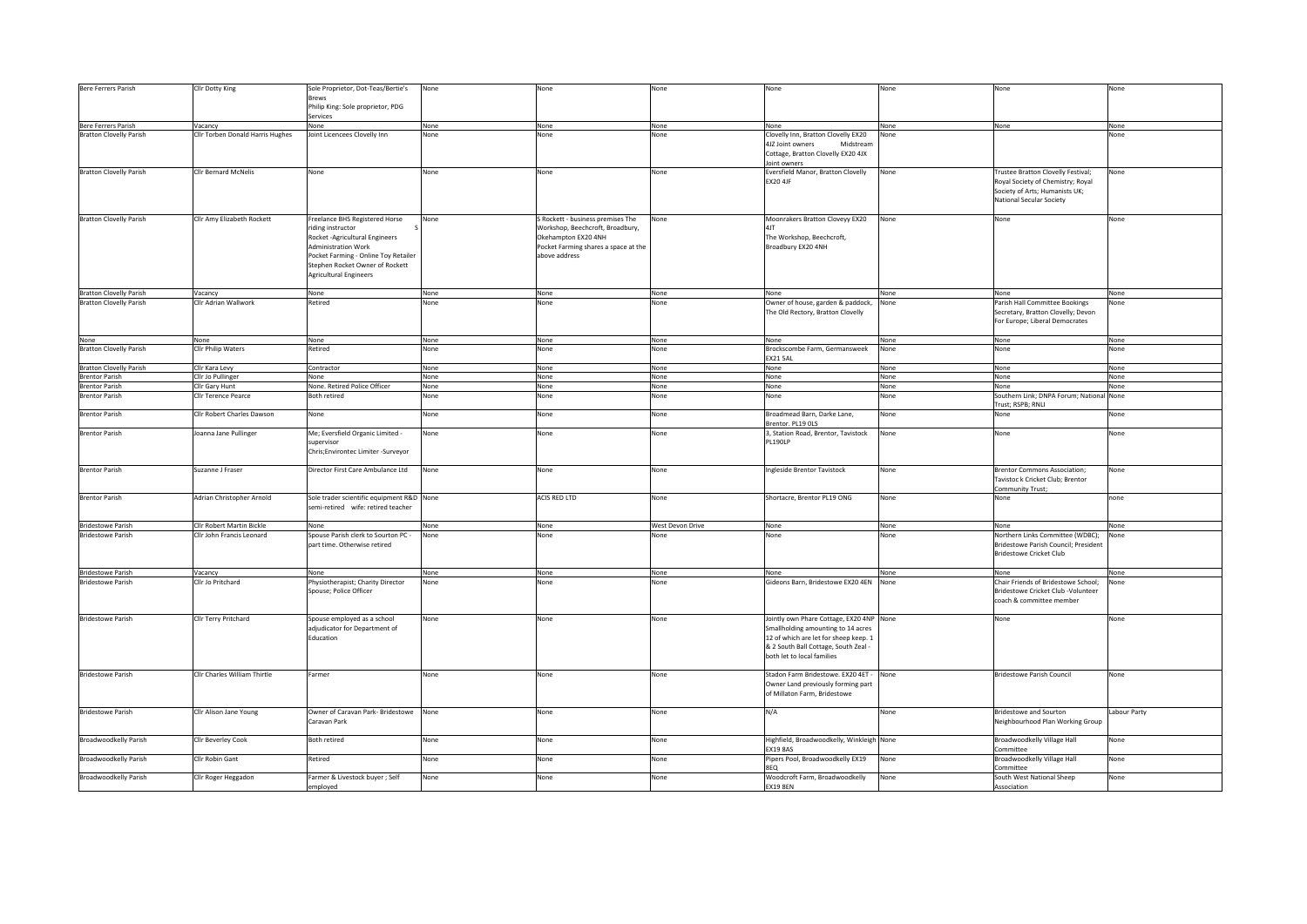| Bere Ferrers Parish            | Cllr Dotty King                  | Sole Proprietor, Dot-Teas/Bertie's<br><b>Brews</b><br>Philip King: Sole proprietor, PDG                                                                                                                                          | None | None                                                                                                                                                  | None             | None                                                                                                                                                                                          | None | None                                                                                                                                  | None        |
|--------------------------------|----------------------------------|----------------------------------------------------------------------------------------------------------------------------------------------------------------------------------------------------------------------------------|------|-------------------------------------------------------------------------------------------------------------------------------------------------------|------------------|-----------------------------------------------------------------------------------------------------------------------------------------------------------------------------------------------|------|---------------------------------------------------------------------------------------------------------------------------------------|-------------|
|                                |                                  | Services                                                                                                                                                                                                                         |      |                                                                                                                                                       |                  |                                                                                                                                                                                               |      |                                                                                                                                       |             |
| Bere Ferrers Parish            | Vacancy                          | None                                                                                                                                                                                                                             | None | None                                                                                                                                                  | None             | None                                                                                                                                                                                          | None | None                                                                                                                                  | None        |
| <b>Bratton Clovelly Parish</b> | Cllr Torben Donald Harris Hughes | Joint Licencees Clovelly Inn                                                                                                                                                                                                     | None | None                                                                                                                                                  | Vone             | Clovelly Inn, Bratton Clovelly EX20                                                                                                                                                           | None |                                                                                                                                       | Vone        |
|                                |                                  |                                                                                                                                                                                                                                  |      |                                                                                                                                                       |                  | 4JZ Joint owners<br>Midstream<br>Cottage, Bratton Clovelly EX20 4JX<br>Joint owners                                                                                                           |      |                                                                                                                                       |             |
| <b>Bratton Clovelly Parish</b> | Cllr Bernard McNelis             | None                                                                                                                                                                                                                             | None | None                                                                                                                                                  | None             | Eversfield Manor, Bratton Clovelly<br><b>EX20 4JF</b>                                                                                                                                         | None | Trustee Bratton Clovelly Festival;<br>Royal Society of Chemistry; Royal<br>Society of Arts; Humanists UK;<br>National Secular Society | None        |
| <b>Bratton Clovelly Parish</b> | Cllr Amy Elizabeth Rockett       | Freelance BHS Registered Horse<br>riding instructor<br>Rocket - Agricultural Engineers<br><b>Administration Work</b><br>Pocket Farming - Online Toy Retailer<br>Stephen Rocket Owner of Rockett<br><b>Agricultural Engineers</b> | None | S Rockett - business premises The<br>Workshop, Beechcroft, Broadbury,<br>Okehampton EX20 4NH<br>Pocket Farming shares a space at the<br>above address | None             | Moonrakers Bratton Cloveyy EX20<br>The Workshop, Beechcroft,<br>Broadbury EX20 4NH                                                                                                            | None | None                                                                                                                                  | None        |
| <b>Bratton Clovelly Parish</b> | Vacancy                          | None                                                                                                                                                                                                                             | None | None                                                                                                                                                  | None             | None                                                                                                                                                                                          | None | None                                                                                                                                  | None        |
| <b>Bratton Clovelly Parish</b> | Cllr Adrian Wallwork             | Retired                                                                                                                                                                                                                          | None | None                                                                                                                                                  | None             | Owner of house, garden & paddock,<br>The Old Rectory, Bratton Clovelly                                                                                                                        | None | Parish Hall Committee Bookings<br>Secretary, Bratton Clovelly; Devon<br>For Europe; Liberal Democrates                                | None        |
| None                           | None                             | None                                                                                                                                                                                                                             | None | None                                                                                                                                                  | None             | None                                                                                                                                                                                          | None | None                                                                                                                                  | None        |
| <b>Bratton Clovelly Parish</b> | Cllr Philip Waters               | Retired                                                                                                                                                                                                                          | None | None                                                                                                                                                  | None             | Brockscombe Farm, Germansweek<br>EX21 5AL                                                                                                                                                     | None | None                                                                                                                                  | None        |
| <b>Bratton Clovelly Parish</b> | Cllr Kara Levy                   | Contractor                                                                                                                                                                                                                       | None | None                                                                                                                                                  | None             | None                                                                                                                                                                                          | None | None                                                                                                                                  | None        |
| <b>Brentor Parish</b>          | Cllr Jo Pullinger                | None                                                                                                                                                                                                                             | None | None                                                                                                                                                  | None             | None                                                                                                                                                                                          | None | None                                                                                                                                  | None        |
| <b>Brentor Parish</b>          | Cllr Gary Hunt                   | None. Retired Police Officer                                                                                                                                                                                                     | None | None                                                                                                                                                  | None             | None                                                                                                                                                                                          | None | None                                                                                                                                  | None        |
| <b>Brentor Parish</b>          | Clir Terence Pearce              | Both retired                                                                                                                                                                                                                     | None | None                                                                                                                                                  | None             | None                                                                                                                                                                                          | None | Southern Link; DNPA Forum; National None<br>Trust; RSPB; RNLI                                                                         |             |
| <b>Brentor Parish</b>          | Clir Robert Charles Dawson       | None                                                                                                                                                                                                                             | None | None                                                                                                                                                  | None             | Broadmead Barn, Darke Lane,<br>Brentor. PL19 OLS                                                                                                                                              | None | None                                                                                                                                  | None        |
| <b>Brentor Parish</b>          | Joanna Jane Pullinger            | Me; Eversfield Organic Limited -<br>supervisor<br>Chris;Environtec Limiter -Surveyor                                                                                                                                             | None | None                                                                                                                                                  | None             | 3, Station Road, Brentor, Tavistock<br>PL190LP                                                                                                                                                | None | None                                                                                                                                  | None        |
| <b>Brentor Parish</b>          | Suzanne J Fraser                 | Director First Care Ambulance Ltd                                                                                                                                                                                                | None | None                                                                                                                                                  | None             | Ingleside Brentor Tavistock                                                                                                                                                                   | None | <b>Brentor Commons Association;</b><br>Tavistoc k Cricket Club; Brentor<br>Community Trust;                                           | None        |
| <b>Brentor Parish</b>          | Adrian Christopher Arnold        | Sole trader scientific equipment R&D None<br>semi-retired wife: retired teacher                                                                                                                                                  |      | ACIS RED LTD                                                                                                                                          | None             | Shortacre, Brentor PL19 ONG                                                                                                                                                                   | None | None                                                                                                                                  | none        |
| <b>Bridestowe Parish</b>       | Cllr Robert Martin Bickle        | None                                                                                                                                                                                                                             | None | None                                                                                                                                                  | West Devon Drive | None                                                                                                                                                                                          | None | None                                                                                                                                  | None        |
| <b>Bridestowe Parish</b>       | Cllr John Francis Leonard        | Spouse Parish clerk to Sourton PC -<br>part time. Otherwise retired                                                                                                                                                              | None | None                                                                                                                                                  | None             | None                                                                                                                                                                                          | None | Northern Links Committee (WDBC);<br>Bridestowe Parish Council; President<br><b>Bridestowe Cricket Club</b>                            | None        |
| <b>Bridestowe Parish</b>       | Vacancy                          | None                                                                                                                                                                                                                             | None | None                                                                                                                                                  | None             | None                                                                                                                                                                                          | None | None                                                                                                                                  | None        |
| <b>Bridestowe Parish</b>       | Cllr Jo Pritchard                | Physiotherapist; Charity Director<br>Spouse; Police Officer                                                                                                                                                                      | None | None                                                                                                                                                  | None             | Gideons Barn, Bridestowe EX20 4EN None                                                                                                                                                        |      | Chair Friends of Bridestowe School;<br>Bridestowe Cricket Club -Volunteer<br>coach & committee member                                 | Vone        |
| <b>Bridestowe Parish</b>       | Cllr Terry Pritchard             | Spouse employed as a school<br>adjudicator for Department of<br>Education                                                                                                                                                        | None | None                                                                                                                                                  | None             | Jointly own Phare Cottage, EX20 4NP None<br>Smallholding amounting to 14 acres<br>12 of which are let for sheep keep. 1<br>& 2 South Ball Cottage, South Zeal -<br>both let to local families |      | None                                                                                                                                  | None        |
| <b>Bridestowe Parish</b>       | Cllr Charles William Thirtle     | Farmer                                                                                                                                                                                                                           | None | None                                                                                                                                                  | None             | Stadon Farm Bridestowe. EX20 4ET - None<br>Owner Land previously forming part<br>of Millaton Farm, Bridestowe                                                                                 |      | <b>Bridestowe Parish Council</b>                                                                                                      | None        |
| <b>Bridestowe Parish</b>       | Cllr Alison Jane Young           | Owner of Caravan Park- Bridestowe None<br>Caravan Park                                                                                                                                                                           |      | None                                                                                                                                                  | None             | N/A                                                                                                                                                                                           | None | <b>Bridestowe and Sourton</b><br>Neighbourhood Plan Working Group                                                                     | abour Party |
| Broadwoodkelly Parish          | Clir Beverley Cook               | Both retired                                                                                                                                                                                                                     | None | None                                                                                                                                                  | None             | Highfield, Broadwoodkelly, Winkleigh None<br><b>EX19 8AS</b>                                                                                                                                  |      | Broadwoodkelly Village Hall<br>`ommittee                                                                                              | None        |
| Broadwoodkelly Parish          | Cllr Robin Gant                  | Retired                                                                                                                                                                                                                          | None | None                                                                                                                                                  | None             | Pipers Pool, Broadwoodkelly EX19<br>8EQ                                                                                                                                                       | None | Broadwoodkelly Village Hall<br>Committee                                                                                              | None        |
| Broadwoodkelly Parish          | Cllr Roger Heggadon              | Farmer & Livestock buyer; Self                                                                                                                                                                                                   | None | None                                                                                                                                                  | None             | Woodcroft Farm, Broadwoodkelly                                                                                                                                                                | None | South West National Sheep                                                                                                             | None        |
|                                |                                  | employed                                                                                                                                                                                                                         |      |                                                                                                                                                       |                  | <b>EX19 8EN</b>                                                                                                                                                                               |      | Association                                                                                                                           |             |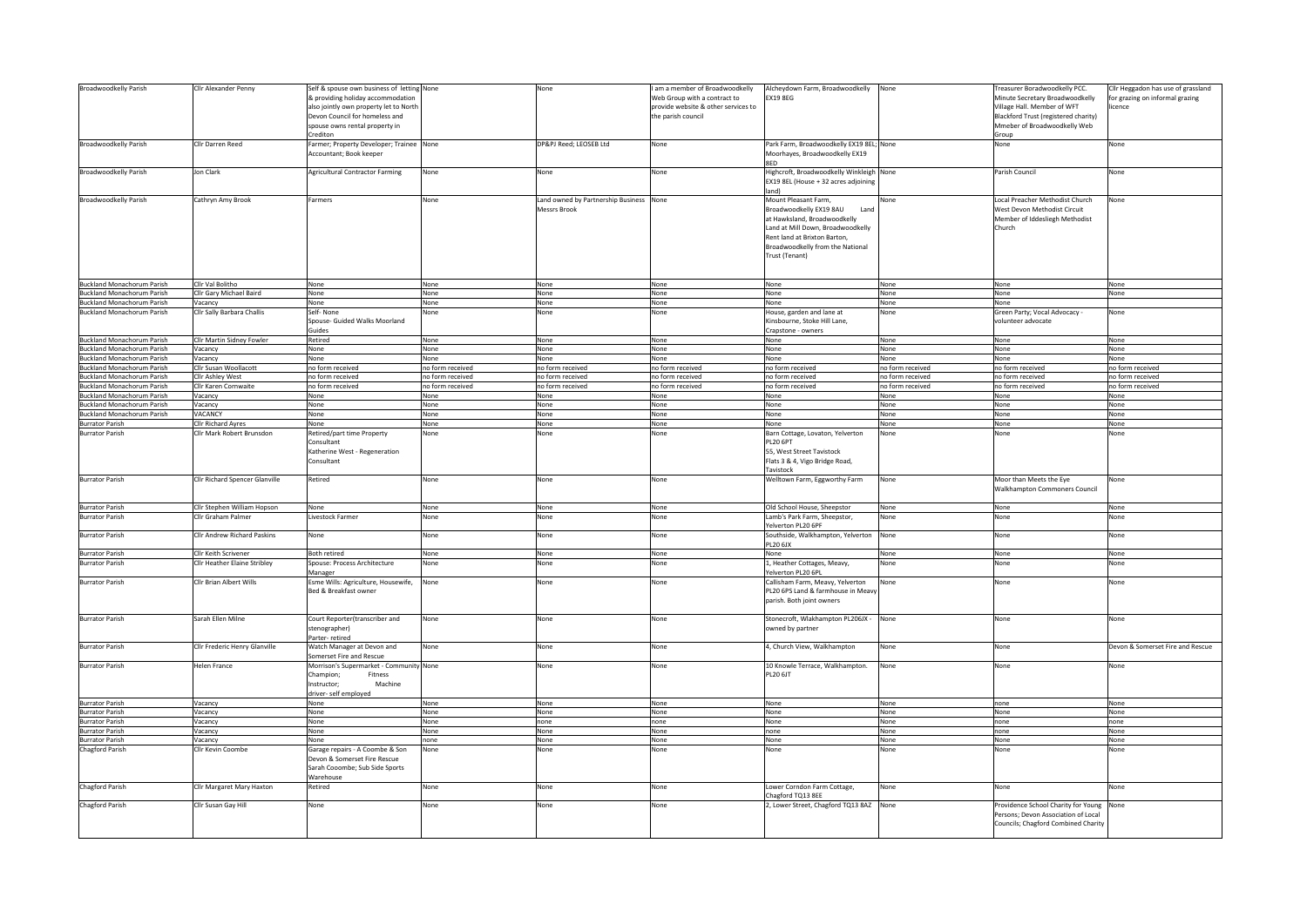| Broadwoodkelly Parish<br>Broadwoodkelly Parish                         | Cllr Alexander Penny<br>Cllr Darren Reed            | Self & spouse own business of letting None<br>& providing holiday accommodation<br>also jointly own property let to North<br>Devon Council for homeless and<br>spouse owns rental property in<br>Crediton<br>Farmer; Property Developer; Trainee None |                  | None<br>DP&PJ Reed; LEOSEB Ltd                     | am a member of Broadwoodkelly<br>Web Group with a contract to<br>provide website & other services to<br>the parish council<br>None | Alcheydown Farm, Broadwoodkelly<br><b>EX19 8EG</b><br>Park Farm, Broadwoodkelly EX19 8EL; None                                                                                                                    | None             | Freasurer Boradwoodkelly PCC.<br>Minute Secretary Broadwoodkelly<br>Village Hall. Member of WFT<br>Blackford Trust (registered charity)<br>Mmeber of Broadwoodkelly Web<br>Group<br>None | Ilr Heggadon has use of grassland<br>for grazing on informal grazing<br>icence<br>None |
|------------------------------------------------------------------------|-----------------------------------------------------|-------------------------------------------------------------------------------------------------------------------------------------------------------------------------------------------------------------------------------------------------------|------------------|----------------------------------------------------|------------------------------------------------------------------------------------------------------------------------------------|-------------------------------------------------------------------------------------------------------------------------------------------------------------------------------------------------------------------|------------------|------------------------------------------------------------------------------------------------------------------------------------------------------------------------------------------|----------------------------------------------------------------------------------------|
|                                                                        |                                                     | Accountant; Book keeper                                                                                                                                                                                                                               |                  |                                                    |                                                                                                                                    | Moorhayes, Broadwoodkelly EX19<br>RFD                                                                                                                                                                             |                  |                                                                                                                                                                                          |                                                                                        |
| Broadwoodkelly Parish                                                  | Jon Clark                                           | <b>Agricultural Contractor Farming</b>                                                                                                                                                                                                                | None             | None                                               | None                                                                                                                               | Highcroft, Broadwoodkelly Winkleigh None<br>EX19 8EL (House + 32 acres adjoining<br>land)                                                                                                                         |                  | Parish Council                                                                                                                                                                           | None                                                                                   |
| Broadwoodkelly Parish                                                  | Cathryn Amy Brook                                   | Farmers                                                                                                                                                                                                                                               | None             | Land owned by Partnership Business<br>Messrs Brook | None                                                                                                                               | Mount Pleasant Farm,<br>Broadwoodkelly EX19 8AU<br>Land<br>at Hawksland, Broadwoodkelly<br>Land at Mill Down, Broadwoodkelly<br>Rent land at Brixton Barton<br>Broadwoodkelly from the National<br>Trust (Tenant) | None             | Local Preacher Methodist Church<br>West Devon Methodist Circuit<br>Member of Iddesliegh Methodist<br>Church                                                                              | Vone                                                                                   |
| <b>Buckland Monachorum Parish</b>                                      | Cllr Val Bolitho                                    | None                                                                                                                                                                                                                                                  | None             | None                                               | None                                                                                                                               | None                                                                                                                                                                                                              | None             | None                                                                                                                                                                                     | None                                                                                   |
| <b>Buckland Monachorum Parish</b>                                      | Cllr Gary Michael Baird                             | None                                                                                                                                                                                                                                                  | None             | None                                               | None                                                                                                                               | None                                                                                                                                                                                                              | None             | None                                                                                                                                                                                     | None                                                                                   |
| <b>Buckland Monachorum Parish</b><br><b>Buckland Monachorum Parish</b> | Vacancy<br>Cllr Sally Barbara Challis               | None<br>Self-None<br>Spouse- Guided Walks Moorland<br>Guides                                                                                                                                                                                          | None<br>None     | None<br>None                                       | None<br>None                                                                                                                       | None<br>House, garden and lane at<br>Kinsbourne, Stoke Hill Lane,<br>Crapstone - owners                                                                                                                           | None<br>None     | None<br>Green Party; Vocal Advocacy -<br>volunteer advocate                                                                                                                              | None                                                                                   |
| <b>Buckland Monachorum Parish</b>                                      | Cllr Martin Sidney Fowler                           | Retired                                                                                                                                                                                                                                               | None             | None                                               | None                                                                                                                               | None                                                                                                                                                                                                              | None             | None                                                                                                                                                                                     | None                                                                                   |
| <b>Buckland Monachorum Parish</b><br><b>Buckland Monachorum Parish</b> | Vacancy                                             | None<br>None                                                                                                                                                                                                                                          | None<br>None     | None<br>None                                       | None<br>None                                                                                                                       | None<br>None                                                                                                                                                                                                      | None<br>None     | None<br>None                                                                                                                                                                             | None<br>None                                                                           |
| <b>Buckland Monachorum Parish</b>                                      | Vacancy<br>Cllr Susan Woollacott                    | no form received                                                                                                                                                                                                                                      | no form received | no form received                                   | no form received                                                                                                                   | no form received                                                                                                                                                                                                  | no form received | no form received                                                                                                                                                                         | no form received                                                                       |
| <b>Buckland Monachorum Parish</b>                                      | Cllr Ashley West                                    | no form received                                                                                                                                                                                                                                      | no form received | no form received                                   | no form received                                                                                                                   | no form received                                                                                                                                                                                                  | no form received | no form received                                                                                                                                                                         | no form received                                                                       |
| <b>Buckland Monachorum Parish</b>                                      | Cllr Karen Cornwaite                                | no form received                                                                                                                                                                                                                                      | no form received | no form received                                   | no form received                                                                                                                   | no form received                                                                                                                                                                                                  | no form received | no form received                                                                                                                                                                         | no form received                                                                       |
| <b>Buckland Monachorum Parish</b>                                      | Vacancy                                             | None                                                                                                                                                                                                                                                  | None             | None                                               | None                                                                                                                               | None                                                                                                                                                                                                              | None             | None                                                                                                                                                                                     | None                                                                                   |
| <b>Buckland Monachorum Parish</b>                                      | Vacancy                                             | None                                                                                                                                                                                                                                                  | None             | None                                               | None                                                                                                                               | None                                                                                                                                                                                                              | None             | None                                                                                                                                                                                     | None                                                                                   |
| <b>Buckland Monachorum Parish</b>                                      | VACANCY                                             | None                                                                                                                                                                                                                                                  | None             | None                                               | None                                                                                                                               | None                                                                                                                                                                                                              | None             | None                                                                                                                                                                                     | None                                                                                   |
| <b>Burrator Parish</b>                                                 | <b>Clir Richard Ayres</b>                           | None                                                                                                                                                                                                                                                  | None             | None                                               | None                                                                                                                               | None                                                                                                                                                                                                              | None             | None                                                                                                                                                                                     | None                                                                                   |
| <b>Burrator Parish</b>                                                 | Clir Mark Robert Brunsdon                           | Retired/part time Property<br>Consultant<br>Katherine West - Regeneration<br>Consultant                                                                                                                                                               | None             | None                                               | None                                                                                                                               | Barn Cottage, Lovaton, Yelverton<br>PL20 6PT<br>55, West Street Tavistock<br>Flats 3 & 4, Vigo Bridge Road,<br>Tavistock                                                                                          | None             | None                                                                                                                                                                                     | None                                                                                   |
| <b>Burrator Parish</b>                                                 | Cllr Richard Spencer Glanville                      | Retired                                                                                                                                                                                                                                               | None             | None                                               | None                                                                                                                               | Welltown Farm, Eggworthy Farm                                                                                                                                                                                     | None             | Moor than Meets the Eye<br>Walkhampton Commoners Council                                                                                                                                 | None                                                                                   |
| <b>Burrator Parish</b>                                                 | Cllr Stephen William Hopson                         | None                                                                                                                                                                                                                                                  | None             | None                                               | None                                                                                                                               | Old School House, Sheepstor                                                                                                                                                                                       | None             | None                                                                                                                                                                                     | None                                                                                   |
| <b>Burrator Parish</b>                                                 | Cllr Graham Palmer                                  | Livestock Farmer                                                                                                                                                                                                                                      | None             | None                                               | None                                                                                                                               | Lamb's Park Farm, Sheepstor,<br>Yelverton PL20 6PF                                                                                                                                                                | None             | None                                                                                                                                                                                     | None                                                                                   |
| <b>Burrator Parish</b><br><b>Burrator Parish</b>                       | Cllr Andrew Richard Paskins<br>Cllr Keith Scrivener | None<br>Both retired                                                                                                                                                                                                                                  | None<br>None     | None                                               | None                                                                                                                               | Southside, Walkhampton, Yelverton<br>PL20 6JX<br>None                                                                                                                                                             | None             | None<br>None                                                                                                                                                                             | None                                                                                   |
| <b>Burrator Parish</b>                                                 | Cllr Heather Elaine Stribley                        | Spouse: Process Architecture                                                                                                                                                                                                                          | None             | None<br>Vone                                       | None<br>Vone                                                                                                                       | 1, Heather Cottages, Meavy,                                                                                                                                                                                       | None<br>None     | None                                                                                                                                                                                     | None<br>Vone                                                                           |
| <b>Burrator Parish</b>                                                 | Cllr Brian Albert Wills                             | Manager<br>Esme Wills: Agriculture, Housewife,                                                                                                                                                                                                        | None             | None                                               | None                                                                                                                               | Yelverton PL20 6PL<br>Callisham Farm, Meavy, Yelverton                                                                                                                                                            | None             | None                                                                                                                                                                                     | None                                                                                   |
|                                                                        |                                                     | Bed & Breakfast owner                                                                                                                                                                                                                                 |                  |                                                    |                                                                                                                                    | PL20 6PS Land & farmhouse in Meavy<br>parish. Both joint owners                                                                                                                                                   |                  |                                                                                                                                                                                          |                                                                                        |
| <b>Burrator Parish</b>                                                 | Sarah Ellen Milne                                   | Court Reporter(transcriber and<br>stenographer)<br>Parter- retired                                                                                                                                                                                    | None             | None                                               | None                                                                                                                               | Stonecroft, Wlakhampton PL206JX - None<br>wned by partner                                                                                                                                                         |                  | None                                                                                                                                                                                     | None                                                                                   |
| <b>Burrator Parish</b>                                                 | Cllr Frederic Henry Glanville                       | Watch Manager at Devon and<br>Somerset Fire and Rescue                                                                                                                                                                                                | None             | None                                               | None                                                                                                                               | 4, Church View, Walkhampton                                                                                                                                                                                       | None             | None                                                                                                                                                                                     | Devon & Somerset Fire and Rescue                                                       |
| <b>Burrator Parish</b>                                                 | Helen France                                        | Morrison's Supermarket - Community None<br>Champion:<br>Fitness<br>Instructor;<br>Machine<br>driver- self employed                                                                                                                                    |                  | None                                               | None                                                                                                                               | 10 Knowle Terrace, Walkhampton.<br>PL20 6JT                                                                                                                                                                       | None             | None                                                                                                                                                                                     | None                                                                                   |
| <b>Burrator Parish</b>                                                 | Vacancy                                             | None                                                                                                                                                                                                                                                  | None             | None                                               | None                                                                                                                               | None                                                                                                                                                                                                              | None             | none                                                                                                                                                                                     | None                                                                                   |
| <b>Burrator Parish</b>                                                 | Vacancy                                             | None                                                                                                                                                                                                                                                  | None             | None                                               | None                                                                                                                               | None                                                                                                                                                                                                              | None             | None                                                                                                                                                                                     | None                                                                                   |
| <b>Burrator Parish</b><br><b>Burrator Parish</b>                       | Vacancy                                             | None<br>None                                                                                                                                                                                                                                          | None<br>None     | none                                               | none                                                                                                                               | None<br>none                                                                                                                                                                                                      | None<br>None     | none                                                                                                                                                                                     | none<br>None                                                                           |
| <b>Burrator Parish</b>                                                 | Vacancy<br>Vacancy                                  | None                                                                                                                                                                                                                                                  | none             | None<br>None                                       | None<br>None                                                                                                                       | None                                                                                                                                                                                                              | None             | none<br>None                                                                                                                                                                             | None                                                                                   |
| Chagford Parish                                                        | Cllr Kevin Coombe                                   | Garage repairs - A Coombe & Son<br>Devon & Somerset Fire Rescue<br>Sarah Cooombe; Sub Side Sports<br>Warehouse                                                                                                                                        | None             | None                                               | None                                                                                                                               | None                                                                                                                                                                                                              | None             | None                                                                                                                                                                                     | None                                                                                   |
| Chagford Parish                                                        | Cllr Margaret Mary Haxton                           | Retired                                                                                                                                                                                                                                               | None             | None                                               | None                                                                                                                               | Lower Corndon Farm Cottage,<br>Chagford TQ13 8EE                                                                                                                                                                  | None             | None                                                                                                                                                                                     | None                                                                                   |
| Chagford Parish                                                        | Cllr Susan Gay Hill                                 | None                                                                                                                                                                                                                                                  | None             | None                                               | None                                                                                                                               | 2, Lower Street, Chagford TQ13 8AZ None                                                                                                                                                                           |                  | Providence School Charity for Young<br>Persons; Devon Association of Local<br>Councils; Chagford Combined Charity                                                                        | None                                                                                   |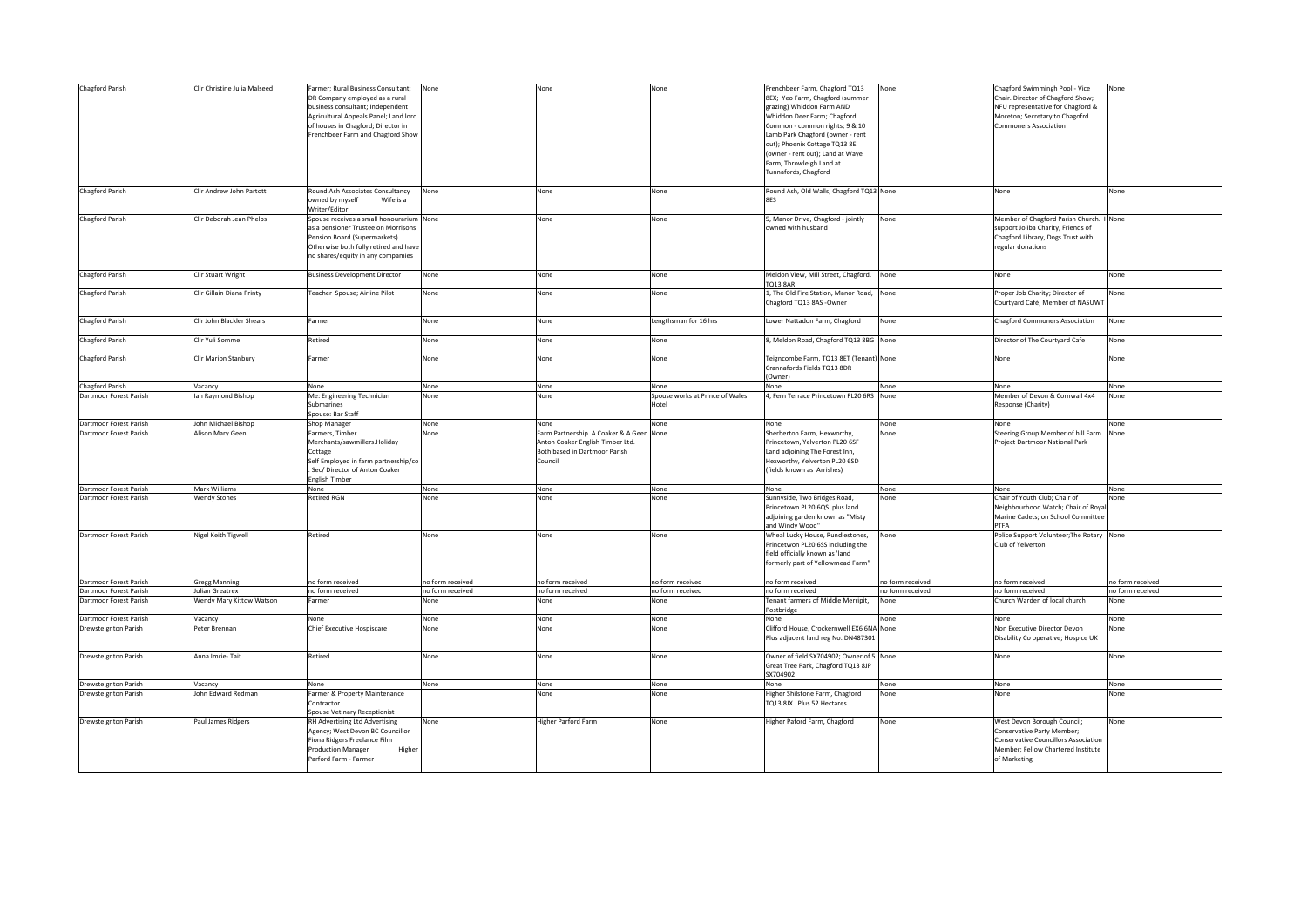| Chagford Parish                                  | Cllr Christine Julia Malseed                | armer; Rural Business Consultant;<br>DR Company employed as a rural<br>business consultant; Independent<br>Agricultural Appeals Panel; Land lord<br>of houses in Chagford; Director in<br>Frenchbeer Farm and Chagford Show | None                     | None                                                                                                                | None                                     | Frenchbeer Farm, Chagford TQ13<br>8EX; Yeo Farm, Chagford (summer<br>grazing) Whiddon Farm AND<br>Whiddon Deer Farm; Chagford<br>Common - common rights; 9 & 10<br>Lamb Park Chagford (owner - rent<br>out); Phoenix Cottage TQ13 8E<br>(owner - rent out); Land at Waye<br>Farm, Throwleigh Land at<br>Tunnafords, Chagford | None                     | Chagford Swimmingh Pool - Vice<br>Chair. Director of Chagford Show;<br>NFU representative for Chagford &<br>Moreton; Secretary to Chagofrd<br><b>Commoners Association</b> | Vone                     |
|--------------------------------------------------|---------------------------------------------|-----------------------------------------------------------------------------------------------------------------------------------------------------------------------------------------------------------------------------|--------------------------|---------------------------------------------------------------------------------------------------------------------|------------------------------------------|------------------------------------------------------------------------------------------------------------------------------------------------------------------------------------------------------------------------------------------------------------------------------------------------------------------------------|--------------------------|----------------------------------------------------------------------------------------------------------------------------------------------------------------------------|--------------------------|
| Chagford Parish                                  | Cllr Andrew John Partott                    | Round Ash Associates Consultancy<br>owned by myself<br>Wife is a<br>Writer/Editor                                                                                                                                           | None                     | None                                                                                                                | None                                     | Round Ash, Old Walls, Chagford TQ13 None<br><b>RFS</b>                                                                                                                                                                                                                                                                       |                          | None                                                                                                                                                                       | None                     |
| Chagford Parish                                  | Cllr Deborah Jean Phelps                    | Spouse receives a small honourarium None<br>as a pensioner Trustee on Morrisons<br>Pension Board (Supermarkets)<br>Otherwise both fully retired and have<br>no shares/equity in any compamies                               |                          | None                                                                                                                | None                                     | 5, Manor Drive, Chagford - jointly<br>wned with husband                                                                                                                                                                                                                                                                      | None                     | Member of Chagford Parish Church. I None<br>support Joliba Charity, Friends of<br>Chagford Library, Dogs Trust with<br>regular donations                                   |                          |
| Chagford Parish                                  | Cllr Stuart Wright                          | <b>Business Development Director</b>                                                                                                                                                                                        | None                     | None                                                                                                                | None                                     | Meldon View, Mill Street, Chagford. None<br><b>TO13 8AR</b>                                                                                                                                                                                                                                                                  |                          | None                                                                                                                                                                       | None                     |
| <b>Chagford Parish</b>                           | Cllr Gillain Diana Printy                   | Teacher Spouse; Airline Pilot                                                                                                                                                                                               | None                     | None                                                                                                                | None                                     | 1, The Old Fire Station, Manor Road, None<br>Chagford TQ13 8AS -Owner                                                                                                                                                                                                                                                        |                          | Proper Job Charity; Director of<br>Courtyard Café; Member of NASUWT                                                                                                        | None                     |
| Chagford Parish                                  | Cllr John Blackler Shears                   | Farmer                                                                                                                                                                                                                      | None                     | None                                                                                                                | Lengthsman for 16 hrs                    | Lower Nattadon Farm, Chagford                                                                                                                                                                                                                                                                                                | None                     | <b>Chagford Commoners Association</b>                                                                                                                                      | None                     |
| Chagford Parish                                  | Cllr Yuli Somme                             | Retired                                                                                                                                                                                                                     | None                     | None                                                                                                                | None                                     | B, Meldon Road, Chagford TQ13 8BG None                                                                                                                                                                                                                                                                                       |                          | Director of The Courtyard Cafe                                                                                                                                             | None                     |
| Chagford Parish                                  | Cllr Marion Stanbury                        | Farmer                                                                                                                                                                                                                      | None                     | None                                                                                                                | None                                     | Teigncombe Farm, TQ13 8ET (Tenant) None<br>Crannafords Fields TQ13 8DR<br>Owner)                                                                                                                                                                                                                                             |                          | None                                                                                                                                                                       | None                     |
| Chagford Parish                                  | Vacancy                                     | None                                                                                                                                                                                                                        | None                     | None                                                                                                                | None                                     | None                                                                                                                                                                                                                                                                                                                         | None                     | None                                                                                                                                                                       | None                     |
| Dartmoor Forest Parish                           | lan Raymond Bishop                          | Me: Engineering Technician<br>Submarines<br>Spouse: Bar Staff                                                                                                                                                               | None                     | None                                                                                                                | Spouse works at Prince of Wales<br>Hotel | 4, Fern Terrace Princetown PL20 6RS None                                                                                                                                                                                                                                                                                     |                          | Member of Devon & Cornwall 4x4<br>Response (Charity)                                                                                                                       | None                     |
| Dartmoor Forest Parish                           | John Michael Bishop                         | Shop Manager                                                                                                                                                                                                                | None                     | None                                                                                                                | None                                     | None                                                                                                                                                                                                                                                                                                                         | None                     | None                                                                                                                                                                       | None                     |
| Dartmoor Forest Parish                           | Alison Mary Geen                            | armers, Timber<br>Merchants/sawmillers.Holiday<br>Cottage<br>Self Employed in farm partnership/co<br>Sec/Director of Anton Coaker<br>English Timber                                                                         | None                     | Farm Partnership. A Coaker & A Geen<br>Anton Coaker English Timber Ltd.<br>Both based in Dartmoor Parish<br>Council | None                                     | Sherberton Farm, Hexworthy,<br>Princetown, Yelverton PL20 6SF<br>Land adjoining The Forest Inn,<br>Hexworthy, Yelverton PL20 6SD<br>(fields known as Arrishes)                                                                                                                                                               | Jone                     | Steering Group Member of hill Farm<br>Project Dartmoor National Park                                                                                                       | None                     |
| Dartmoor Forest Parish                           | <b>Mark Williams</b>                        | None                                                                                                                                                                                                                        | None                     | None                                                                                                                | None                                     | None                                                                                                                                                                                                                                                                                                                         | None                     | None                                                                                                                                                                       | None                     |
| Dartmoor Forest Parish                           | <b>Wendy Stones</b>                         | <b>Retired RGN</b>                                                                                                                                                                                                          | None                     | None                                                                                                                | None                                     | Sunnyside, Two Bridges Road,<br>Princetown PL20 6QS plus land<br>adjoining garden known as "Misty<br>and Windy Wood"                                                                                                                                                                                                         | None                     | Chair of Youth Club; Chair of<br>Neighbourhood Watch; Chair of Royal<br>Marine Cadets; on School Committee<br>PTFA                                                         | Vone                     |
| Dartmoor Forest Parish                           | Nigel Keith Tigwell                         | Retired                                                                                                                                                                                                                     | None                     | None                                                                                                                | None                                     | Wheal Lucky House, Rundlestones,<br>Princetwon PL20 6SS including the<br>field officially known as 'land<br>formerly part of Yellowmead Farm"                                                                                                                                                                                | None                     | Police Support Volunteer; The Rotary None<br>Club of Yelverton                                                                                                             |                          |
| Dartmoor Forest Parish                           | <b>Gregg Manning</b>                        | no form received                                                                                                                                                                                                            | no form received         | no form received                                                                                                    | no form received                         | no form received                                                                                                                                                                                                                                                                                                             | no form received         | no form received                                                                                                                                                           | no form received         |
| Dartmoor Forest Parish<br>Dartmoor Forest Parish | Julian Greatrex<br>Wendy Mary Kittow Watson | no form received<br>Farmer                                                                                                                                                                                                  | no form received<br>None | no form received<br>None                                                                                            | no form received<br>None                 | no form received<br>Tenant farmers of Middle Merripit,<br>Postbridge                                                                                                                                                                                                                                                         | no form received<br>None | no form received<br>Church Warden of local church                                                                                                                          | no form received<br>Vone |
| Dartmoor Forest Parish                           | Vacancy                                     | None                                                                                                                                                                                                                        | None                     | None                                                                                                                | None                                     | None                                                                                                                                                                                                                                                                                                                         | None                     | None                                                                                                                                                                       | None                     |
| Drewsteignton Parish                             | Peter Brennan                               | Chief Executive Hospiscare                                                                                                                                                                                                  | None                     | None                                                                                                                | None                                     | Clifford House, Crockernwell EX6 6NA None<br>Plus adjacent land reg No. DN487301                                                                                                                                                                                                                                             |                          | Non Executive Director Devon<br>Disability Co operative; Hospice UK                                                                                                        | Vone                     |
| <b>Drewsteignton Parish</b>                      | Anna Imrie-Tait                             | Retired                                                                                                                                                                                                                     | None                     | None                                                                                                                | None                                     | Owner of field SX704902; Owner of 5 None<br>Great Tree Park, Chagford TQ13 8JP<br>SX704902                                                                                                                                                                                                                                   |                          | None                                                                                                                                                                       | None                     |
| Drewsteignton Parish                             | Vacancy                                     | None                                                                                                                                                                                                                        | None                     | None                                                                                                                | None                                     | None                                                                                                                                                                                                                                                                                                                         | None                     | None                                                                                                                                                                       | None                     |
| Drewsteignton Parish                             | John Edward Redman                          | Farmer & Property Maintenance<br>Contractor<br>Spouse Vetinary Receptionist                                                                                                                                                 |                          | None                                                                                                                | None                                     | Higher Shilstone Farm, Chagford<br>TQ13 8JX Plus 52 Hectares                                                                                                                                                                                                                                                                 | None                     | None                                                                                                                                                                       | None                     |
| Drewsteignton Parish                             | Paul James Ridgers                          | RH Advertising Ltd Advertising<br>Agency; West Devon BC Councillor<br>Fiona Ridgers Freelance Film<br><b>Production Manager</b><br>Higher<br>Parford Farm - Farmer                                                          | None                     | Higher Parford Farm                                                                                                 | None                                     | Higher Paford Farm, Chagford                                                                                                                                                                                                                                                                                                 | None                     | West Devon Borough Council;<br>Conservative Party Member;<br>Conservative Councillors Association<br>Member; Fellow Chartered Institute<br>of Marketing                    | None                     |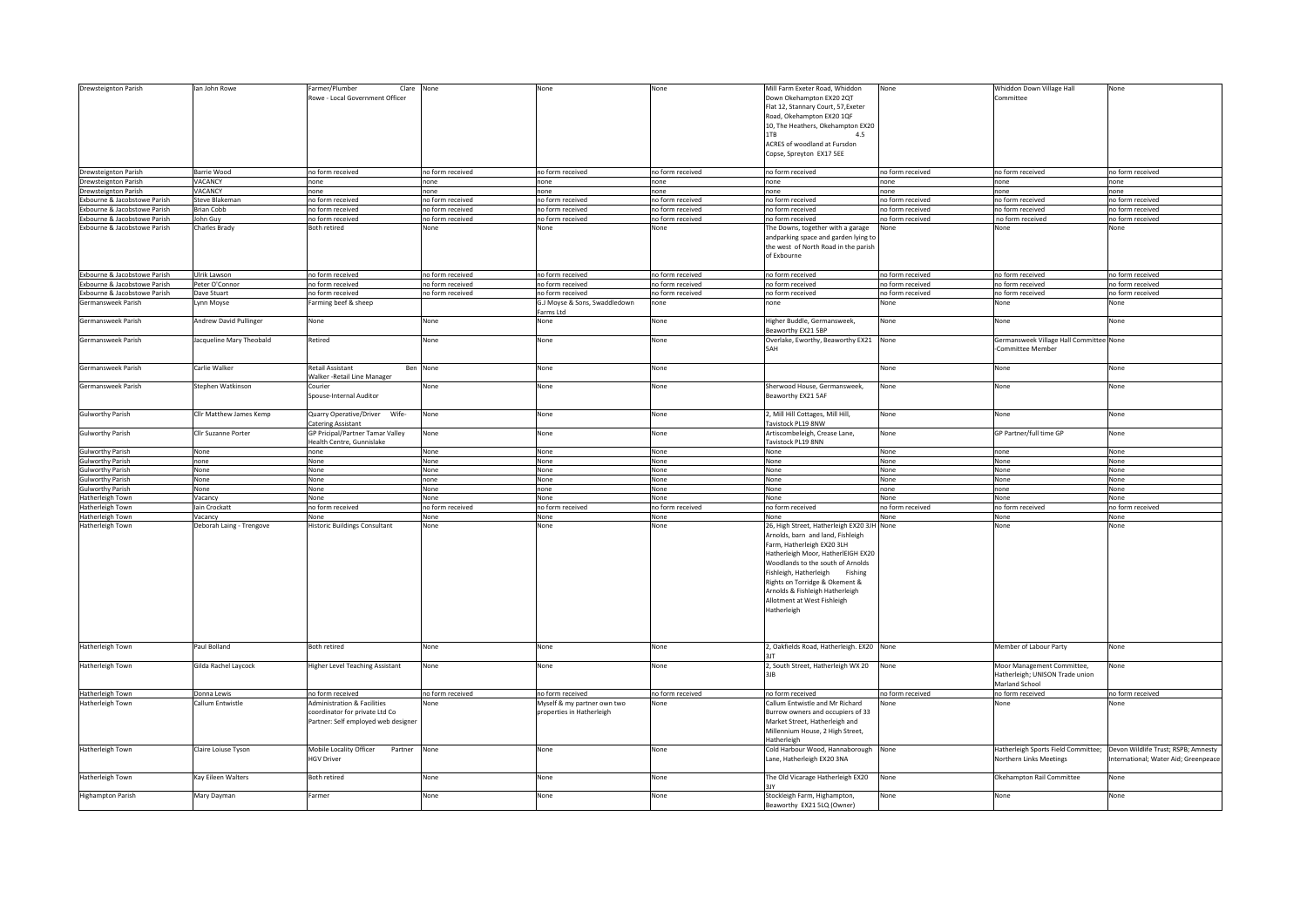| Drewsteignton Parish         | lan John Rowe            | armer/Plumber<br>Clare                 | None             | None                          | None             | Mill Farm Exeter Road, Whiddon             | None             | Whiddon Down Village Hall               | None                                |
|------------------------------|--------------------------|----------------------------------------|------------------|-------------------------------|------------------|--------------------------------------------|------------------|-----------------------------------------|-------------------------------------|
|                              |                          | Rowe - Local Government Officer        |                  |                               |                  | Down Okehampton EX20 2QT                   |                  | Committee                               |                                     |
|                              |                          |                                        |                  |                               |                  |                                            |                  |                                         |                                     |
|                              |                          |                                        |                  |                               |                  | Flat 12, Stannary Court, 57, Exeter        |                  |                                         |                                     |
|                              |                          |                                        |                  |                               |                  |                                            |                  |                                         |                                     |
|                              |                          |                                        |                  |                               |                  | Road, Okehampton EX20 1QF                  |                  |                                         |                                     |
|                              |                          |                                        |                  |                               |                  | 10, The Heathers, Okehampton EX20          |                  |                                         |                                     |
|                              |                          |                                        |                  |                               |                  |                                            |                  |                                         |                                     |
|                              |                          |                                        |                  |                               |                  | 1TB<br>4.5                                 |                  |                                         |                                     |
|                              |                          |                                        |                  |                               |                  |                                            |                  |                                         |                                     |
|                              |                          |                                        |                  |                               |                  | ACRES of woodland at Fursdon               |                  |                                         |                                     |
|                              |                          |                                        |                  |                               |                  | Copse, Spreyton EX17 5EE                   |                  |                                         |                                     |
|                              |                          |                                        |                  |                               |                  |                                            |                  |                                         |                                     |
|                              |                          |                                        |                  |                               |                  |                                            |                  |                                         |                                     |
| Drewsteignton Parish         | Barrie Wood              | no form received                       | no form received | no form received              | no form received | no form received                           | no form received | no form received                        | no form received                    |
|                              |                          |                                        |                  |                               |                  |                                            |                  |                                         |                                     |
| Drewsteignton Parish         | VACANCY                  | none                                   | none             | none                          | none             | none                                       | none             | none                                    | none                                |
|                              |                          |                                        |                  |                               |                  |                                            |                  |                                         |                                     |
| Drewsteignton Parish         | VACANCY                  | none                                   | none             | none                          | none             | none                                       | none             | none                                    | none                                |
| Exbourne & Jacobstowe Parish | Steve Blakeman           | no form received                       | no form received | no form received              | no form received | no form received                           | no form received | no form received                        | no form received                    |
|                              |                          |                                        |                  |                               |                  |                                            |                  |                                         |                                     |
| Exbourne & Jacobstowe Parish | <b>Brian Cobb</b>        | no form received                       | no form received | no form received              | no form received | no form received                           | no form received | no form received                        | no form received                    |
|                              |                          |                                        |                  |                               |                  |                                            |                  |                                         |                                     |
| Exbourne & Jacobstowe Parish | John Guy                 | no form received                       | no form received | no form received              | no form received | no form received                           | no form received | no form received                        | no form received                    |
| Exbourne & Jacobstowe Parish | <b>Charles Brady</b>     | Both retired                           | None             | None                          | None             | The Downs, together with a garage          | Vone             | None                                    | None                                |
|                              |                          |                                        |                  |                               |                  |                                            |                  |                                         |                                     |
|                              |                          |                                        |                  |                               |                  | andparking space and garden lying to       |                  |                                         |                                     |
|                              |                          |                                        |                  |                               |                  | the west of North Road in the parish       |                  |                                         |                                     |
|                              |                          |                                        |                  |                               |                  |                                            |                  |                                         |                                     |
|                              |                          |                                        |                  |                               |                  | of Exbourne                                |                  |                                         |                                     |
|                              |                          |                                        |                  |                               |                  |                                            |                  |                                         |                                     |
|                              |                          |                                        |                  |                               |                  |                                            |                  |                                         |                                     |
| Exbourne & Jacobstowe Parish | Ulrik Lawson             | no form received                       | no form received | no form received              | no form received | no form received                           | no form received | no form received                        | no form received                    |
|                              |                          |                                        |                  |                               |                  |                                            |                  |                                         |                                     |
| Exhourne & Jacobstowe Parish | Peter O'Connor           | no form received                       | no form received | no form received              | no form received | no form received                           | no form received | no form received                        | no form received                    |
| Exbourne & Jacobstowe Parish | Dave Stuart              | no form received                       | no form received | no form received              | no form received | no form received                           | no form received | no form received                        | no form received                    |
|                              |                          |                                        |                  |                               |                  |                                            |                  |                                         |                                     |
| Germansweek Parish           | ynn Moyse                | Farming beef & sheep                   |                  | G.J Moyse & Sons, Swaddledown | none             | none                                       | None             | None                                    | Vone                                |
|                              |                          |                                        |                  |                               |                  |                                            |                  |                                         |                                     |
|                              |                          |                                        |                  | Farms Ltd                     |                  |                                            |                  |                                         |                                     |
| Germansweek Parish           | Andrew David Pullinger   | None                                   | None             | None                          | None             | Higher Buddle, Germansweek,                | None             | None                                    | None                                |
|                              |                          |                                        |                  |                               |                  |                                            |                  |                                         |                                     |
|                              |                          |                                        |                  |                               |                  | Beaworthy EX21 5BP                         |                  |                                         |                                     |
| Germansweek Parish           | Jacqueline Mary Theobald | Retired                                | None             | None                          | None             | Overlake, Eworthy, Beaworthy EX21 None     |                  | Germansweek Village Hall Committee None |                                     |
|                              |                          |                                        |                  |                               |                  |                                            |                  |                                         |                                     |
|                              |                          |                                        |                  |                               |                  | 5AH                                        |                  | -Committee Member                       |                                     |
|                              |                          |                                        |                  |                               |                  |                                            |                  |                                         |                                     |
|                              |                          |                                        |                  |                               |                  |                                            |                  |                                         |                                     |
| Germansweek Parish           | Carlie Walker            | Retail Assistant                       | Ben None         | None                          | None             |                                            | None             | None                                    | None                                |
|                              |                          |                                        |                  |                               |                  |                                            |                  |                                         |                                     |
|                              |                          | Walker -Retail Line Manager            |                  |                               |                  |                                            |                  |                                         |                                     |
|                              |                          |                                        |                  |                               |                  |                                            |                  |                                         |                                     |
| Germansweek Parish           | Stephen Watkinson        | Courier                                | None             | None                          | None             | Sherwood House, Germansweek,               | None             | None                                    | None                                |
|                              |                          | Spouse-Internal Auditor                |                  |                               |                  | Beaworthy EX21 5AF                         |                  |                                         |                                     |
|                              |                          |                                        |                  |                               |                  |                                            |                  |                                         |                                     |
|                              |                          |                                        |                  |                               |                  |                                            |                  |                                         |                                     |
|                              |                          |                                        |                  |                               |                  |                                            |                  |                                         |                                     |
| <b>Gulworthy Parish</b>      | Cllr Matthew James Kemp  | Quarry Operative/Driver Wife-          | None             | None                          | None             | 2, Mill Hill Cottages, Mill Hill,          | None             | None                                    | None                                |
|                              |                          | Catering Assistant                     |                  |                               |                  | Tavistock PL19 8NW                         |                  |                                         |                                     |
|                              |                          |                                        |                  |                               |                  |                                            |                  |                                         |                                     |
| <b>Gulworthy Parish</b>      | Cllr Suzanne Porter      | GP Pricipal/Partner Tamar Valley       | None             | None                          | None             | Artiscombeleigh, Crease Lane,              | None             | GP Partner/full time GP                 | None                                |
|                              |                          | Health Centre, Gunnislake              |                  |                               |                  | Tavistock PL19 8NN                         |                  |                                         |                                     |
|                              |                          |                                        |                  |                               |                  |                                            |                  |                                         |                                     |
|                              |                          |                                        |                  |                               |                  |                                            |                  |                                         |                                     |
|                              |                          |                                        |                  |                               |                  |                                            |                  |                                         |                                     |
| <b>Gulworthy Parish</b>      | None                     | none                                   | None             | None                          | None             | None                                       | None             | none                                    | None                                |
| <b>Gulworthy Parish</b>      | none                     | None                                   | None             | None                          | None             | None                                       | None             | None                                    | None                                |
|                              |                          |                                        |                  |                               |                  |                                            |                  |                                         |                                     |
| <b>Gulworthy Parish</b>      | None                     | None                                   | None             | None                          | None             | None                                       | None             | None                                    | None                                |
| <b>Gulworthy Parish</b>      | None                     | None                                   | none             | None                          | None             | None                                       | None             | None                                    | None                                |
|                              |                          |                                        |                  |                               |                  |                                            |                  |                                         |                                     |
| <b>Gulworthy Parish</b>      | None                     | None                                   | None             | none                          | None             | None                                       | none             | none                                    | None                                |
|                              |                          | None                                   | None             |                               | None             | None                                       | None             | None                                    | None                                |
| Hatherleigh Town             | Vacancy                  |                                        |                  | None                          |                  |                                            |                  |                                         |                                     |
| Hatherleigh Town             | lain Crockatt            | no form received                       | no form received | no form received              | no form received | no form received                           | no form received | no form received                        | no form received                    |
|                              |                          |                                        |                  |                               |                  |                                            |                  |                                         |                                     |
| Hatherleigh Town             | Vacancy                  | None                                   | None             | None                          | None             | None                                       | None             | None                                    | None                                |
|                              |                          |                                        | None             | None                          | None             |                                            |                  | None                                    | None                                |
| Hatherleigh Town             | Deborah Laing - Trengove | Historic Buildings Consultant          |                  |                               |                  | 26, High Street, Hatherleigh EX20 3JH None |                  |                                         |                                     |
|                              |                          |                                        |                  |                               |                  | Arnolds, barn and land, Fishleigh          |                  |                                         |                                     |
|                              |                          |                                        |                  |                               |                  |                                            |                  |                                         |                                     |
|                              |                          |                                        |                  |                               |                  | Farm, Hatherleigh EX20 3LH                 |                  |                                         |                                     |
|                              |                          |                                        |                  |                               |                  | Hatherleigh Moor, HatherlEIGH EX20         |                  |                                         |                                     |
|                              |                          |                                        |                  |                               |                  |                                            |                  |                                         |                                     |
|                              |                          |                                        |                  |                               |                  | Woodlands to the south of Arnolds          |                  |                                         |                                     |
|                              |                          |                                        |                  |                               |                  |                                            |                  |                                         |                                     |
|                              |                          |                                        |                  |                               |                  | Fishleigh, Hatherleigh<br>Fishing          |                  |                                         |                                     |
|                              |                          |                                        |                  |                               |                  | Rights on Torridge & Okement &             |                  |                                         |                                     |
|                              |                          |                                        |                  |                               |                  |                                            |                  |                                         |                                     |
|                              |                          |                                        |                  |                               |                  | Arnolds & Fishleigh Hatherleigh            |                  |                                         |                                     |
|                              |                          |                                        |                  |                               |                  | Allotment at West Fishleigh                |                  |                                         |                                     |
|                              |                          |                                        |                  |                               |                  |                                            |                  |                                         |                                     |
|                              |                          |                                        |                  |                               |                  | Hatherleigh                                |                  |                                         |                                     |
|                              |                          |                                        |                  |                               |                  |                                            |                  |                                         |                                     |
|                              |                          |                                        |                  |                               |                  |                                            |                  |                                         |                                     |
|                              |                          |                                        |                  |                               |                  |                                            |                  |                                         |                                     |
|                              |                          |                                        |                  |                               |                  |                                            |                  |                                         |                                     |
|                              |                          |                                        |                  |                               |                  |                                            |                  |                                         |                                     |
| Hatherleigh Town             | Paul Bolland             | <b>Both retired</b>                    |                  | None                          | None             | 2, Oakfields Road, Hatherleigh. EX20 None  |                  | Member of Labour Party                  | None                                |
|                              |                          |                                        | None             |                               |                  |                                            |                  |                                         |                                     |
|                              |                          |                                        |                  |                               |                  | 3IT                                        |                  |                                         |                                     |
|                              |                          |                                        |                  |                               |                  |                                            | None             |                                         |                                     |
| Hatherleigh Town             | Gilda Rachel Laycock     | Higher Level Teaching Assistant        | None             | None                          | None             | 2, South Street, Hatherleigh WX 20         |                  | Moor Management Committee,              | None                                |
|                              |                          |                                        |                  |                               |                  | 3JB                                        |                  | Hatherleigh; UNISON Trade union         |                                     |
|                              |                          |                                        |                  |                               |                  |                                            |                  |                                         |                                     |
|                              |                          |                                        |                  |                               |                  |                                            |                  | Marland School                          |                                     |
|                              | Donna Lewis              | no form received                       | no form received |                               | no form received | no form received                           | no form received | no form received                        | no form received                    |
| Hatherleigh Town             |                          |                                        |                  | no form received              |                  |                                            |                  |                                         |                                     |
| Hatherleigh Town             | Callum Entwistle         | <b>Administration &amp; Facilities</b> | None             | Myself & my partner own two   | None             | Callum Entwistle and Mr Richard            |                  | None                                    | None                                |
|                              |                          |                                        |                  |                               |                  |                                            |                  |                                         |                                     |
|                              |                          | coordinator for private Ltd Co         |                  | properties in Hatherleigh     |                  | Burrow owners and occupiers of 33          |                  |                                         |                                     |
|                              |                          | Partner: Self employed web designer    |                  |                               |                  | Market Street, Hatherleigh and             |                  |                                         |                                     |
|                              |                          |                                        |                  |                               |                  |                                            |                  |                                         |                                     |
|                              |                          |                                        |                  |                               |                  | Millennium House, 2 High Street,           |                  |                                         |                                     |
|                              |                          |                                        |                  |                               |                  |                                            |                  |                                         |                                     |
|                              |                          |                                        |                  |                               |                  | Hatherleigh                                |                  |                                         |                                     |
| Hatherleigh Town             | Claire Loiuse Tyson      | Mobile Locality Officer<br>Partner     | None             | None                          | None             | Cold Harbour Wood, Hannaborough None       |                  | Hatherleigh Sports Field Committee;     | Devon Wildlife Trust; RSPB; Amnesty |
|                              |                          |                                        |                  |                               |                  |                                            |                  |                                         |                                     |
|                              |                          | <b>HGV Driver</b>                      |                  |                               |                  | Lane, Hatherleigh EX20 3NA                 |                  | Northern Links Meetings                 | nternational; Water Aid; Greenpeace |
|                              |                          |                                        |                  |                               |                  |                                            |                  |                                         |                                     |
|                              |                          |                                        |                  |                               |                  |                                            |                  |                                         |                                     |
| Hatherleigh Town             | Kay Eileen Walters       | <b>Both retired</b>                    | None             | None                          | None             | The Old Vicarage Hatherleigh EX20          | None             | Okehampton Rail Committee               | None                                |
|                              |                          |                                        |                  |                               |                  | 3IV                                        |                  |                                         |                                     |
|                              |                          |                                        |                  |                               |                  |                                            |                  |                                         |                                     |
| <b>Highampton Parish</b>     | Mary Dayman              | Farmer                                 | None             | None                          | None             | Stockleigh Farm, Highampton,               | None             | None                                    | None                                |
|                              |                          |                                        |                  |                               |                  | Beaworthy EX21 5LQ (Owner)                 |                  |                                         |                                     |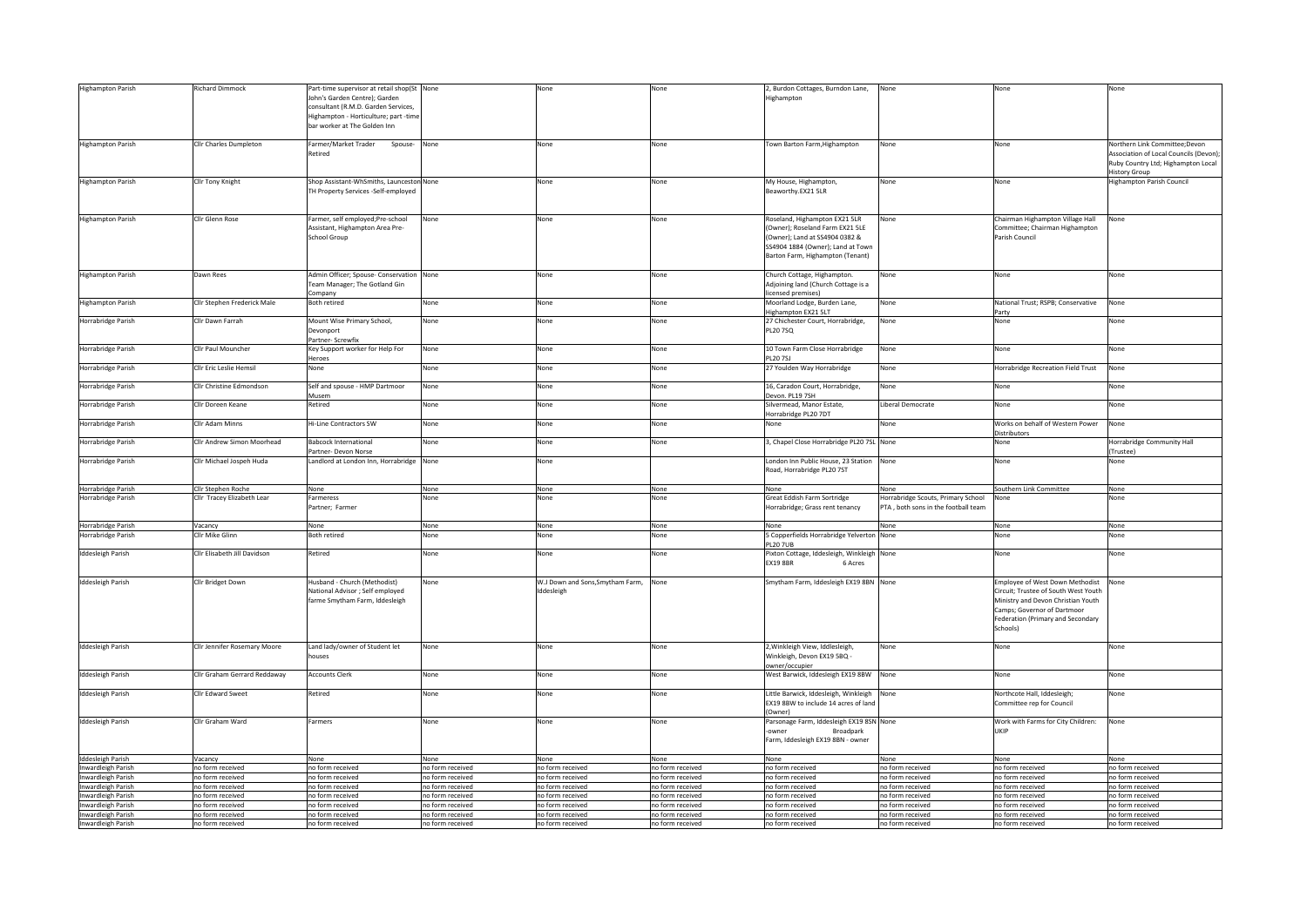| <b>Highampton Parish</b>                 | <b>Richard Dimmock</b>               | Part-time supervisor at retail shop(St None |                                      | Vone                                  | None                                 | 2, Burdon Cottages, Burndon Lane,                                             | Vone                                                                       | None                                                     | None                                   |
|------------------------------------------|--------------------------------------|---------------------------------------------|--------------------------------------|---------------------------------------|--------------------------------------|-------------------------------------------------------------------------------|----------------------------------------------------------------------------|----------------------------------------------------------|----------------------------------------|
|                                          |                                      | John's Garden Centre); Garden               |                                      |                                       |                                      | Highampton                                                                    |                                                                            |                                                          |                                        |
|                                          |                                      | consultant (R.M.D. Garden Services,         |                                      |                                       |                                      |                                                                               |                                                                            |                                                          |                                        |
|                                          |                                      | Highampton - Horticulture; part -time       |                                      |                                       |                                      |                                                                               |                                                                            |                                                          |                                        |
|                                          |                                      | bar worker at The Golden Inn                |                                      |                                       |                                      |                                                                               |                                                                            |                                                          |                                        |
|                                          |                                      |                                             |                                      |                                       |                                      |                                                                               |                                                                            |                                                          |                                        |
| <b>Highampton Parish</b>                 | Cllr Charles Dumpleton               | Farmer/Market Trader<br>Spouse- None        |                                      | None                                  | None                                 | Town Barton Farm, Highampton                                                  | None                                                                       | None                                                     | Northern Link Committee:Devon          |
|                                          |                                      | Retired                                     |                                      |                                       |                                      |                                                                               |                                                                            |                                                          | Association of Local Councils (Devon); |
|                                          |                                      |                                             |                                      |                                       |                                      |                                                                               |                                                                            |                                                          | Ruby Country Ltd; Highampton Local     |
|                                          |                                      |                                             |                                      |                                       |                                      |                                                                               |                                                                            |                                                          | <b>History Group</b>                   |
| Highampton Parish                        | Cllr Tony Knight                     | Shop Assistant-WhSmiths, Launceston None    |                                      | None                                  | None                                 | My House, Highampton,                                                         | None                                                                       | None                                                     | <b>Highampton Parish Council</b>       |
|                                          |                                      | TH Property Services -Self-employed         |                                      |                                       |                                      | Beaworthy.EX21 5LR                                                            |                                                                            |                                                          |                                        |
|                                          |                                      |                                             |                                      |                                       |                                      |                                                                               |                                                                            |                                                          |                                        |
|                                          |                                      |                                             |                                      |                                       |                                      |                                                                               |                                                                            |                                                          |                                        |
| <b>Highampton Parish</b>                 | Cllr Glenn Rose                      | Farmer, self employed;Pre-school            | None                                 | None                                  | None                                 | Roseland, Highampton EX21 5LR                                                 | None                                                                       | Chairman Highampton Village Hall                         | None                                   |
|                                          |                                      | Assistant, Highampton Area Pre-             |                                      |                                       |                                      | (Owner); Roseland Farm EX21 5LE                                               |                                                                            | Committee; Chairman Highampton                           |                                        |
|                                          |                                      | <b>School Group</b>                         |                                      |                                       |                                      | (Owner); Land at SS4904 0382 &                                                |                                                                            | Parish Council                                           |                                        |
|                                          |                                      |                                             |                                      |                                       |                                      | SS4904 1884 (Owner); Land at Town                                             |                                                                            |                                                          |                                        |
|                                          |                                      |                                             |                                      |                                       |                                      | Barton Farm, Highampton (Tenant)                                              |                                                                            |                                                          |                                        |
|                                          |                                      |                                             |                                      |                                       |                                      |                                                                               |                                                                            |                                                          |                                        |
| Highampton Parish                        | Dawn Rees                            | Admin Officer; Spouse- Conservation None    |                                      | None                                  | None                                 | Church Cottage, Highampton.                                                   | None                                                                       | None                                                     | None                                   |
|                                          |                                      | Team Manager; The Gotland Gin               |                                      |                                       |                                      | Adjoining land (Church Cottage is a                                           |                                                                            |                                                          |                                        |
|                                          |                                      | Company                                     |                                      |                                       |                                      | licensed premises)                                                            |                                                                            |                                                          |                                        |
| Highampton Parish                        | Cllr Stephen Frederick Male          | Both retired                                | None                                 | None                                  | None                                 | Moorland Lodge, Burden Lane,                                                  | None                                                                       | National Trust; RSPB; Conservative                       | None                                   |
|                                          |                                      |                                             |                                      |                                       |                                      | Highampton EX21 5LT                                                           |                                                                            | Party                                                    |                                        |
| Horrabridge Parish                       | Cllr Dawn Farrah                     | Mount Wise Primary School,                  | None                                 | None                                  | None                                 | 27 Chichester Court, Horrabridge,                                             | None                                                                       | None                                                     | None                                   |
|                                          |                                      | Devonport                                   |                                      |                                       |                                      | <b>PL20 7SQ</b>                                                               |                                                                            |                                                          |                                        |
|                                          |                                      | Partner- Screwfix                           |                                      |                                       |                                      |                                                                               |                                                                            |                                                          |                                        |
| Horrabridge Parish                       | Cllr Paul Mouncher                   | Key Support worker for Help For             | None                                 | None                                  | None                                 | 10 Town Farm Close Horrabridge                                                | None                                                                       | None                                                     | None                                   |
|                                          |                                      | Heroes                                      |                                      |                                       |                                      | PL20 7SJ                                                                      |                                                                            |                                                          |                                        |
| Horrabridge Parish                       | Cllr Eric Leslie Hemsil              | None                                        | None                                 | None                                  | None                                 | 27 Youlden Way Horrabridge                                                    | None                                                                       | Horrabridge Recreation Field Trust                       | None                                   |
|                                          |                                      |                                             |                                      |                                       |                                      |                                                                               |                                                                            |                                                          |                                        |
| Horrabridge Parish                       | Cllr Christine Edmondson             | Self and spouse - HMP Dartmoor              | None                                 | None                                  | None                                 | 16, Caradon Court, Horrabridge,                                               | None                                                                       | None                                                     | None                                   |
|                                          |                                      | Musem                                       |                                      |                                       |                                      | Devon. PL19 7SH                                                               |                                                                            |                                                          |                                        |
| Horrabridge Parish                       | Cllr Doreen Keane                    | Retired                                     | None                                 | None                                  | None                                 | Silvermead, Manor Estate.                                                     | Liberal Democrate                                                          | None                                                     | None                                   |
|                                          |                                      |                                             |                                      |                                       |                                      | Horrabridge PL20 7DT                                                          |                                                                            |                                                          |                                        |
|                                          | Cllr Adam Minns                      | Hi-Line Contractors SW                      | None                                 | None                                  | None                                 | None                                                                          | None                                                                       | Works on behalf of Western Power                         | None                                   |
| Horrabridge Parish                       |                                      |                                             |                                      |                                       |                                      |                                                                               |                                                                            |                                                          |                                        |
|                                          | Cllr Andrew Simon Moorhead           | <b>Babcock International</b>                | None                                 | None                                  |                                      |                                                                               |                                                                            | Distributors                                             |                                        |
| Horrabridge Parish                       |                                      |                                             |                                      |                                       | None                                 | 3, Chapel Close Horrabridge PL20 7SL None                                     |                                                                            | None                                                     | Horrabridge Community Hall             |
|                                          |                                      | Partner- Devon Norse                        |                                      |                                       |                                      |                                                                               |                                                                            |                                                          | (Trustee)                              |
| Horrabridge Parish                       | Cllr Michael Jospeh Huda             | Landlord at London Inn, Horrabridge         | None                                 | None                                  |                                      | London Inn Public House, 23 Station                                           | None                                                                       | None                                                     | None                                   |
|                                          |                                      |                                             |                                      |                                       |                                      | Road, Horrabridge PL20 7ST                                                    |                                                                            |                                                          |                                        |
|                                          |                                      |                                             |                                      |                                       |                                      |                                                                               |                                                                            |                                                          |                                        |
| Horrabridge Parish                       | Cllr Stephen Roche                   | None                                        | None<br>None                         | None<br>None                          | None                                 | None                                                                          | None                                                                       | Southern Link Committee                                  | None                                   |
|                                          |                                      |                                             |                                      |                                       | None                                 | Great Eddish Farm Sortridge                                                   | Horrabridge Scouts, Primary School<br>PTA . both sons in the football team | None                                                     | None                                   |
| Horrabridge Parish                       | Cllr Tracey Elizabeth Lear           | Farmeress                                   |                                      |                                       |                                      |                                                                               |                                                                            |                                                          |                                        |
|                                          |                                      | Partner; Farmer                             |                                      |                                       |                                      | Horrabridge; Grass rent tenancy                                               |                                                                            |                                                          |                                        |
|                                          |                                      |                                             |                                      |                                       |                                      |                                                                               |                                                                            |                                                          |                                        |
| Horrabridge Parish                       | Vacancy                              | None                                        | None                                 | None                                  | None                                 | None                                                                          | None                                                                       | None                                                     | None                                   |
| <b>Horrabridge Parish</b>                | Cllr Mike Glinn                      | <b>Both retired</b>                         | None                                 | None                                  | None                                 | 5 Copperfields Horrabridge Yelverton                                          | None                                                                       | None                                                     | None                                   |
|                                          |                                      |                                             |                                      |                                       |                                      | <b>PL20 7UB</b>                                                               |                                                                            |                                                          |                                        |
| <b>Iddesleigh Parish</b>                 | Cllr Elisabeth Jill Davidson         | Retired                                     | None                                 | None                                  | None                                 | Pixton Cottage, Iddesleigh, Winkleigh                                         | None                                                                       | None                                                     | None                                   |
|                                          |                                      |                                             |                                      |                                       |                                      | <b>EX19 8BR</b><br>6 Acres                                                    |                                                                            |                                                          |                                        |
|                                          |                                      |                                             |                                      |                                       |                                      |                                                                               |                                                                            |                                                          |                                        |
| Iddesleigh Parish                        | Cllr Bridget Down                    | Husband - Church (Methodist)                | None                                 | W.J Down and Sons, Smytham Farm, None |                                      | Smytham Farm, Iddesleigh EX19 8BN None                                        |                                                                            | Employee of West Down Methodist                          | None                                   |
|                                          |                                      | National Advisor ; Self employed            |                                      | Iddesleigh                            |                                      |                                                                               |                                                                            | Circuit; Trustee of South West Youth                     |                                        |
|                                          |                                      | farme Smytham Farm, Iddesleigh              |                                      |                                       |                                      |                                                                               |                                                                            | Ministry and Devon Christian Youth                       |                                        |
|                                          |                                      |                                             |                                      |                                       |                                      |                                                                               |                                                                            | Camps; Governor of Dartmoor                              |                                        |
|                                          |                                      |                                             |                                      |                                       |                                      |                                                                               |                                                                            | Federation (Primary and Secondary                        |                                        |
|                                          |                                      |                                             |                                      |                                       |                                      |                                                                               |                                                                            | Schools)                                                 |                                        |
|                                          |                                      |                                             |                                      |                                       |                                      |                                                                               |                                                                            |                                                          |                                        |
| <b>Iddesleigh Parish</b>                 | Cllr Jennifer Rosemary Moore         | Land lady/owner of Student let              | None                                 | None                                  | None                                 | 2, Winkleigh View, Iddlesleigh,                                               | None                                                                       | None                                                     | None                                   |
|                                          |                                      | houses                                      |                                      |                                       |                                      | Winkleigh, Devon EX19 5BQ -                                                   |                                                                            |                                                          |                                        |
|                                          |                                      |                                             |                                      |                                       |                                      | owner/occupier                                                                |                                                                            |                                                          |                                        |
|                                          | Cllr Graham Gerrard Reddaway         | <b>Accounts Clerk</b>                       | None                                 | None                                  | None                                 | West Barwick, Iddesleigh EX19 8BW                                             | None                                                                       | None                                                     | None                                   |
| <b>Iddesleigh Parish</b>                 |                                      |                                             |                                      |                                       |                                      |                                                                               |                                                                            |                                                          |                                        |
|                                          | Cllr Edward Sweet                    |                                             | None                                 | None                                  | None                                 |                                                                               |                                                                            |                                                          | None                                   |
| Iddesleigh Parish                        |                                      | Retired                                     |                                      |                                       |                                      | Little Barwick, Iddesleigh, Winkleigh<br>EX19 8BW to include 14 acres of land | None                                                                       | Northcote Hall, Iddesleigh;<br>Committee rep for Council |                                        |
|                                          |                                      |                                             |                                      |                                       |                                      | (Owner)                                                                       |                                                                            |                                                          |                                        |
|                                          |                                      |                                             |                                      |                                       |                                      |                                                                               |                                                                            |                                                          |                                        |
| <b>Iddesleigh Parish</b>                 | Cllr Graham Ward                     | Farmers                                     | None                                 | None                                  | None                                 | Parsonage Farm, Iddesleigh EX19 8SN None<br>owne<br>Broadpark                 |                                                                            | Work with Farms for City Children:<br><b>IIKIP</b>       | None                                   |
|                                          |                                      |                                             |                                      |                                       |                                      |                                                                               |                                                                            |                                                          |                                        |
|                                          |                                      |                                             |                                      |                                       |                                      | Farm, Iddesleigh EX19 8BN - owner                                             |                                                                            |                                                          |                                        |
|                                          |                                      |                                             |                                      |                                       |                                      |                                                                               |                                                                            |                                                          |                                        |
| Iddesleigh Parish                        | Vacancy<br>no form received          | None<br>no form received                    | None                                 | None                                  | None<br>no form received             | None                                                                          | None                                                                       | None<br>no form received                                 | None<br>no form received               |
| Inwardleigh Parish                       |                                      |                                             | no form received                     | no form received                      |                                      | no form received                                                              | no form received                                                           |                                                          |                                        |
| Inwardleigh Parish                       | no form received                     | no form received                            | no form received                     | no form received                      | no form received                     | no form received                                                              | no form received                                                           | no form received                                         | no form received                       |
| Inwardleigh Parish                       | no form received                     | no form received                            | no form received                     | no form received                      | no form received                     | no form received                                                              | no form received                                                           | no form received                                         | no form received                       |
| Inwardleigh Parish                       | no form received<br>no form received | no form received                            | no form received<br>no form received | no form received                      | no form received<br>no form received | no form received<br>no form received                                          | no form received<br>no form received                                       | no form received<br>no form received                     | no form received<br>no form received   |
| Inwardleigh Parish                       |                                      | no form received                            |                                      | no form received                      |                                      |                                                                               |                                                                            |                                                          |                                        |
| Inwardleigh Parish<br>Inwardleigh Parish | no form received<br>no form received | no form received<br>no form received        | no form received<br>no form received | no form received<br>no form received  | no form received<br>no form received | no form received<br>no form received                                          | no form received<br>no form received                                       | no form received<br>no form received                     | no form received<br>no form received   |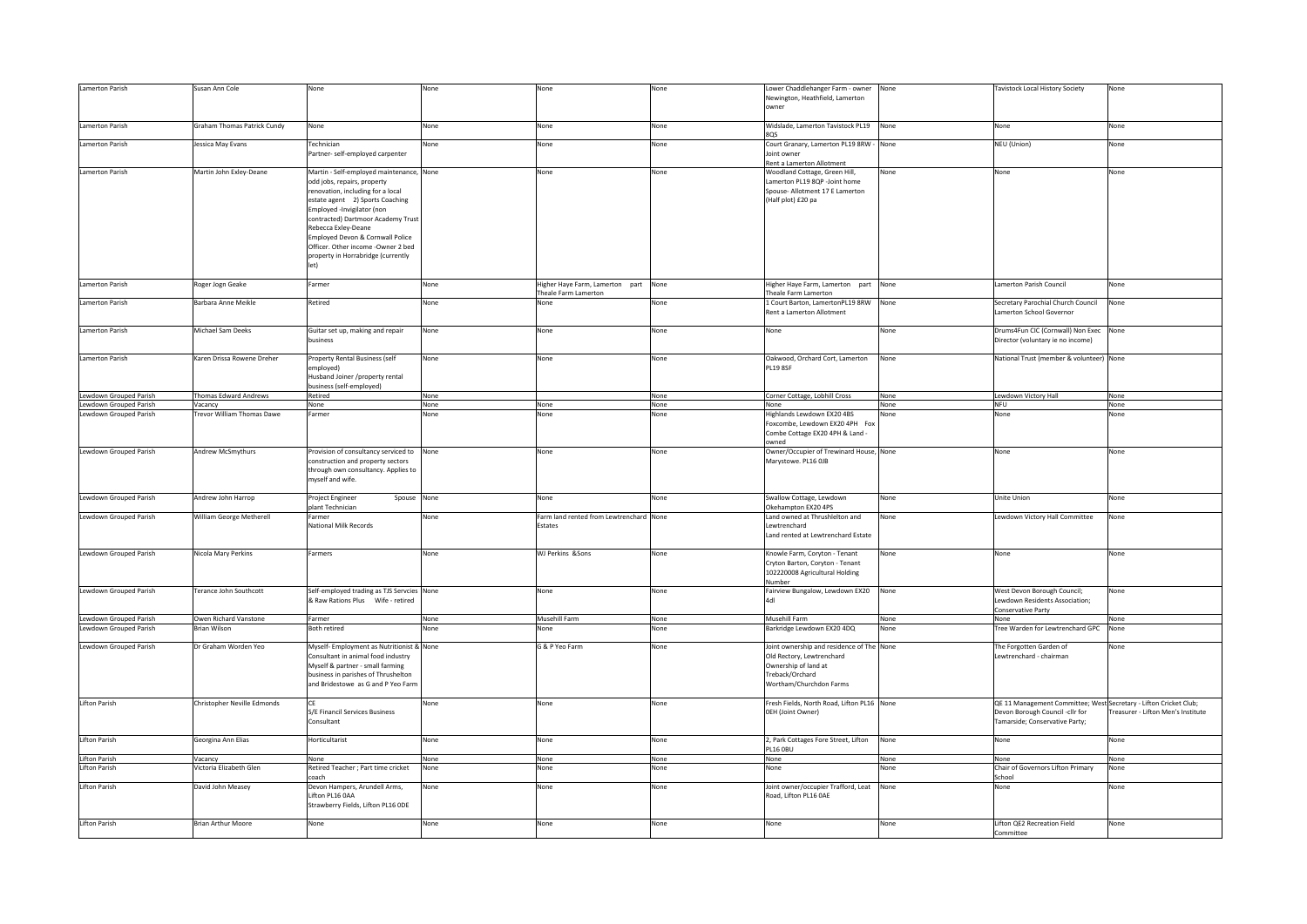| Lamerton Parish                                  | Susan Ann Cole                    | None                                                                     | None         | None                                                    | None         | ower Chaddlehanger Farm - owner                                | None         | Tavistock Local History Society                                   | None                               |
|--------------------------------------------------|-----------------------------------|--------------------------------------------------------------------------|--------------|---------------------------------------------------------|--------------|----------------------------------------------------------------|--------------|-------------------------------------------------------------------|------------------------------------|
|                                                  |                                   |                                                                          |              |                                                         |              | Newington, Heathfield, Lamerton                                |              |                                                                   |                                    |
|                                                  |                                   |                                                                          |              |                                                         |              | owner                                                          |              |                                                                   |                                    |
|                                                  |                                   | None                                                                     | None         |                                                         | None         | Widslade, Lamerton Tavistock PL19                              | None         |                                                                   |                                    |
| Lamerton Parish                                  | Graham Thomas Patrick Cundy       |                                                                          |              | None                                                    |              | 805                                                            |              | None                                                              | None                               |
| Lamerton Parish                                  | lessica May Evans                 | Technician                                                               | None         | None                                                    | None         | Court Granary, Lamerton PL19 8RW - None                        |              | NEU (Union)                                                       | None                               |
|                                                  |                                   | Partner- self-employed carpenter                                         |              |                                                         |              | Joint owner<br>Rent a Lamerton Allotment                       |              |                                                                   |                                    |
| Lamerton Parish                                  | Martin John Exley-Deane           | Martin - Self-employed maintenance, None                                 |              | None                                                    | None         | <b>Noodland Cottage, Green Hill,</b>                           | None         | None                                                              | None                               |
|                                                  |                                   | odd jobs, repairs, property                                              |              |                                                         |              | amerton PL19 8QP -Joint home                                   |              |                                                                   |                                    |
|                                                  |                                   | renovation, including for a local                                        |              |                                                         |              | Spouse- Allotment 17 E Lamerton                                |              |                                                                   |                                    |
|                                                  |                                   | estate agent 2) Sports Coaching                                          |              |                                                         |              | (Half plot) £20 pa                                             |              |                                                                   |                                    |
|                                                  |                                   | Employed -Invigilator (non                                               |              |                                                         |              |                                                                |              |                                                                   |                                    |
|                                                  |                                   | contracted) Dartmoor Academy Trust                                       |              |                                                         |              |                                                                |              |                                                                   |                                    |
|                                                  |                                   | Rebecca Exley-Deane                                                      |              |                                                         |              |                                                                |              |                                                                   |                                    |
|                                                  |                                   | Employed Devon & Cornwall Police                                         |              |                                                         |              |                                                                |              |                                                                   |                                    |
|                                                  |                                   | Officer. Other income -Owner 2 bed<br>property in Horrabridge (currently |              |                                                         |              |                                                                |              |                                                                   |                                    |
|                                                  |                                   | let)                                                                     |              |                                                         |              |                                                                |              |                                                                   |                                    |
|                                                  |                                   |                                                                          |              |                                                         |              |                                                                |              |                                                                   |                                    |
| Lamerton Parish                                  | Roger Jogn Geake                  | Farmer                                                                   | None         | Higher Haye Farm, Lamerton part<br>Theale Farm Lamerton | None         | Higher Have Farm, Lamerton part<br><b>Theale Farm Lamerton</b> | None         | Lamerton Parish Council                                           | None                               |
| Lamerton Parish                                  | Barbara Anne Meikle               | Retired                                                                  | None         | None                                                    | None         | 1 Court Barton, LamertonPL19 8RW                               | None         | Secretary Parochial Church Council                                | None                               |
|                                                  |                                   |                                                                          |              |                                                         |              | Rent a Lamerton Allotment                                      |              | Lamerton School Governor                                          |                                    |
|                                                  |                                   |                                                                          |              |                                                         |              |                                                                |              |                                                                   |                                    |
| Lamerton Parish                                  | Michael Sam Deeks                 | Guitar set up, making and repair                                         | None         | None                                                    | None         | None                                                           | None         | Drums4Fun CIC (Cornwall) Non Exec None                            |                                    |
|                                                  |                                   | business                                                                 |              |                                                         |              |                                                                |              | Director (voluntary ie no income)                                 |                                    |
| Lamerton Parish                                  | Karen Drissa Rowene Dreher        | Property Rental Business (self                                           | None         | None                                                    | None         | Oakwood, Orchard Cort, Lamerton                                | None         | National Trust (member & volunteer) None                          |                                    |
|                                                  |                                   | emploved)                                                                |              |                                                         |              | <b>PL19 8SF</b>                                                |              |                                                                   |                                    |
|                                                  |                                   | Husband Joiner /property rental                                          |              |                                                         |              |                                                                |              |                                                                   |                                    |
|                                                  | Thomas Edward Andrews             | business (self-employed)                                                 |              |                                                         |              |                                                                |              |                                                                   |                                    |
| Lewdown Grouped Parish<br>Lewdown Grouped Parish | Vacancy                           | Retired<br>None                                                          | None<br>None | None                                                    | None<br>None | Corner Cottage, Lobhill Cross<br>None                          | None<br>None | Lewdown Victory Hall<br><b>NFU</b>                                | None<br>None                       |
| Lewdown Grouped Parish                           | <b>Trevor William Thomas Dawe</b> | Farmer                                                                   | None         | None                                                    | None         | Highlands Lewdown EX20 4BS                                     | Vone         | None                                                              | None                               |
|                                                  |                                   |                                                                          |              |                                                         |              | Foxcombe, Lewdown EX20 4PH Fox                                 |              |                                                                   |                                    |
|                                                  |                                   |                                                                          |              |                                                         |              | Combe Cottage EX20 4PH & Land -                                |              |                                                                   |                                    |
|                                                  |                                   |                                                                          |              |                                                         |              | owned                                                          |              |                                                                   |                                    |
| Lewdown Grouped Parish                           | Andrew McSmythurs                 | Provision of consultancy serviced to                                     | None         | None                                                    | None         | Owner/Occupier of Trewinard House, None                        |              | None                                                              | None                               |
|                                                  |                                   | construction and property sectors<br>through own consultancy. Applies to |              |                                                         |              | Marystowe. PL16 OJB                                            |              |                                                                   |                                    |
|                                                  |                                   | myself and wife.                                                         |              |                                                         |              |                                                                |              |                                                                   |                                    |
|                                                  |                                   |                                                                          |              |                                                         |              |                                                                |              |                                                                   |                                    |
| Lewdown Grouped Parish                           | Andrew John Harrop                | Project Engineer<br>Spouse                                               | None         | None                                                    | None         | Swallow Cottage, Lewdown                                       | None         | Unite Union                                                       | None                               |
| Lewdown Grouped Parish                           | William George Metherell          | plant Technician<br>Farmer                                               | None         | Farm land rented from Lewtrenchard None                 |              | Okehampton EX20 4PS<br>Land owned at Thrushlelton and          |              | Lewdown Victory Hall Committee                                    | None                               |
|                                                  |                                   | National Milk Records                                                    |              | Estates                                                 |              | ewtrenchard                                                    | None         |                                                                   |                                    |
|                                                  |                                   |                                                                          |              |                                                         |              | Land rented at Lewtrenchard Estate                             |              |                                                                   |                                    |
|                                                  |                                   |                                                                          |              |                                                         |              |                                                                |              |                                                                   |                                    |
| Lewdown Grouped Parish                           | Nicola Mary Perkins               | Farmers                                                                  | None         | WJ Perkins &Sons                                        | None         | Knowle Farm, Coryton - Tenant                                  | None         | None                                                              | None                               |
|                                                  |                                   |                                                                          |              |                                                         |              | Cryton Barton, Coryton - Tenant                                |              |                                                                   |                                    |
|                                                  |                                   |                                                                          |              |                                                         |              | 102220008 Agricultural Holding                                 |              |                                                                   |                                    |
| Lewdown Grouped Parish                           | <b>Terance John Southcott</b>     | Self-employed trading as TJS Servcies None                               |              | None                                                    | None         | Number<br>Fairview Bungalow, Lewdown EX20                      | None         | West Devon Borough Council;                                       | None                               |
|                                                  |                                   | & Raw Rations Plus Wife - retired                                        |              |                                                         |              | 1HA                                                            |              | Lewdown Residents Association;                                    |                                    |
|                                                  |                                   |                                                                          |              |                                                         |              |                                                                |              | Conservative Party                                                |                                    |
| Lewdown Grouped Parish                           | Owen Richard Vanstone             | Farmer                                                                   | None         | Musehill Farm                                           | None         | Musehill Farm                                                  | None         | None                                                              | None                               |
| Lewdown Grouped Parish                           | Brian Wilson                      | <b>Both retired</b>                                                      | None         | None                                                    | None         | Barkridge Lewdown EX20 4DQ                                     | None         | Tree Warden for Lewtrenchard GPC                                  | None                               |
| Lewdown Grouped Parish                           | Dr Graham Worden Yeo              | Myself- Employment as Nutritionist & None                                |              | G & P Yeo Farm                                          | None         | Joint ownership and residence of The None                      |              | The Forgotten Garden of                                           | None                               |
|                                                  |                                   | Consultant in animal food industry                                       |              |                                                         |              | Old Rectory, Lewtrenchard                                      |              | Lewtrenchard - chairman                                           |                                    |
|                                                  |                                   | Myself & partner - small farming                                         |              |                                                         |              | Ownership of land at                                           |              |                                                                   |                                    |
|                                                  |                                   | business in parishes of Thrushelton                                      |              |                                                         |              | Treback/Orchard                                                |              |                                                                   |                                    |
|                                                  |                                   | and Bridestowe as G and P Yeo Farm                                       |              |                                                         |              | Wortham/Churchdon Farms                                        |              |                                                                   |                                    |
| <b>Lifton Parish</b>                             | Christopher Neville Edmonds       | CE                                                                       | None         | None                                                    | None         | Fresh Fields, North Road, Lifton PL16 None                     |              | QE 11 Management Committee; West Secretary - Lifton Cricket Club; |                                    |
|                                                  |                                   | S/E Financil Services Business                                           |              |                                                         |              | OEH (Joint Owner)                                              |              | Devon Borough Council -cllr for                                   | Treasurer - Lifton Men's Institute |
|                                                  |                                   | Consultant                                                               |              |                                                         |              |                                                                |              | Tamarside; Conservative Party;                                    |                                    |
|                                                  |                                   |                                                                          |              |                                                         |              |                                                                |              |                                                                   |                                    |
| Lifton Parish                                    | Georgina Ann Elias                | Horticultarist                                                           | None         | None                                                    | None         | 2, Park Cottages Fore Street, Lifton<br>L16 OBU                | None         | None                                                              | None                               |
| Lifton Parish                                    | Vacancy                           | None                                                                     | None         | None                                                    | None         | None                                                           | None         | None                                                              | None                               |
| Lifton Parish                                    | /ictoria Elizabeth Glen           | Retired Teacher ; Part time cricket                                      | None         | None                                                    | None         | None                                                           | None         | Chair of Governors Lifton Primary                                 | None                               |
|                                                  |                                   | coach                                                                    |              |                                                         |              |                                                                |              | School                                                            |                                    |
| Lifton Parish                                    | David John Measey                 | Devon Hampers, Arundell Arms,                                            | None         | None                                                    | None         | Joint owner/occupier Trafford, Leat                            | None         | None                                                              | None                               |
|                                                  |                                   | Lifton PL16 0AA<br>Strawberry Fields, Lifton PL16 ODE                    |              |                                                         |              | Road, Lifton PL16 OAE                                          |              |                                                                   |                                    |
|                                                  |                                   |                                                                          |              |                                                         |              |                                                                |              |                                                                   |                                    |
| Lifton Parish                                    | <b>Brian Arthur Moore</b>         | None                                                                     | None         | None                                                    | None         | None                                                           | None         | Lifton QE2 Recreation Field                                       | None                               |
|                                                  |                                   |                                                                          |              |                                                         |              |                                                                |              | Committee                                                         |                                    |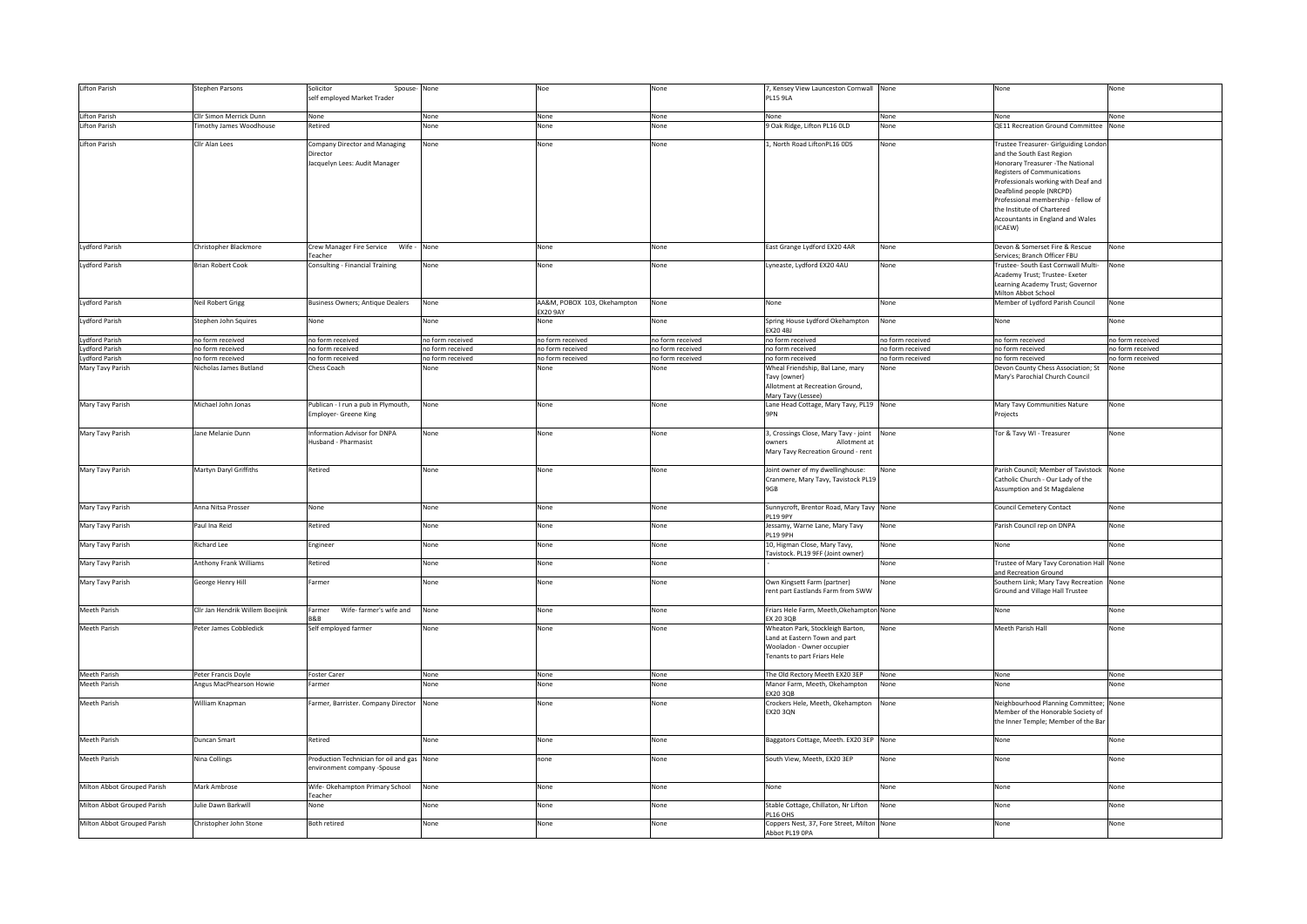| Lifton Parish               | Stephen Parsons                  | Solicitor<br>Spouse-None<br>self employed Market Trader                    |                  | Noe                                            | None             | 7, Kensey View Launceston Cornwall None<br><b>PL15 9LA</b>                                                                    |                  | None                                                                                                                                                                                                                                                                                                                          | None             |
|-----------------------------|----------------------------------|----------------------------------------------------------------------------|------------------|------------------------------------------------|------------------|-------------------------------------------------------------------------------------------------------------------------------|------------------|-------------------------------------------------------------------------------------------------------------------------------------------------------------------------------------------------------------------------------------------------------------------------------------------------------------------------------|------------------|
|                             |                                  |                                                                            |                  |                                                |                  |                                                                                                                               |                  |                                                                                                                                                                                                                                                                                                                               |                  |
| Lifton Parish               | Cllr Simon Merrick Dunn          | None                                                                       | None             | None                                           | None             | None                                                                                                                          | None             | None                                                                                                                                                                                                                                                                                                                          | None             |
| Lifton Parish               | imothy James Woodhouse           | Retired                                                                    | None             | None                                           | None             | 9 Oak Ridge, Lifton PL16 OLD                                                                                                  | None             | QE11 Recreation Ground Committee                                                                                                                                                                                                                                                                                              | None             |
| Lifton Parish               | Cllr Alan Lees                   | Company Director and Managing<br>Director<br>Jacquelyn Lees: Audit Manager | None             | None                                           | None             | 1, North Road LiftonPL16 ODS                                                                                                  | None             | Trustee Treasurer- Girlguiding Londor<br>and the South East Region<br>Honorary Treasurer - The National<br>Registers of Communications<br>Professionals working with Deaf and<br>Deafblind people (NRCPD)<br>Professional membership - fellow of<br>the Institute of Chartered<br>Accountants in England and Wales<br>(ICAEW) |                  |
| Lydford Parish              | Christopher Blackmore            | feacher                                                                    |                  | None                                           | None             | East Grange Lydford EX20 4AR                                                                                                  | None             | Devon & Somerset Fire & Rescue<br>Services; Branch Officer FBU                                                                                                                                                                                                                                                                | None             |
| <b>Lydford Parish</b>       | <b>Brian Robert Cook</b>         |                                                                            | None             | None                                           | None             |                                                                                                                               | None             |                                                                                                                                                                                                                                                                                                                               | None             |
|                             |                                  | Consulting - Financial Training                                            |                  |                                                |                  | Lyneaste, Lydford EX20 4AU                                                                                                    |                  | Trustee- South East Cornwall Multi-<br>Academy Trust; Trustee- Exeter<br>Learning Academy Trust; Governor<br>Milton Abbot School                                                                                                                                                                                              |                  |
| <b>Lydford Parish</b>       | Neil Robert Grigg                | Business Owners; Antique Dealers                                           | None             | AA&M, POBOX 103, Okehampton<br><b>EX20 9AY</b> | None             | None                                                                                                                          | None             | Member of Lydford Parish Council                                                                                                                                                                                                                                                                                              | None             |
| <b>Lydford Parish</b>       | Stephen John Squires             | None                                                                       | None             | None                                           | None             | Spring House Lydford Okehampton<br>EX20 4BJ                                                                                   | None             | None                                                                                                                                                                                                                                                                                                                          | None             |
| <b>Lydford Parish</b>       | no form received                 | no form received                                                           | no form received | no form received                               | no form received | no form received                                                                                                              | no form received | no form received                                                                                                                                                                                                                                                                                                              | no form received |
| <b>Lydford Parish</b>       | no form received                 | no form received                                                           | no form received | no form received                               | no form received | no form received                                                                                                              | no form received | no form received                                                                                                                                                                                                                                                                                                              | no form received |
| <b>Lydford Parish</b>       | no form received                 | no form received                                                           | no form received | no form received                               | no form received | no form received                                                                                                              | no form received | no form received                                                                                                                                                                                                                                                                                                              | no form received |
| Mary Tavy Parish            | Nicholas James Butland           | Chess Coach                                                                | None             | None                                           | None             | Wheal Friendship, Bal Lane, mary<br>Tavy (owner)<br>Allotment at Recreation Ground,<br>Mary Tavy (Lessee)                     | None             | Devon County Chess Association; St<br>Mary's Parochial Church Council                                                                                                                                                                                                                                                         | None             |
| Mary Tavy Parish            | Michael John Jonas               | Publican - I run a pub in Plymouth,<br>Employer- Greene King               | None             | None                                           | None             | Lane Head Cottage, Mary Tavy, PL19 None<br><b>9PN</b>                                                                         |                  | Mary Tavy Communities Nature<br>Projects                                                                                                                                                                                                                                                                                      | None             |
| Mary Tavy Parish            | Jane Melanie Dunn                | Information Advisor for DNPA<br>Husband - Pharmasist                       | None             | None                                           | None             | 3, Crossings Close, Mary Tavy - joint<br>owners<br>Allotment at<br>Mary Tavy Recreation Ground - rent                         | None             | Tor & Tavy WI - Treasurer                                                                                                                                                                                                                                                                                                     | None             |
| Mary Tavy Parish            | Martyn Daryl Griffiths           | Retired                                                                    | None             | None                                           | None             | Joint owner of my dwellinghouse:<br>Cranmere, Mary Tavy, Tavistock PL19<br>9GB                                                | None             | Parish Council; Member of Tavistock None<br>Catholic Church - Our Lady of the<br>Assumption and St Magdalene                                                                                                                                                                                                                  |                  |
| Mary Tavy Parish            | Anna Nitsa Prosser               | None                                                                       | None             | None                                           | None             | Sunnycroft, Brentor Road, Mary Tavy None<br>PL19 9PY                                                                          |                  | Council Cemetery Contact                                                                                                                                                                                                                                                                                                      | None             |
| Mary Tavy Parish            | Paul Ina Reid                    | Retired                                                                    | None             | None                                           | None             | Jessamy, Warne Lane, Mary Tavy<br>PL19 9PH                                                                                    | None             | Parish Council rep on DNPA                                                                                                                                                                                                                                                                                                    | None             |
| Mary Tavy Parish            | Richard Lee                      | Engineer                                                                   | None             | None                                           | None             | 10, Higman Close, Mary Tavy,<br>Tavistock. PL19 9FF (Joint owner)                                                             | None             | None                                                                                                                                                                                                                                                                                                                          | None             |
| Mary Tavy Parish            | Anthony Frank Williams           | Retired                                                                    | None             | None                                           | None             |                                                                                                                               | None             | Trustee of Mary Tavy Coronation Hall None<br>and Recreation Ground                                                                                                                                                                                                                                                            |                  |
| Mary Tavy Parish            | George Henry Hill                | Farmer                                                                     | None             | None                                           | None             | Own Kingsett Farm (partner)<br>rent part Eastlands Farm from SWW                                                              | None             | Southern Link; Mary Tavy Recreation None<br>Ground and Village Hall Trustee                                                                                                                                                                                                                                                   |                  |
| <b>Meeth Parish</b>         | Cllr Jan Hendrik Willem Boeijink | Wife- farmer's wife and<br>Farmer<br><b>R&amp;R</b>                        | None             | None                                           | None             | Friars Hele Farm, Meeth, Okehampton None<br>EX 20 3QB                                                                         |                  | None                                                                                                                                                                                                                                                                                                                          | None             |
| Meeth Parish                | Peter James Cobbledick           | Self employed farmer                                                       | None             | None                                           | None             | Wheaton Park, Stockleigh Barton,<br>Land at Eastern Town and part<br>Wooladon - Owner occupier<br>Tenants to part Friars Hele | None             | Meeth Parish Hall                                                                                                                                                                                                                                                                                                             | None             |
| Meeth Parish                | Peter Francis Doyle              | Foster Carer                                                               | None             | None                                           | None             | The Old Rectory Meeth EX20 3EP                                                                                                | None             | None                                                                                                                                                                                                                                                                                                                          | None             |
| <b>Meeth Parish</b>         | Angus MacPhearson Howie          | Farmer                                                                     | None             | None                                           | None             | Manor Farm, Meeth, Okehampton<br><b>EX20 3QB</b>                                                                              | None             | None                                                                                                                                                                                                                                                                                                                          | None             |
| Meeth Parish                | William Knapman                  | Farmer, Barrister. Company Director None                                   |                  | None                                           | None             | Crockers Hele, Meeth, Okehampton None<br><b>EX20 3QN</b>                                                                      |                  | Neighbourhood Planning Committee; None<br>Member of the Honorable Society of<br>the Inner Temple; Member of the Bar                                                                                                                                                                                                           |                  |
| Meeth Parish                | Duncan Smart                     | Retired                                                                    | None             | None                                           | None             | Baggators Cottage, Meeth. EX20 3EP None                                                                                       |                  | None                                                                                                                                                                                                                                                                                                                          | None             |
| Meeth Parish                | Nina Collings                    | Production Technician for oil and gas None<br>environment company -Spouse  |                  | none                                           | None             | South View, Meeth, EX20 3EP                                                                                                   | None             | None                                                                                                                                                                                                                                                                                                                          | None             |
| Milton Abbot Grouped Parish | Mark Ambrose                     | Wife-Okehampton Primary School<br>Teacher                                  | None             | None                                           | None             | None                                                                                                                          | None             | None                                                                                                                                                                                                                                                                                                                          | None             |
| Milton Abbot Grouped Parish | Julie Dawn Barkwill              | None                                                                       | None             | None                                           | None             | Stable Cottage, Chillaton, Nr Lifton<br>PL16 OHS                                                                              | None             | None                                                                                                                                                                                                                                                                                                                          | None             |
| Milton Abbot Grouped Parish | Christopher John Stone           | <b>Both retired</b>                                                        | None             | None                                           | None             | Coppers Nest, 37, Fore Street, Milton None<br>Abbot PL19 OPA                                                                  |                  | None                                                                                                                                                                                                                                                                                                                          | None             |
|                             |                                  |                                                                            |                  |                                                |                  |                                                                                                                               |                  |                                                                                                                                                                                                                                                                                                                               |                  |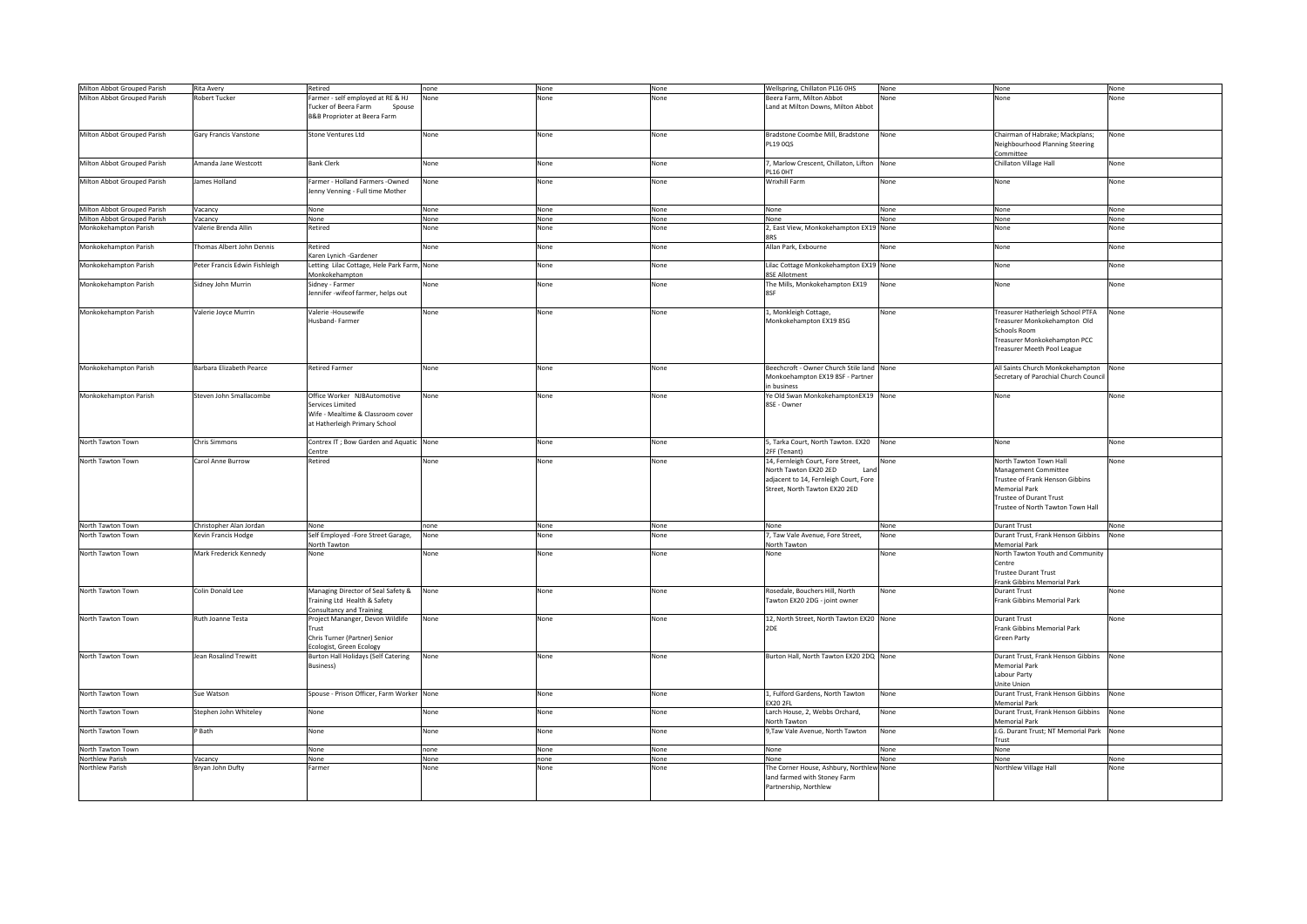| Milton Abbot Grouped Parish | Rita Avery                    | Retired                                     | None<br>none | None | Wellspring, Chillaton PL16 OHS             | None | None                                 | None |
|-----------------------------|-------------------------------|---------------------------------------------|--------------|------|--------------------------------------------|------|--------------------------------------|------|
| Milton Abbot Grouped Parish | <b>Robert Tucker</b>          | Farmer - self employed at RE & HJ           | None<br>None | None | Beera Farm, Milton Abbot                   | None | None                                 | None |
|                             |                               | Tucker of Beera Farm<br>Spouse              |              |      | Land at Milton Downs, Milton Abbot         |      |                                      |      |
|                             |                               | B&B Proprioter at Beera Farm                |              |      |                                            |      |                                      |      |
|                             |                               |                                             |              |      |                                            |      |                                      |      |
|                             |                               |                                             |              |      |                                            |      |                                      |      |
| Milton Abbot Grouped Parish | Gary Francis Vanstone         | Stone Ventures Ltd                          | None<br>None | None | Bradstone Coombe Mill, Bradstone           | None | Chairman of Habrake; Mackplans;      | None |
|                             |                               |                                             |              |      | PL19 0QS                                   |      | Neighbourhood Planning Steering      |      |
|                             |                               |                                             |              |      |                                            |      |                                      |      |
|                             |                               |                                             |              |      |                                            |      | Committee                            |      |
| Milton Abbot Grouped Parish | Amanda Jane Westcott          | <b>Bank Clerk</b>                           | None<br>None | None | 7, Marlow Crescent, Chillaton, Lifton None |      | Chillaton Village Hall               | None |
|                             |                               |                                             |              |      | PL16 OHT                                   |      |                                      |      |
| Milton Abbot Grouped Parish | James Holland                 | Farmer - Holland Farmers -Owned             | None<br>None | None | Wrixhill Farm                              | None | None                                 | None |
|                             |                               |                                             |              |      |                                            |      |                                      |      |
|                             |                               | enny Venning - Full time Mother             |              |      |                                            |      |                                      |      |
|                             |                               |                                             |              |      |                                            |      |                                      |      |
| Milton Abbot Grouped Parish | Vacancy                       | None                                        | None<br>None | None | None                                       | None | None                                 | None |
|                             |                               |                                             |              |      |                                            |      |                                      |      |
| Milton Abbot Grouped Parish | Vacancy                       | None                                        | None<br>None | None | None                                       | None | None                                 | None |
| Monkokehampton Parish       | Valerie Brenda Allin          | Retired                                     | None<br>None | None | 2, East View, Monkokehampton EX19 None     |      | None                                 | None |
|                             |                               |                                             |              |      | <b>SRS</b>                                 |      |                                      |      |
| Monkokehampton Parish       | Thomas Albert John Dennis     | Retired                                     | None<br>None | None | Allan Park, Exbourne                       | None | None                                 | None |
|                             |                               |                                             |              |      |                                            |      |                                      |      |
|                             |                               | Karen Lynich -Gardener                      |              |      |                                            |      |                                      |      |
| Monkokehampton Parish       | Peter Francis Edwin Fishleigh | Letting Lilac Cottage, Hele Park Farm, None | None         | None | Lilac Cottage Monkokehampton EX19 None     |      | None                                 | None |
|                             |                               | Monkokehampton                              |              |      | <b>8SE Allotment</b>                       |      |                                      |      |
|                             |                               |                                             |              |      |                                            |      |                                      |      |
| Monkokehampton Parish       | Sidney John Murrin            | Sidney - Farmer                             | None<br>None | None | The Mills, Monkokehampton EX19             | None | None                                 | None |
|                             |                               | lennifer -wifeof farmer, helps out          |              |      | 8SF                                        |      |                                      |      |
|                             |                               |                                             |              |      |                                            |      |                                      |      |
| Monkokehampton Parish       | Valerie Joyce Murrin          | Valerie -Housewife                          | None<br>None | None | 1, Monkleigh Cottage,                      | None | Treasurer Hatherleigh School PTFA    | None |
|                             |                               |                                             |              |      |                                            |      |                                      |      |
|                             |                               | lusband- Farmer                             |              |      | Monkokehampton EX19 8SG                    |      | reasurer Monkokehampton Old          |      |
|                             |                               |                                             |              |      |                                            |      | chools Room                          |      |
|                             |                               |                                             |              |      |                                            |      | Freasurer Monkokehampton PCC         |      |
|                             |                               |                                             |              |      |                                            |      |                                      |      |
|                             |                               |                                             |              |      |                                            |      | Freasurer Meeth Pool League          |      |
|                             |                               |                                             |              |      |                                            |      |                                      |      |
| Monkokehampton Parish       | Barbara Elizabeth Pearce      | <b>Retired Farmer</b>                       | None<br>None | None | Beechcroft - Owner Church Stile land None  |      | All Saints Church Monkokehampton     | None |
|                             |                               |                                             |              |      |                                            |      |                                      |      |
|                             |                               |                                             |              |      | Monkoehampton EX19 8SF - Partner           |      | Secretary of Parochial Church Counci |      |
|                             |                               |                                             |              |      | in business                                |      |                                      |      |
| Monkokehampton Parish       | Steven John Smallacombe       | Office Worker NJBAutomotive                 | None<br>None | None | Ye Old Swan MonkokehamptonEX19 None        |      | None                                 | None |
|                             |                               |                                             |              |      | 8SE - Owner                                |      |                                      |      |
|                             |                               | Services Limited                            |              |      |                                            |      |                                      |      |
|                             |                               | Wife - Mealtime & Classroom cover           |              |      |                                            |      |                                      |      |
|                             |                               | at Hatherleigh Primary School               |              |      |                                            |      |                                      |      |
|                             |                               |                                             |              |      |                                            |      |                                      |      |
|                             |                               |                                             |              |      |                                            |      |                                      |      |
| North Tawton Town           | Chris Simmons                 | Contrex IT ; Bow Garden and Aquatic None    | None         | None | 5, Tarka Court, North Tawton. EX20 None    |      | None                                 | None |
|                             |                               | entre:                                      |              |      | 2FF (Tenant)                               |      |                                      |      |
| North Tawton Town           | Carol Anne Burrow             | Retired                                     | None<br>None | None | 14, Fernleigh Court, Fore Street,          | None | North Tawton Town Hall               | None |
|                             |                               |                                             |              |      |                                            |      |                                      |      |
|                             |                               |                                             |              |      | North Tawton EX20 2ED<br>Land              |      | Management Committee                 |      |
|                             |                               |                                             |              |      | adjacent to 14, Fernleigh Court, Fore      |      | Trustee of Frank Henson Gibbins      |      |
|                             |                               |                                             |              |      | Street, North Tawton EX20 2ED              |      | Memorial Park                        |      |
|                             |                               |                                             |              |      |                                            |      | Trustee of Durant Trust              |      |
|                             |                               |                                             |              |      |                                            |      |                                      |      |
|                             |                               |                                             |              |      |                                            |      | Trustee of North Tawton Town Hall    |      |
|                             |                               |                                             |              |      |                                            |      |                                      |      |
| North Tawton Town           | Christopher Alan Jordan       |                                             | None         | None | None                                       | None | <b>Durant Trust</b>                  |      |
|                             |                               | None                                        | none         |      |                                            |      |                                      | None |
| North Tawton Town           | Kevin Francis Hodge           | Self Employed -Fore Street Garage,          | None<br>None | None | 7, Taw Vale Avenue, Fore Street,           | None | Durant Trust, Frank Henson Gibbins   | None |
|                             |                               | North Tawton                                |              |      | North Tawton                               |      | <b>Memorial Park</b>                 |      |
| North Tawton Town           | Mark Frederick Kennedy        | None                                        | None<br>None | None | None                                       | None | North Tawton Youth and Community     |      |
|                             |                               |                                             |              |      |                                            |      |                                      |      |
|                             |                               |                                             |              |      |                                            |      | Centre                               |      |
|                             |                               |                                             |              |      |                                            |      | <b>Trustee Durant Trust</b>          |      |
|                             |                               |                                             |              |      |                                            |      | Frank Gibbins Memorial Park          |      |
|                             |                               |                                             | None         |      |                                            | None |                                      | None |
| North Tawton Town           | Colin Donald Lee              | Managing Director of Seal Safety &          | None         | None | Rosedale, Bouchers Hill, North             |      | <b>Durant Trust</b>                  |      |
|                             |                               | Training Ltd Health & Safety                |              |      | Tawton EX20 2DG - joint owner              |      | Frank Gibbins Memorial Park          |      |
|                             |                               | Consultancy and Training                    |              |      |                                            |      |                                      |      |
| North Tawton Town           | Ruth Joanne Testa             | Project Mananger, Devon Wildlife            | None<br>None | None | 12, North Street, North Tawton EX20 None   |      | Durant Trust                         | None |
|                             |                               |                                             |              |      |                                            |      |                                      |      |
|                             |                               | Trust                                       |              |      | 2DE                                        |      | Frank Gibbins Memorial Park          |      |
|                             |                               | Chris Turner (Partner) Senior               |              |      |                                            |      | <b>Green Party</b>                   |      |
|                             |                               | Ecologist, Green Ecology                    |              |      |                                            |      |                                      |      |
| North Tawton Town           | Jean Rosalind Trewitt         | Burton Hall Holidays (Self Catering         | None<br>None | None | Burton Hall, North Tawton EX20 2DQ None    |      | Durant Trust, Frank Henson Gibbins   | None |
|                             |                               |                                             |              |      |                                            |      |                                      |      |
|                             |                               | Business)                                   |              |      |                                            |      | Memorial Park                        |      |
|                             |                               |                                             |              |      |                                            |      | Labour Party                         |      |
|                             |                               |                                             |              |      |                                            |      | Unite Union                          |      |
|                             |                               |                                             |              |      |                                            |      |                                      |      |
| North Tawton Town           | Sue Watson                    | Spouse - Prison Officer, Farm Worker None   | None         | None | 1, Fulford Gardens, North Tawton           | None | Durant Trust, Frank Henson Gibbins   | None |
|                             |                               |                                             |              |      | <b>EX20 2FL</b>                            |      | Memorial Park                        |      |
| North Tawton Town           | Stephen John Whiteley         | None                                        | None<br>None | None | Larch House, 2, Webbs Orchard,             | None | Durant Trust, Frank Henson Gibbins   | None |
|                             |                               |                                             |              |      | North Tawton                               |      | <b>Memorial Park</b>                 |      |
|                             |                               |                                             |              |      |                                            |      |                                      |      |
| North Tawton Town           | P Bath                        | None                                        | None<br>None | None | 9, Taw Vale Avenue, North Tawton           | None | J.G. Durant Trust; NT Memorial Park  | None |
|                             |                               |                                             |              |      |                                            |      | Trust                                |      |
| North Tawton Town           |                               | None                                        | none<br>None | None | None                                       | None | None                                 |      |
|                             |                               |                                             |              |      |                                            |      |                                      |      |
| Northlew Parish             | Vacancy                       | None                                        | None<br>none | None | None                                       | None | None                                 | None |
| Northlew Parish             | Bryan John Dufty              | Farmer                                      | None<br>None | None | The Corner House, Ashbury, Northlew None   |      | Northlew Village Hall                | None |
|                             |                               |                                             |              |      | land farmed with Stoney Farm               |      |                                      |      |
|                             |                               |                                             |              |      |                                            |      |                                      |      |
|                             |                               |                                             |              |      | Partnership, Northlew                      |      |                                      |      |
|                             |                               |                                             |              |      |                                            |      |                                      |      |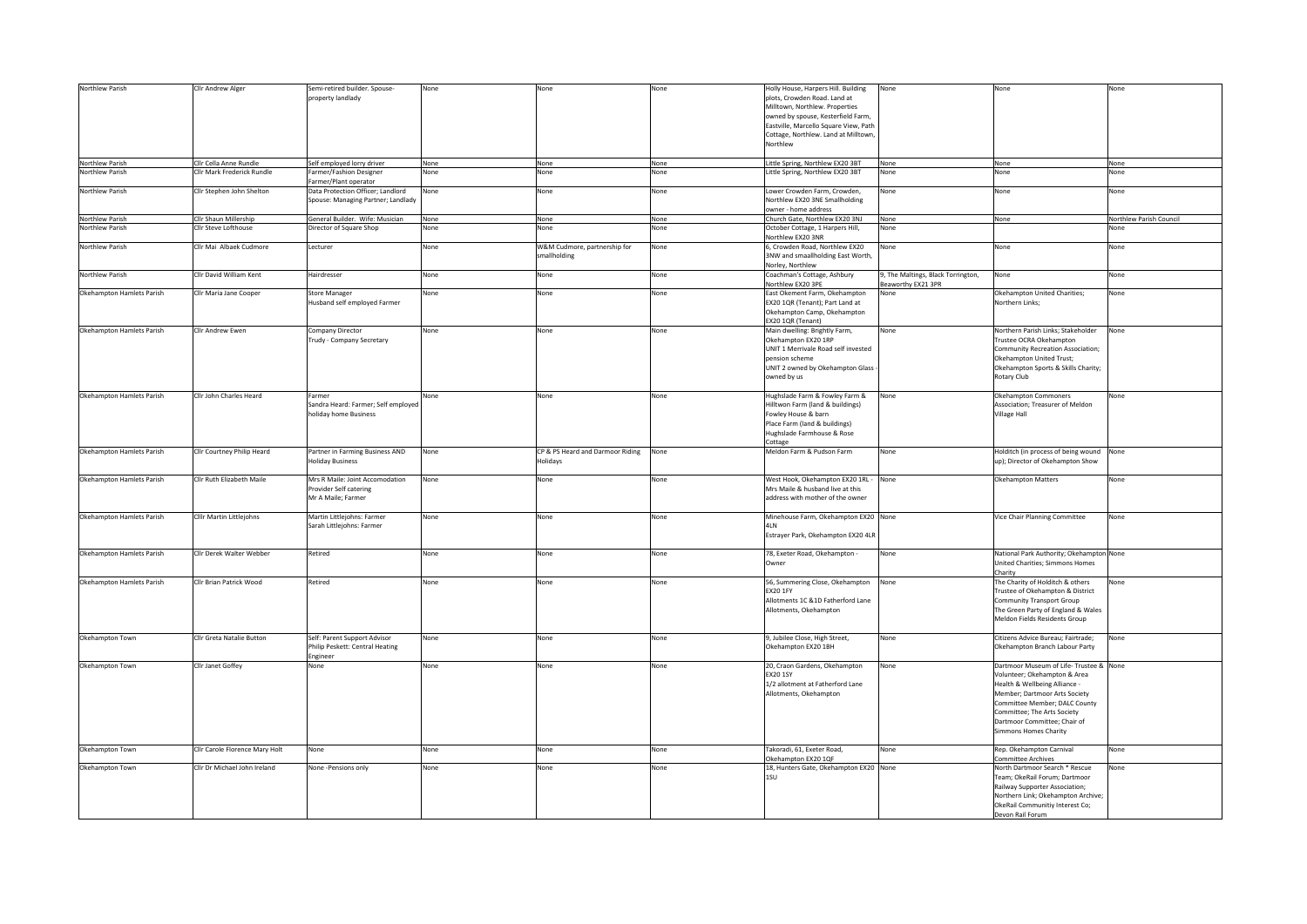| Northlew Parish           | Cllr Andrew Alger              | Semi-retired builder. Spouse-       | None | None                             | None | Holly House, Harpers Hill. Building    | None                               | None                                     | None                    |
|---------------------------|--------------------------------|-------------------------------------|------|----------------------------------|------|----------------------------------------|------------------------------------|------------------------------------------|-------------------------|
|                           |                                | property landlady                   |      |                                  |      | plots, Crowden Road. Land at           |                                    |                                          |                         |
|                           |                                |                                     |      |                                  |      | Milltown, Northlew. Properties         |                                    |                                          |                         |
|                           |                                |                                     |      |                                  |      |                                        |                                    |                                          |                         |
|                           |                                |                                     |      |                                  |      | owned by spouse, Kesterfield Farm,     |                                    |                                          |                         |
|                           |                                |                                     |      |                                  |      | Eastville, Marcello Square View, Path  |                                    |                                          |                         |
|                           |                                |                                     |      |                                  |      | Cottage, Northlew. Land at Milltown,   |                                    |                                          |                         |
|                           |                                |                                     |      |                                  |      | Northlew                               |                                    |                                          |                         |
|                           |                                |                                     |      |                                  |      |                                        |                                    |                                          |                         |
| Northlew Parish           | Clir Cella Anne Rundle         | Self employed lorry driver          | None | None                             | None | Little Spring, Northlew EX20 3BT       | None                               | None                                     | None                    |
| Northlew Parish           | Clir Mark Frederick Rundle     | Farmer/Fashion Designer             | None | None                             | None | Little Spring, Northlew EX20 3BT       | None                               | None                                     | None                    |
|                           |                                | Farmer/Plant operator               |      |                                  |      |                                        |                                    |                                          |                         |
| Northlew Parish           | Clir Stephen John Shelton      | Data Protection Officer; Landlord   | None | None                             | None | Lower Crowden Farm, Crowden,           | None                               | None                                     | None                    |
|                           |                                | Spouse: Managing Partner; Landlady  |      |                                  |      | Northlew EX20 3NE Smallholding         |                                    |                                          |                         |
|                           |                                |                                     |      |                                  |      | wner - home address                    |                                    |                                          |                         |
| Northlew Parish           | Cllr Shaun Millership          | General Builder. Wife: Musician     | None | None                             | None | Church Gate, Northlew EX20 3NJ         | None                               | None                                     | Northlew Parish Council |
| Northlew Parish           | Clir Steve Lofthouse           | Director of Square Shop             | None | None                             | None | October Cottage, 1 Harpers Hill,       | None                               |                                          | None                    |
|                           |                                |                                     |      |                                  |      | Northlew EX20 3NR                      |                                    |                                          |                         |
| Northlew Parish           | Cllr Mai Albaek Cudmore        | Lecturer                            | None | W&M Cudmore, partnership for     | None | 6. Crowden Road, Northlew EX20         | None                               | None                                     | None                    |
|                           |                                |                                     |      | smallholding                     |      | 3NW and smaallholding East Worth,      |                                    |                                          |                         |
|                           |                                |                                     |      |                                  |      | Norley, Northlew                       |                                    |                                          |                         |
| Northlew Parish           | Cllr David William Kent        | Hairdresser                         | None | None                             | None | Coachman's Cottage, Ashbury            | 9, The Maltings, Black Torrington, | None                                     | None                    |
|                           |                                |                                     |      |                                  |      | Northlew EX20 3PE                      | Beaworthy EX21 3PR                 |                                          |                         |
| Okehampton Hamlets Parish | Cllr Maria Jane Cooper         | <b>Store Manager</b>                | None | None                             | None | East Okement Farm, Okehampton          | None                               | Okehampton United Charities;             | None                    |
|                           |                                | Husband self employed Farmer        |      |                                  |      | EX20 1QR (Tenant); Part Land at        |                                    | Northern Links;                          |                         |
|                           |                                |                                     |      |                                  |      | Okehampton Camp, Okehampton            |                                    |                                          |                         |
|                           |                                |                                     |      |                                  |      | EX20 1QR (Tenant)                      |                                    |                                          |                         |
| Okehampton Hamlets Parish | Clir Andrew Ewen               | Company Director                    | None | None                             | None | Main dwelling: Brightly Farm,          | None                               | Northern Parish Links: Stakeholder       | None                    |
|                           |                                | Trudy - Company Secretary           |      |                                  |      | Okehampton EX20 1RP                    |                                    | Trustee OCRA Okehampton                  |                         |
|                           |                                |                                     |      |                                  |      | UNIT 1 Merrivale Road self invested    |                                    | Community Recreation Association;        |                         |
|                           |                                |                                     |      |                                  |      | pension scheme                         |                                    | Okehampton United Trust;                 |                         |
|                           |                                |                                     |      |                                  |      | UNIT 2 owned by Okehampton Glass       |                                    | Okehampton Sports & Skills Charity;      |                         |
|                           |                                |                                     |      |                                  |      | owned by us                            |                                    | Rotary Club                              |                         |
|                           |                                |                                     |      |                                  |      |                                        |                                    |                                          |                         |
| Okehampton Hamlets Parish | Clir John Charles Heard        | Farmer                              | None | None                             | None | Hughslade Farm & Fowley Farm &         | None                               | Okehampton Commoners                     | None                    |
|                           |                                | Sandra Heard: Farmer; Self employed |      |                                  |      | Hilltwon Farm (land & buildings)       |                                    | Association; Treasurer of Meldon         |                         |
|                           |                                | holiday home Business               |      |                                  |      | Fowley House & barn                    |                                    | <b>Village Hall</b>                      |                         |
|                           |                                |                                     |      |                                  |      | Place Farm (land & buildings)          |                                    |                                          |                         |
|                           |                                |                                     |      |                                  |      | Hughslade Farmhouse & Rose             |                                    |                                          |                         |
|                           |                                |                                     |      |                                  |      |                                        |                                    |                                          |                         |
| Okehampton Hamlets Parish | Cllr Courtney Philip Heard     | Partner in Farming Business AND     |      | CP & PS Heard and Darmoor Riding |      | Cottage<br>Meldon Farm & Pudson Farm   | None                               |                                          |                         |
|                           |                                |                                     | None |                                  | None |                                        |                                    | Holditch (in process of being wound None |                         |
|                           |                                | <b>Holiday Business</b>             |      | Holidays                         |      |                                        |                                    | up); Director of Okehampton Show         |                         |
|                           |                                |                                     |      |                                  |      |                                        |                                    |                                          |                         |
| Okehampton Hamlets Parish | Cllr Ruth Elizabeth Maile      | Mrs R Maile: Joint Accomodation     | None | None                             | None | West Hook, Okehampton EX20 1RL - None  |                                    | Okehampton Matters                       | None                    |
|                           |                                | Provider Self catering              |      |                                  |      | Mrs Maile & husband live at this       |                                    |                                          |                         |
|                           |                                | Mr A Maile; Farmer                  |      |                                  |      | address with mother of the owner       |                                    |                                          |                         |
|                           |                                |                                     |      |                                  |      |                                        |                                    |                                          |                         |
| Okehampton Hamlets Parish | Cilir Martin Littlejohns       | Martin Littlejohns: Farmer          | None | None                             | None | Minehouse Farm, Okehampton EX20 None   |                                    | Vice Chair Planning Committee            | None                    |
|                           |                                | Sarah Littlejohns: Farmer           |      |                                  |      | 4LN                                    |                                    |                                          |                         |
|                           |                                |                                     |      |                                  |      | Estrayer Park, Okehampton EX20 4LR     |                                    |                                          |                         |
|                           |                                |                                     |      |                                  |      |                                        |                                    |                                          |                         |
| Okehampton Hamlets Parish | Clir Derek Walter Webber       | Retired                             | None | None                             | None | 78, Exeter Road, Okehampton -          | None                               | National Park Authority; Okehampton None |                         |
|                           |                                |                                     |      |                                  |      | Owner                                  |                                    | United Charities; Simmons Homes          |                         |
|                           |                                |                                     |      |                                  |      |                                        |                                    | Charity                                  |                         |
| Okehampton Hamlets Parish | Clir Brian Patrick Wood        | <b>Retired</b>                      | None | None                             | None | 56, Summering Close, Okehampton        | None                               | The Charity of Holditch & others         | None                    |
|                           |                                |                                     |      |                                  |      | <b>EX20 1FY</b>                        |                                    | Trustee of Okehampton & District         |                         |
|                           |                                |                                     |      |                                  |      | Allotments 1C &1D Fatherford Lane      |                                    | <b>Community Transport Group</b>         |                         |
|                           |                                |                                     |      |                                  |      | Allotments, Okehampton                 |                                    | The Green Party of England & Wales       |                         |
|                           |                                |                                     |      |                                  |      |                                        |                                    | Meldon Fields Residents Group            |                         |
|                           |                                |                                     |      |                                  |      |                                        |                                    |                                          |                         |
| Okehampton Town           | Cllr Greta Natalie Button      | Self: Parent Support Advisor        | None | None                             | None | 9, Jubilee Close, High Street,         | None                               | Citizens Advice Bureau; Fairtrade;       | None                    |
|                           |                                | Philip Peskett: Central Heating     |      |                                  |      | Okehampton EX20 1BH                    |                                    | Okehampton Branch Labour Party           |                         |
|                           |                                | Engineer                            |      |                                  |      |                                        |                                    |                                          |                         |
| Okehampton Town           | Cllr Janet Goffey              | None                                | None | None                             | None | 20, Craon Gardens, Okehampton          | None                               | Dartmoor Museum of Life-Trustee & None   |                         |
|                           |                                |                                     |      |                                  |      | <b>EX20 1SY</b>                        |                                    | Volunteer; Okehampton & Area             |                         |
|                           |                                |                                     |      |                                  |      | 1/2 allotment at Fatherford Lane       |                                    | Health & Wellbeing Alliance -            |                         |
|                           |                                |                                     |      |                                  |      | Allotments, Okehampton                 |                                    | Member; Dartmoor Arts Society            |                         |
|                           |                                |                                     |      |                                  |      |                                        |                                    | Committee Member; DALC County            |                         |
|                           |                                |                                     |      |                                  |      |                                        |                                    | Committee; The Arts Society              |                         |
|                           |                                |                                     |      |                                  |      |                                        |                                    | Dartmoor Committee; Chair of             |                         |
|                           |                                |                                     |      |                                  |      |                                        |                                    | Simmons Homes Charity                    |                         |
|                           |                                |                                     |      |                                  |      |                                        |                                    |                                          |                         |
| Okehampton Town           | Clir Carole Florence Mary Holt | None                                | None | None                             | None | Takoradi, 61, Exeter Road,             | None                               | Rep. Okehampton Carnival                 | None                    |
|                           |                                |                                     |      |                                  |      | Okehampton EX20 1QF                    |                                    | <b>Committee Archives</b>                |                         |
| Okehampton Town           | Cllr Dr Michael John Ireland   | None -Pensions only                 | None | None                             | None | 18, Hunters Gate, Okehampton EX20 None |                                    | North Dartmoor Search * Rescue           | None                    |
|                           |                                |                                     |      |                                  |      | 1SU                                    |                                    | Team; OkeRail Forum; Dartmoor            |                         |
|                           |                                |                                     |      |                                  |      |                                        |                                    | Railway Supporter Association;           |                         |
|                           |                                |                                     |      |                                  |      |                                        |                                    | Northern Link; Okehampton Archive;       |                         |
|                           |                                |                                     |      |                                  |      |                                        |                                    | OkeRail Communitiy Interest Co;          |                         |
|                           |                                |                                     |      |                                  |      |                                        |                                    | Devon Rail Forum                         |                         |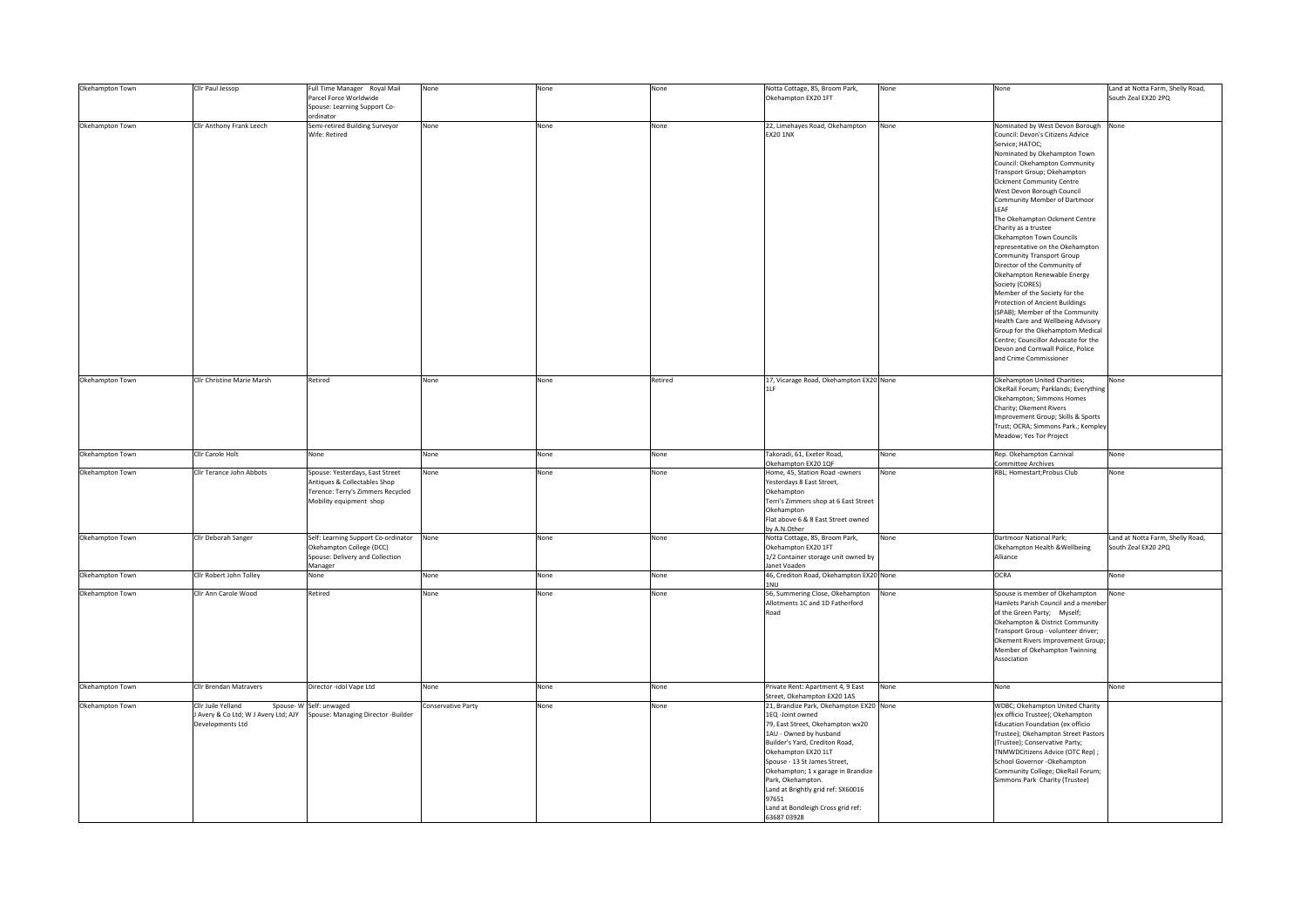| Okehampton Town | Cllr Paul Jessop                                                             | Full Time Manager Royal Mail<br>Parcel Force Worldwide<br>Spouse: Learning Support Co-<br>ordinator                             | None               | None | None    | Notta Cottage, 85, Broom Park,<br>Okehampton EX20 1FT                                                                                                                                                                                                                                                                                                                           | None | None                                                                                                                                                                                                                                                                                                                                                                                                                                                                                                                                                                                                                                                                                                                                                                                                                                | Land at Notta Farm, Shelly Road,<br>South Zeal EX20 2PQ |
|-----------------|------------------------------------------------------------------------------|---------------------------------------------------------------------------------------------------------------------------------|--------------------|------|---------|---------------------------------------------------------------------------------------------------------------------------------------------------------------------------------------------------------------------------------------------------------------------------------------------------------------------------------------------------------------------------------|------|-------------------------------------------------------------------------------------------------------------------------------------------------------------------------------------------------------------------------------------------------------------------------------------------------------------------------------------------------------------------------------------------------------------------------------------------------------------------------------------------------------------------------------------------------------------------------------------------------------------------------------------------------------------------------------------------------------------------------------------------------------------------------------------------------------------------------------------|---------------------------------------------------------|
| Okehampton Town | Cllr Anthony Frank Leech                                                     | Semi-retired Building Surveyor<br>Wife: Retired                                                                                 | None               | None | None    | 22, Limehayes Road, Okehampton<br><b>EX20 1NX</b>                                                                                                                                                                                                                                                                                                                               | None | Nominated by West Devon Borough None<br>Council: Devon's Citizens Advice<br>Service; HATOC;<br>Nominated by Okehampton Town<br>Council: Okehampton Community<br>Transport Group; Okehampton<br><b>Ockment Community Centre</b><br>West Devon Borough Council<br>Community Member of Dartmoor<br>LEAF<br>The Okehampton Ockment Centre<br>Charity as a trustee<br>Okehampton Town Councils<br>representative on the Okehampton<br>Community Transport Group<br>Director of the Community of<br>Okehampton Renewable Energy<br>Society (CORES)<br>Member of the Society for the<br>Protection of Ancient Buildings<br>(SPAB); Member of the Community<br>Health Care and Wellbeing Advisory<br>Group for the Okehamptom Medical<br>Centre; Councillor Advocate for the<br>Devon and Cornwall Police, Police<br>and Crime Commissioner |                                                         |
| Okehampton Town | Cllr Christine Marie Marsh                                                   | Retired                                                                                                                         | None               | None | Retired | 17, Vicarage Road, Okehampton EX20 None<br>1LF                                                                                                                                                                                                                                                                                                                                  |      | Okehampton United Charities;<br>OkeRail Forum; Parklands; Everything<br>Okehampton; Simmons Homes<br>Charity; Okement Rivers<br>Improvement Group; Skills & Sports<br>Trust; OCRA; Simmons Park.; Kempley<br>Meadow; Yes Tor Project                                                                                                                                                                                                                                                                                                                                                                                                                                                                                                                                                                                                | None                                                    |
| Okehampton Town | Clir Carole Holt                                                             | None                                                                                                                            | None               | None | None    | Takoradi, 61, Exeter Road,                                                                                                                                                                                                                                                                                                                                                      | None | Rep. Okehampton Carnival<br>Committee Archives                                                                                                                                                                                                                                                                                                                                                                                                                                                                                                                                                                                                                                                                                                                                                                                      | None                                                    |
| Okehampton Town | Cllr Terance John Abbots                                                     | Spouse: Yesterdays, East Street<br>Antiques & Collectables Shop<br>Terence: Terry's Zimmers Recycled<br>Mobility equipment shop | None               | None | None    | Okehampton EX20 1QF<br>Home, 45, Station Road -owners<br>Yesterdays 8 East Street,<br>Okehampton<br>Terri's Zimmers shop at 6 East Street<br>Okehampton<br>Flat above 6 & 8 East Street owned<br>by A.N.Other                                                                                                                                                                   | None | RBL; Homestart; Probus Club                                                                                                                                                                                                                                                                                                                                                                                                                                                                                                                                                                                                                                                                                                                                                                                                         | None                                                    |
| Okehampton Town | Cllr Deborah Sanger                                                          | Self: Learning Support Co-ordinator None<br>Okehampton College (DCC)<br>Spouse: Delivery and Collection                         |                    | None | None    | Notta Cottage, 85, Broom Park,<br>Okehampton EX20 1FT<br>1/2 Container storage unit owned by                                                                                                                                                                                                                                                                                    | None | Dartmoor National Park;<br>Okehampton Health & Wellbeing<br>Alliance                                                                                                                                                                                                                                                                                                                                                                                                                                                                                                                                                                                                                                                                                                                                                                | Land at Notta Farm, Shelly Road,<br>South Zeal EX20 2PQ |
| Okehampton Town | Clir Robert John Tolley                                                      | Manager<br>None                                                                                                                 | None               | None | None    | Janet Voaden<br>46, Crediton Road, Okehampton EX20 None                                                                                                                                                                                                                                                                                                                         |      | OCRA                                                                                                                                                                                                                                                                                                                                                                                                                                                                                                                                                                                                                                                                                                                                                                                                                                | None                                                    |
| Okehampton Town | Cllr Ann Carole Wood                                                         | Retired                                                                                                                         | None               | None | None    | 1NU<br>56, Summering Close, Okehampton<br>Allotments 1C and 1D Fatherford<br>Road                                                                                                                                                                                                                                                                                               | None | Spouse is member of Okehampton<br>Hamlets Parish Council and a member<br>of the Green Party; Myself;<br>Okehampton & District Community<br>Transport Group - volunteer driver;<br>Okement Rivers Improvement Group;<br>Member of Okehampton Twinning<br>Association                                                                                                                                                                                                                                                                                                                                                                                                                                                                                                                                                                 | None                                                    |
| Okehampton Town | Cllr Brendan Matravers                                                       | Director -idol Vape Ltd                                                                                                         | None               | None | None    | Private Rent: Apartment 4, 9 East<br>Street, Okehampton EX20 1AS                                                                                                                                                                                                                                                                                                                | None | None                                                                                                                                                                                                                                                                                                                                                                                                                                                                                                                                                                                                                                                                                                                                                                                                                                | None                                                    |
| Okehampton Town | Cllr Juile Yelland<br>Avery & Co Ltd; W J Avery Ltd; AJY<br>Developments Ltd | Spouse-W Self: unwaged<br>Spouse: Managing Director -Builder                                                                    | Conservative Party | None | None    | 21, Brandize Park, Okehampton EX20 None<br>1EQ -Joint owned<br>79, East Street, Okehampton wx20<br>1AU - Owned by husband<br>Builder's Yard, Crediton Road,<br>Okehampton EX20 1LT<br>Spouse - 13 St James Street,<br>Okehampton; 1 x garage in Brandize<br>Park, Okehampton.<br>and at Brightly grid ref: SX60016<br>97651<br>Land at Bondleigh Cross grid ref:<br>63687 03978 |      | <b>WDBC; Okehampton United Charity</b><br>(ex officio Trustee); Okehampton<br>Education Foundation (ex officio<br>Trustee); Okehampton Street Pastors<br>(Trustee); Conservative Party;<br>TNMWDCitizens Advice (OTC Rep) ;<br>School Governor -Okehampton<br>Community College; OkeRail Forum;<br>Simmons Park Charity (Trustee)                                                                                                                                                                                                                                                                                                                                                                                                                                                                                                   |                                                         |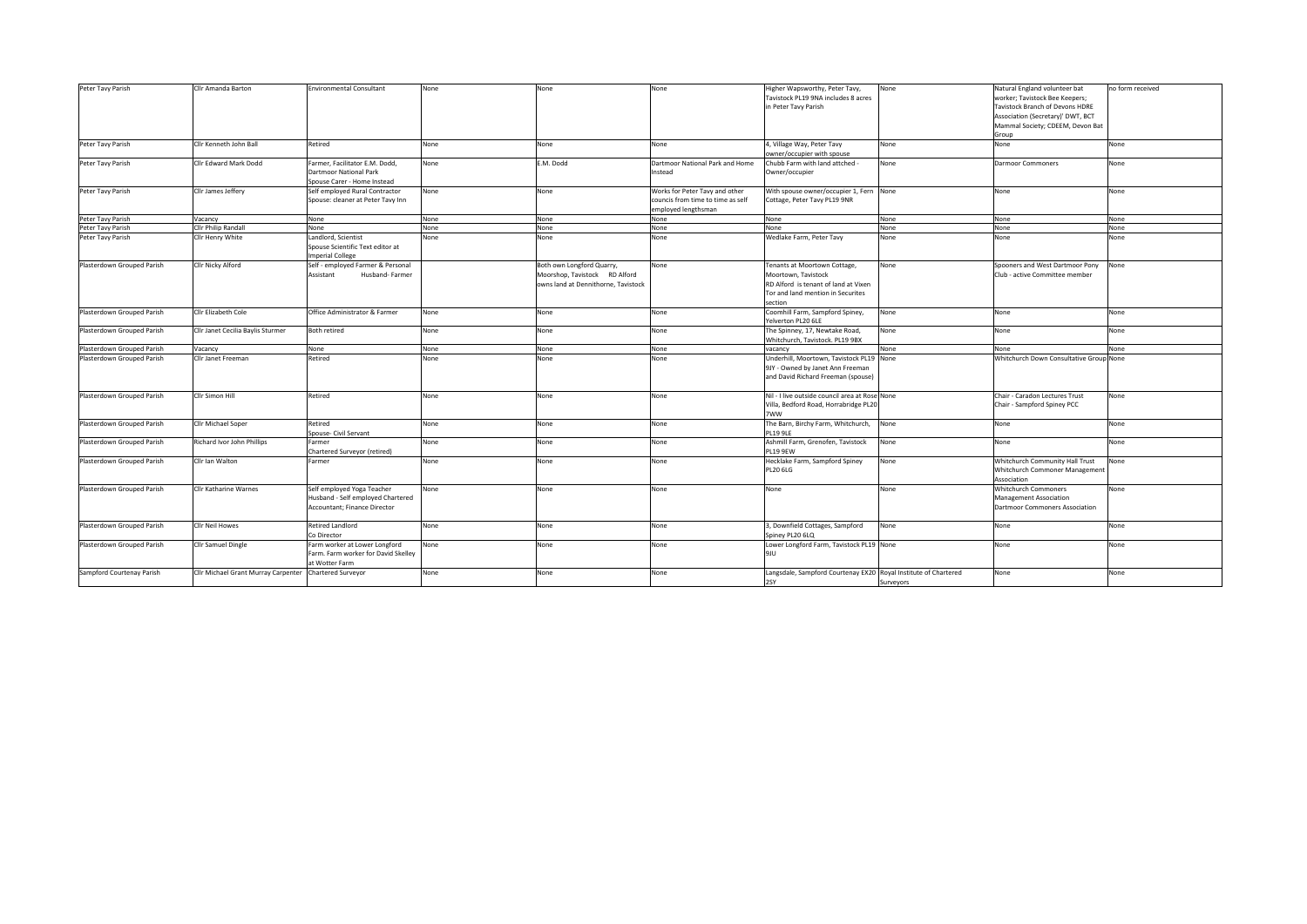| Peter Tavy Parish          | Cllr Amanda Barton                  | <b>Environmental Consultant</b>                                                                 | None | None                                                                                              | None                                                                                       | Higher Wapsworthy, Peter Tavy,<br>Tavistock PL19 9NA includes 8 acres<br>in Peter Tavy Parish                                               | None      | Natural England volunteer bat<br>worker; Tavistock Bee Keepers;<br>Tavistock Branch of Devons HDRE<br>Association (Secretary)' DWT, BCT<br>Mammal Society; CDEEM, Devon Bat<br>Group | no form received |
|----------------------------|-------------------------------------|-------------------------------------------------------------------------------------------------|------|---------------------------------------------------------------------------------------------------|--------------------------------------------------------------------------------------------|---------------------------------------------------------------------------------------------------------------------------------------------|-----------|--------------------------------------------------------------------------------------------------------------------------------------------------------------------------------------|------------------|
| Peter Tavy Parish          | Cllr Kenneth John Ball              | Retired                                                                                         | None | None                                                                                              | None                                                                                       | 4, Village Way, Peter Tavy<br>owner/occupier with spouse                                                                                    | None      | None                                                                                                                                                                                 | None             |
| Peter Tavy Parish          | Cllr Edward Mark Dodd               | Farmer, Facilitator E.M. Dodd,<br><b>Dartmoor National Park</b><br>Spouse Carer - Home Instead  | None | E.M. Dodd                                                                                         | Dartmoor National Park and Home<br>Instead                                                 | Chubb Farm with land attched -<br>Owner/occupier                                                                                            | None      | <b>Darmoor Commoners</b>                                                                                                                                                             | None             |
| Peter Tavy Parish          | Cllr James Jeffery                  | Self employed Rural Contractor<br>Spouse: cleaner at Peter Tavy Inn                             | None | None                                                                                              | Works for Peter Tavy and other<br>councis from time to time as self<br>employed lengthsman | With spouse owner/occupier 1, Fern None<br>Cottage, Peter Tavy PL19 9NR                                                                     |           | None                                                                                                                                                                                 | None             |
| Peter Tavy Parish          | Vacancy                             | None                                                                                            | None | None                                                                                              | None                                                                                       | None                                                                                                                                        | None      | None                                                                                                                                                                                 | None             |
| Peter Tavy Parish          | Cllr Philip Randall                 | None                                                                                            | None | None                                                                                              | None                                                                                       | None                                                                                                                                        | None      | None                                                                                                                                                                                 | None             |
| Peter Tavy Parish          | Clir Henry White                    | Landlord, Scientist<br>Spouse Scientific Text editor at<br>mperial College                      | None | None                                                                                              | None                                                                                       | Wedlake Farm, Peter Tavy                                                                                                                    | None      | None                                                                                                                                                                                 | None             |
| Plasterdown Grouped Parish | Cllr Nicky Alford                   | Self - employed Farmer & Personal<br>Husband-Farmer<br>Assistant                                |      | Both own Longford Quarry,<br>Moorshop, Tavistock RD Alford<br>owns land at Dennithorne, Tavistock | None                                                                                       | Tenants at Moortown Cottage,<br>Moortown, Tavistock<br>RD Alford is tenant of land at Vixen<br>Tor and land mention in Securites<br>section | None      | Spooners and West Dartmoor Pony<br>Club - active Committee member                                                                                                                    | None             |
| Plasterdown Grouped Parish | Cllr Elizabeth Cole                 | Office Administrator & Farmer                                                                   | None | None                                                                                              | None                                                                                       | Coomhill Farm, Sampford Spiney,<br>Yelverton PL20 6LE                                                                                       | None      | None                                                                                                                                                                                 | None             |
| Plasterdown Grouped Parish | Cllr Janet Cecilia Baylis Sturmer   | <b>Both retired</b>                                                                             | None | None                                                                                              | None                                                                                       | The Spinney, 17, Newtake Road,<br>Whitchurch, Tavistock. PL19 9BX                                                                           | None      | None                                                                                                                                                                                 | None             |
| Plasterdown Grouped Parish | Vacancy                             | None                                                                                            | None | None                                                                                              | None                                                                                       | vacancv                                                                                                                                     | None      | None                                                                                                                                                                                 | None             |
| Plasterdown Grouped Parish | Cllr Janet Freeman                  | Retired                                                                                         | None | None                                                                                              | None                                                                                       | Underhill, Moortown, Tavistock PL19 None<br>9JY - Owned by Janet Ann Freeman<br>and David Richard Freeman (spouse)                          |           | Whitchurch Down Consultative Group None                                                                                                                                              |                  |
| Plasterdown Grouped Parish | Cllr Simon Hill                     | Retired                                                                                         | None | None                                                                                              | None                                                                                       | Nil - I live outside council area at Rose None<br>Villa, Bedford Road, Horrabridge PL20<br>7WW                                              |           | Chair - Caradon Lectures Trust<br>Chair - Sampford Spiney PCC                                                                                                                        | None             |
| Plasterdown Grouped Parish | Cllr Michael Soper                  | Retired<br>Spouse- Civil Servant                                                                | None | None                                                                                              | None                                                                                       | The Barn, Birchy Farm, Whitchurch,<br><b>PL19 9LE</b>                                                                                       | None      | None                                                                                                                                                                                 | None             |
| Plasterdown Grouped Parish | Richard Ivor John Phillips          | Farmer<br>Chartered Surveyor (retired)                                                          | None | None                                                                                              | None                                                                                       | Ashmill Farm, Grenofen, Tavistock<br><b>PL19 9EW</b>                                                                                        | None      | None                                                                                                                                                                                 | None             |
| Plasterdown Grouped Parish | Cllr Ian Walton                     | Farmer                                                                                          | None | None                                                                                              | None                                                                                       | Hecklake Farm, Sampford Spiney<br><b>PL20 6LG</b>                                                                                           | None      | Whitchurch Community Hall Trust<br>Whitchurch Commoner Management<br>Association                                                                                                     | None             |
| Plasterdown Grouped Parish | <b>CIIr Katharine Warnes</b>        | Self employed Yoga Teacher<br>Husband - Self employed Chartered<br>Accountant; Finance Director | None | None                                                                                              | None                                                                                       | None                                                                                                                                        | None      | Whitchurch Commoners<br>Management Association<br>Dartmoor Commoners Association                                                                                                     | None             |
| Plasterdown Grouped Parish | Cllr Neil Howes                     | <b>Retired Landlord</b><br>Co Director                                                          | None | None                                                                                              | None                                                                                       | 3, Downfield Cottages, Sampford<br>Spiney PL20 6LQ                                                                                          | None      | None                                                                                                                                                                                 | None             |
| Plasterdown Grouped Parish | Cllr Samuel Dingle                  | Farm worker at Lower Longford<br>Farm. Farm worker for David Skelley<br>at Wotter Farm          | None | None                                                                                              | None                                                                                       | Lower Longford Farm, Tavistock PL19 None<br>Jeju                                                                                            |           | None                                                                                                                                                                                 | None             |
| Sampford Courtenay Parish  | Cllr Michael Grant Murray Carpenter | Chartered Surveyor                                                                              | None | None                                                                                              | None                                                                                       | Langsdale, Sampford Courtenay EX20 Royal Institute of Chartered<br>2SY                                                                      | Survevors | None                                                                                                                                                                                 | None             |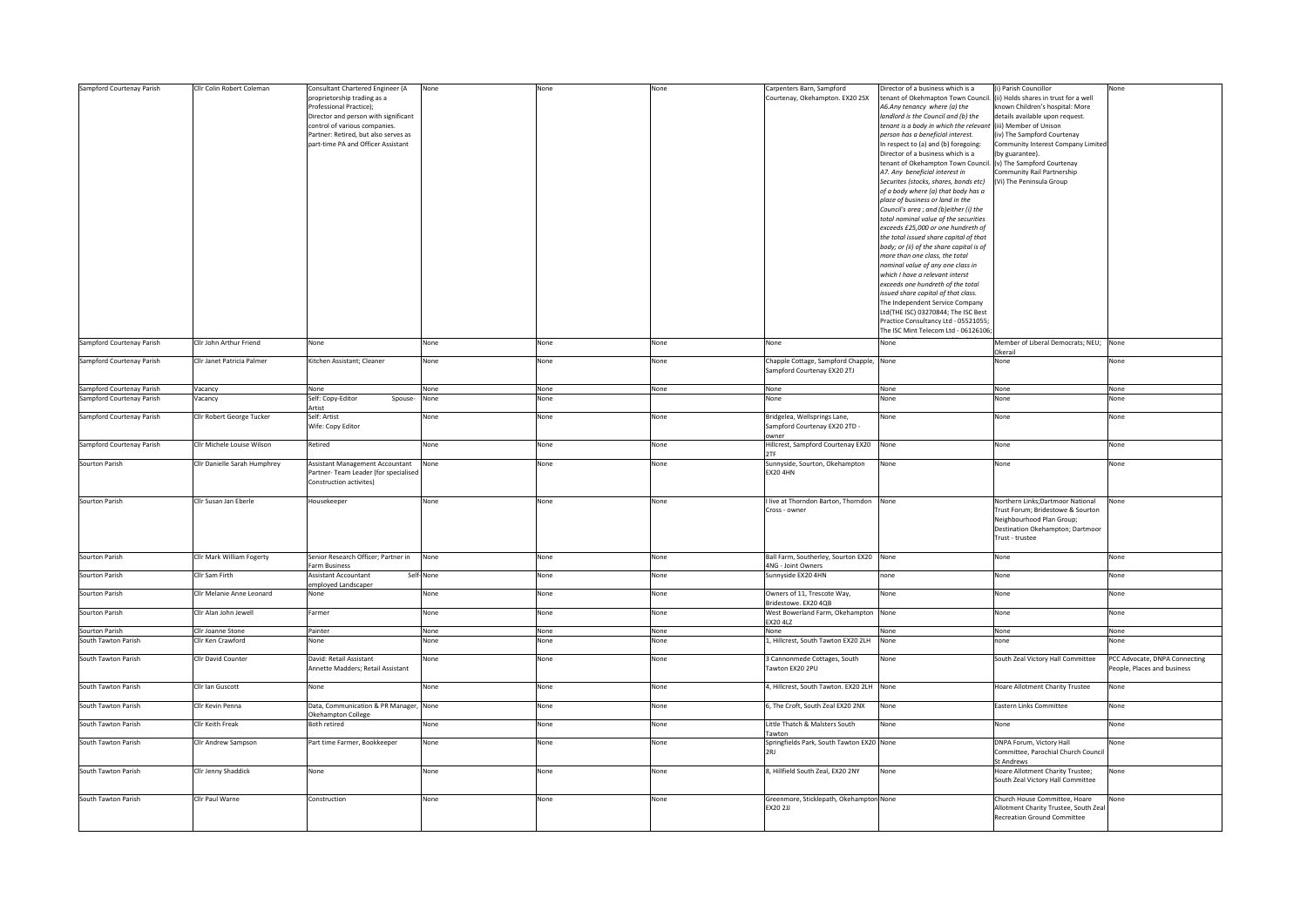| Sampford Courtenay Parish | Cllr Colin Robert Coleman    | Consultant Chartered Engineer (A       | None      | None | None | Carpenters Barn, Sampford                        | Director of a business which is a                                        | (i) Parish Councillor                             | None                          |
|---------------------------|------------------------------|----------------------------------------|-----------|------|------|--------------------------------------------------|--------------------------------------------------------------------------|---------------------------------------------------|-------------------------------|
|                           |                              | proprietorship trading as a            |           |      |      | Courtenay, Okehampton. EX20 2SX                  | tenant of Okehmapton Town Council. (ii) Holds shares in trust for a well |                                                   |                               |
|                           |                              | Professional Practice);                |           |      |      |                                                  | A6.Any tenancy where (a) the                                             | known Children's hospital: More                   |                               |
|                           |                              | Director and person with significant   |           |      |      |                                                  | landlord is the Council and (b) the                                      | details available upon request.                   |                               |
|                           |                              | control of various companies.          |           |      |      |                                                  | tenant is a body in which the relevant (iii) Member of Unison            |                                                   |                               |
|                           |                              | Partner: Retired, but also serves as   |           |      |      |                                                  | person has a beneficial interest.                                        | (iv) The Sampford Courtenay                       |                               |
|                           |                              | part-time PA and Officer Assistant     |           |      |      |                                                  | In respect to (a) and (b) foregoing:                                     | Community Interest Company Limited                |                               |
|                           |                              |                                        |           |      |      |                                                  | Director of a business which is a                                        | (by guarantee).                                   |                               |
|                           |                              |                                        |           |      |      |                                                  | tenant of Okehampton Town Council. (v) The Sampford Courtenay            |                                                   |                               |
|                           |                              |                                        |           |      |      |                                                  | A7. Any beneficial interest in                                           | ommunity Rail Partnership                         |                               |
|                           |                              |                                        |           |      |      |                                                  | Securites (stocks, shares, bonds etc)                                    | (Vi) The Peninsula Group                          |                               |
|                           |                              |                                        |           |      |      |                                                  | of a body where (a) that body has a                                      |                                                   |                               |
|                           |                              |                                        |           |      |      |                                                  | place of business or land in the                                         |                                                   |                               |
|                           |                              |                                        |           |      |      |                                                  | Council's area ; and (b)either (i) the                                   |                                                   |                               |
|                           |                              |                                        |           |      |      |                                                  | total nominal value of the securities                                    |                                                   |                               |
|                           |                              |                                        |           |      |      |                                                  | exceeds £25,000 or one hundreth of                                       |                                                   |                               |
|                           |                              |                                        |           |      |      |                                                  | the total issued share capital of that                                   |                                                   |                               |
|                           |                              |                                        |           |      |      |                                                  | body; or (ii) of the share capital is of                                 |                                                   |                               |
|                           |                              |                                        |           |      |      |                                                  | more than one class, the total                                           |                                                   |                               |
|                           |                              |                                        |           |      |      |                                                  | nominal value of any one class in                                        |                                                   |                               |
|                           |                              |                                        |           |      |      |                                                  | which I have a relevant interst                                          |                                                   |                               |
|                           |                              |                                        |           |      |      |                                                  |                                                                          |                                                   |                               |
|                           |                              |                                        |           |      |      |                                                  | exceeds one hundreth of the total                                        |                                                   |                               |
|                           |                              |                                        |           |      |      |                                                  | issued share capital of that class.                                      |                                                   |                               |
|                           |                              |                                        |           |      |      |                                                  | The Independent Service Company                                          |                                                   |                               |
|                           |                              |                                        |           |      |      |                                                  | Ltd(THE ISC) 03270844; The ISC Best                                      |                                                   |                               |
|                           |                              |                                        |           |      |      |                                                  | Practice Consultancy Ltd - 05521055;                                     |                                                   |                               |
|                           |                              |                                        |           |      |      |                                                  | The ISC Mint Telecom Ltd - 06126106;                                     |                                                   |                               |
| Sampford Courtenay Parish | Cllr John Arthur Friend      | None                                   | None      | None | None | None                                             | None                                                                     | Member of Liberal Democrats; NEU; None<br>Okerail |                               |
| Sampford Courtenay Parish | Cllr Janet Patricia Palmer   | Kitchen Assistant; Cleaner             | None      | None | None | Chapple Cottage, Sampford Chapple, None          |                                                                          | None                                              | None                          |
|                           |                              |                                        |           |      |      | Sampford Courtenay EX20 2TJ                      |                                                                          |                                                   |                               |
|                           |                              |                                        |           |      |      |                                                  |                                                                          |                                                   |                               |
| Sampford Courtenay Parish | Vacancy                      | None                                   | None      | None | None | None                                             | None                                                                     | None                                              | None                          |
| Sampford Courtenay Parish | Vacancy                      | Self: Copy-Editor<br>Spouse-<br>Artist | None      | None |      | None                                             | None                                                                     | None                                              | None                          |
| Sampford Courtenay Parish | Cllr Robert George Tucker    | Self: Artist                           | None      | None | None | Bridgelea, Wellsprings Lane,                     | None                                                                     | None                                              | None                          |
|                           |                              | Wife: Copy Editor                      |           |      |      | Sampford Courtenay EX20 2TD -                    |                                                                          |                                                   |                               |
| Sampford Courtenay Parish | Cllr Michele Louise Wilson   | Retired                                | None      | None | None | owner<br>Hillcrest, Sampford Courtenay EX20 None |                                                                          | None                                              | None                          |
|                           |                              |                                        |           |      |      | 2TF                                              |                                                                          |                                                   |                               |
| Sourton Parish            | Cllr Danielle Sarah Humphrey | Assistant Management Accountant        | None      | None | None | Sunnyside, Sourton, Okehampton                   | None                                                                     | None                                              | None                          |
|                           |                              | Partner- Team Leader (for specialised  |           |      |      | <b>EX20 4HN</b>                                  |                                                                          |                                                   |                               |
|                           |                              | Construction activites)                |           |      |      |                                                  |                                                                          |                                                   |                               |
|                           |                              |                                        |           |      |      |                                                  |                                                                          |                                                   |                               |
| Sourton Parish            | Cllr Susan Jan Eberle        | Housekeeper                            | None      | None | None | live at Thorndon Barton, Thorndon None           |                                                                          | Northern Links;Dartmoor National                  | None                          |
|                           |                              |                                        |           |      |      | Cross - owner                                    |                                                                          | Trust Forum; Bridestowe & Sourton                 |                               |
|                           |                              |                                        |           |      |      |                                                  |                                                                          | Neighbourhood Plan Group;                         |                               |
|                           |                              |                                        |           |      |      |                                                  |                                                                          | Destination Okehampton; Dartmoor                  |                               |
|                           |                              |                                        |           |      |      |                                                  |                                                                          | Trust - trustee                                   |                               |
|                           |                              |                                        |           |      |      |                                                  |                                                                          |                                                   |                               |
| Sourton Parish            | Cllr Mark William Fogerty    | Senior Research Officer; Partner in    | None      | None | None | Ball Farm, Southerley, Sourton EX20 None         |                                                                          | None                                              | None                          |
|                           |                              | arm Business                           |           |      |      | 4NG - Joint Owners                               |                                                                          |                                                   |                               |
| Sourton Parish            | Cllr Sam Firth               | <b>Assistant Accountant</b>            | Self-None | None | None | Sunnyside EX20 4HN                               | none                                                                     | None                                              | None                          |
|                           |                              | employed Landscaper                    |           |      |      |                                                  |                                                                          |                                                   |                               |
| Sourton Parish            | Cllr Melanie Anne Leonard    | None                                   | None      | None | None | Owners of 11, Trescote Way,                      | None                                                                     | None                                              | None                          |
|                           |                              |                                        |           |      |      | Bridestowe. EX20 4QB                             |                                                                          |                                                   |                               |
| Sourton Parish            | Cllr Alan John Jewell        | Farmer                                 | None      | None | None | West Bowerland Farm, Okehampton                  | None                                                                     | None                                              | None                          |
|                           |                              |                                        |           |      |      | EX20 4LZ                                         |                                                                          |                                                   |                               |
| Sourton Parish            | Cllr Joanne Stone            | Painter                                | None      | None | None | None                                             | None                                                                     | None                                              | None                          |
| South Tawton Parish       | Cllr Ken Crawford            | None                                   | None      | None | None | 1, Hillcrest, South Tawton EX20 2LH              | None                                                                     | none                                              | Vone                          |
|                           |                              |                                        |           |      |      |                                                  |                                                                          |                                                   |                               |
| South Tawton Parish       | Cllr David Counter           | David: Retail Assistant                | None      | None | None | 3 Cannonmede Cottages, South                     | None                                                                     | South Zeal Victory Hall Committee                 | PCC Advocate, DNPA Connecting |
|                           |                              | Annette Madders: Retail Assistant      |           |      |      | Tawton EX20 2PU                                  |                                                                          |                                                   | People, Places and business   |
|                           |                              |                                        |           |      |      |                                                  |                                                                          |                                                   |                               |
| South Tawton Parish       | Cllr Ian Guscott             | None                                   | None      | None | None | 4, Hillcrest, South Tawton. EX20 2LH None        |                                                                          | Hoare Allotment Charity Trustee                   | None                          |
|                           |                              |                                        |           |      |      |                                                  |                                                                          |                                                   |                               |
| South Tawton Parish       | Cllr Kevin Penna             | Data, Communication & PR Manager, None |           | None | None | 6, The Croft, South Zeal EX20 2NX                | None                                                                     | Eastern Links Committee                           | None                          |
|                           |                              | Okehampton College                     |           |      |      |                                                  |                                                                          |                                                   |                               |
| South Tawton Parish       | Cllr Keith Freak             | Both retired                           | None      | None | None | Little Thatch & Malsters South                   | None                                                                     | None                                              | None                          |
|                           |                              |                                        |           |      |      | Tawton                                           |                                                                          |                                                   |                               |
| South Tawton Parish       | Cllr Andrew Sampson          | Part time Farmer, Bookkeeper           | None      | None | None | Springfields Park, South Tawton EX20 None        |                                                                          | DNPA Forum, Victory Hall                          | None                          |
|                           |                              |                                        |           |      |      | <b>2RI</b>                                       |                                                                          | Committee, Parochial Church Council               |                               |
|                           |                              |                                        |           |      |      |                                                  |                                                                          | <b>St Andrews</b>                                 |                               |
| South Tawton Parish       | Cllr Jenny Shaddick          | None                                   | None      | None | None | 8, Hillfield South Zeal, EX20 2NY                | None                                                                     | Hoare Allotment Charity Trustee;                  | None                          |
|                           |                              |                                        |           |      |      |                                                  |                                                                          | South Zeal Victory Hall Committee                 |                               |
|                           |                              |                                        |           |      |      |                                                  |                                                                          |                                                   |                               |
| South Tawton Parish       | Cllr Paul Warne              | Construction                           | None      | None | None | Greenmore, Sticklepath, Okehampton None          |                                                                          | Church House Committee, Hoare                     | None                          |
|                           |                              |                                        |           |      |      | EX20 2JJ                                         |                                                                          | Allotment Charity Trustee, South Zeal             |                               |
|                           |                              |                                        |           |      |      |                                                  |                                                                          | <b>Recreation Ground Committee</b>                |                               |
|                           |                              |                                        |           |      |      |                                                  |                                                                          |                                                   |                               |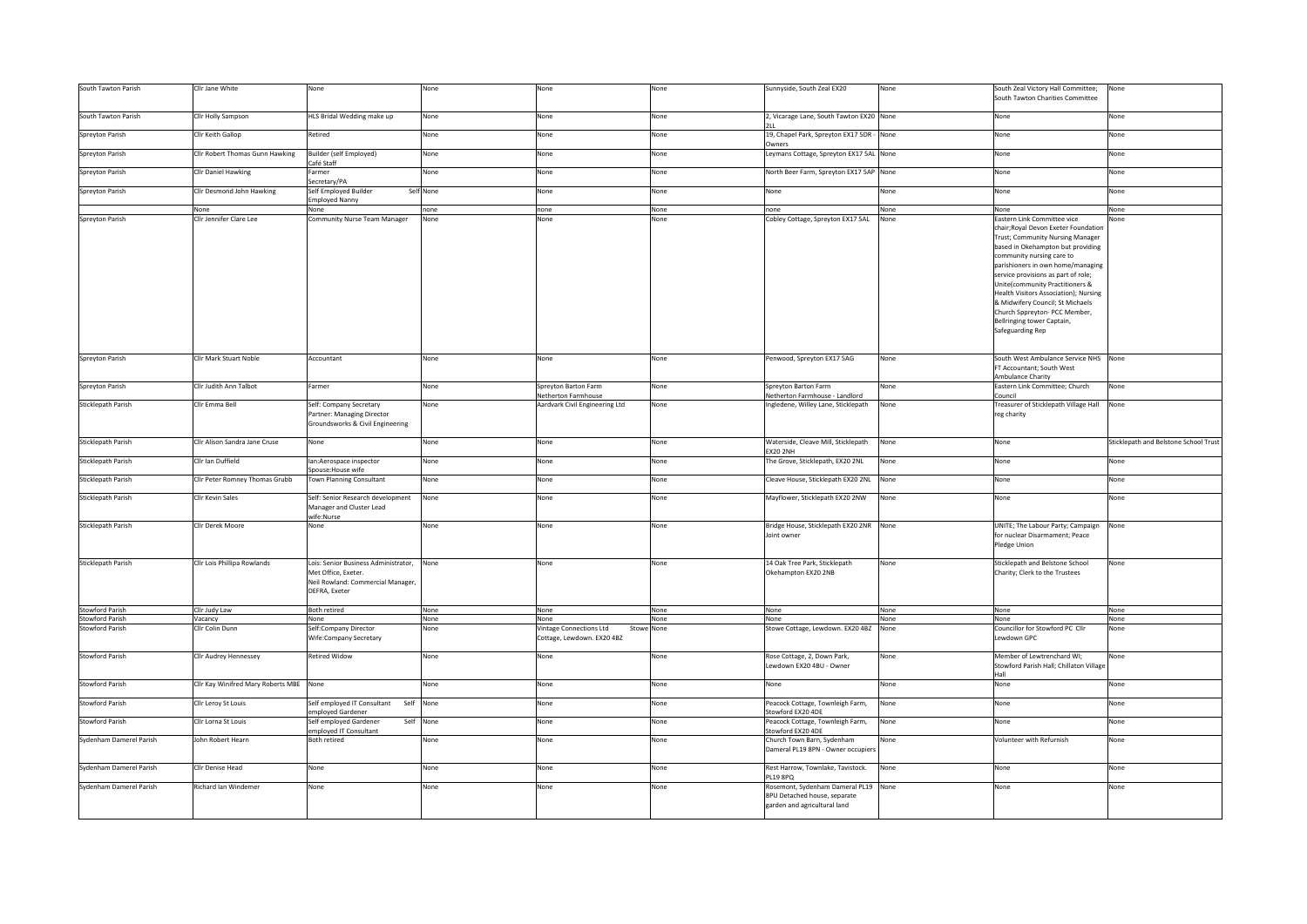| South Tawton Parish       | Cllr Jane White                         | None                                                                                                              | None      | None                                                                | None | Sunnyside, South Zeal EX20                                                                           | None | South Zeal Victory Hall Committee;<br>South Tawton Charities Committee                                                                                                                                                                                                                                                                                                                                                    | None                                  |
|---------------------------|-----------------------------------------|-------------------------------------------------------------------------------------------------------------------|-----------|---------------------------------------------------------------------|------|------------------------------------------------------------------------------------------------------|------|---------------------------------------------------------------------------------------------------------------------------------------------------------------------------------------------------------------------------------------------------------------------------------------------------------------------------------------------------------------------------------------------------------------------------|---------------------------------------|
| South Tawton Parish       | Cllr Holly Sampson                      | HLS Bridal Wedding make up                                                                                        | None      | None                                                                | None | 2, Vicarage Lane, South Tawton EX20 None                                                             |      | None                                                                                                                                                                                                                                                                                                                                                                                                                      | None                                  |
| Spreyton Parish           | Cllr Keith Gallop                       | Retired                                                                                                           | None      | None                                                                | None | 19, Chapel Park, Spreyton EX17 5DR - None<br>Owners                                                  |      | None                                                                                                                                                                                                                                                                                                                                                                                                                      | None                                  |
| Spreyton Parish           | Cllr Robert Thomas Gunn Hawking         | Builder (self Employed)<br>Café Staff                                                                             | None      | None                                                                | None | Leymans Cottage, Spreyton EX17 5AL None                                                              |      | None                                                                                                                                                                                                                                                                                                                                                                                                                      | None                                  |
| Spreyton Parish           | Cllr Daniel Hawking                     | Farmer<br>Secretary/PA                                                                                            | None      | None                                                                | None | North Beer Farm, Spreyton EX17 5AP None                                                              |      | None                                                                                                                                                                                                                                                                                                                                                                                                                      | None                                  |
| Spreyton Parish           | Cllr Desmond John Hawking               | Self Employed Builder<br>Employed Nanny                                                                           | Self None | None                                                                | None | None                                                                                                 | None | None                                                                                                                                                                                                                                                                                                                                                                                                                      | None                                  |
|                           | None                                    | None                                                                                                              | none      | none                                                                | None | none                                                                                                 | None | None                                                                                                                                                                                                                                                                                                                                                                                                                      | None                                  |
| Spreyton Parish           | Cllr Jennifer Clare Lee                 | Community Nurse Team Manager                                                                                      | None      | None                                                                | None | Cobley Cottage, Spreyton EX17 5AL                                                                    | None | astern Link Committee vice                                                                                                                                                                                                                                                                                                                                                                                                | lone                                  |
|                           |                                         |                                                                                                                   |           |                                                                     |      |                                                                                                      |      | chair; Royal Devon Exeter Foundation<br>Trust; Community Nursing Manager<br>based in Okehampton but providing<br>community nursing care to<br>parishioners in own home/managing<br>service provisions as part of role;<br>Unite(community Practitioners &<br>Health Visitors Association); Nursing<br>& Midwifery Council; St Michaels<br>Church Sppreyton- PCC Member,<br>Bellringing tower Captain,<br>Safeguarding Rep |                                       |
| Spreyton Parish           | Cllr Mark Stuart Noble                  | Accountant                                                                                                        | None      | None                                                                | None | Penwood, Spreyton EX17 5AG                                                                           | None | South West Ambulance Service NHS None<br>FT Accountant; South West<br>Ambulance Charity                                                                                                                                                                                                                                                                                                                                   |                                       |
| Spreyton Parish           | Cllr Judith Ann Talbot                  | Farmer                                                                                                            | None      | Spreyton Barton Farm                                                | None | Spreyton Barton Farm                                                                                 | None | Eastern Link Committee; Church                                                                                                                                                                                                                                                                                                                                                                                            | None                                  |
|                           |                                         |                                                                                                                   |           | Netherton Farmhouse                                                 |      | Netherton Farmhouse - Landlord                                                                       |      | ouncil                                                                                                                                                                                                                                                                                                                                                                                                                    |                                       |
| Sticklepath Parish        | Cllr Emma Bell                          | Self: Company Secretary<br>Partner: Managing Director<br>Groundsworks & Civil Engineering                         | None      | Aardvark Civil Engineering Ltd                                      | None | Ingledene, Willey Lane, Sticklepath                                                                  | None | reasurer of Sticklepath Village Hall<br>reg charity                                                                                                                                                                                                                                                                                                                                                                       | None                                  |
| Sticklepath Parish        | Cllr Alison Sandra Jane Cruse           | None                                                                                                              | None      | None                                                                | None | Waterside, Cleave Mill, Sticklepath<br><b>EX20 2NH</b>                                               | None | None                                                                                                                                                                                                                                                                                                                                                                                                                      | Sticklepath and Belstone School Trust |
| <b>Sticklepath Parish</b> | Cllr Ian Duffield                       | lan:Aerospace inspector<br>Spouse: House wife                                                                     | None      | None                                                                | None | The Grove, Sticklepath, EX20 2NL                                                                     | None | None                                                                                                                                                                                                                                                                                                                                                                                                                      | None                                  |
| Sticklepath Parish        | Clir Peter Romney Thomas Grubb          | Town Planning Consultant                                                                                          | None      | None                                                                | None | Cleave House, Sticklepath EX20 2NL                                                                   | None | None                                                                                                                                                                                                                                                                                                                                                                                                                      | Vone                                  |
| Sticklepath Parish        | Cllr Kevin Sales                        | Self: Senior Research development<br>Manager and Cluster Lead<br>wife:Nurse                                       | None      | None                                                                | None | Mayflower, Sticklepath EX20 2NW                                                                      | None | None                                                                                                                                                                                                                                                                                                                                                                                                                      | None                                  |
| Sticklepath Parish        | Cllr Derek Moore                        | None                                                                                                              | None      | None                                                                | None | Bridge House, Sticklepath EX20 2NR None<br>Joint owner                                               |      | UNITE; The Labour Party; Campaign<br>for nuclear Disarmament; Peace<br>Pledge Union                                                                                                                                                                                                                                                                                                                                       | None                                  |
| Sticklepath Parish        | Cllr Lois Phillipa Rowlands             | Lois: Senior Business Administrator,<br>Met Office, Exeter.<br>Neil Rowland: Commercial Manager,<br>DEFRA, Exeter | None      | None                                                                | None | 14 Oak Tree Park, Sticklepath<br>Okehampton EX20 2NB                                                 | None | Sticklepath and Belstone School<br>Charity; Clerk to the Trustees                                                                                                                                                                                                                                                                                                                                                         | None                                  |
| <b>Stowford Parish</b>    | Cllr Judy Law                           | Both retired                                                                                                      | None      | None                                                                | None | None                                                                                                 | None | None                                                                                                                                                                                                                                                                                                                                                                                                                      | None                                  |
| <b>Stowford Parish</b>    | Vacancy                                 | None                                                                                                              | None      | None                                                                | None | None                                                                                                 | None | None                                                                                                                                                                                                                                                                                                                                                                                                                      | None                                  |
| <b>Stowford Parish</b>    | Cllr Colin Dunn                         | Self:Company Director<br>Wife:Company Secretary                                                                   | None      | Vintage Connections Ltd<br>Stowe None<br>Cottage, Lewdown. EX20 4BZ |      | Stowe Cottage, Lewdown. EX20 4BZ None                                                                |      | Councillor for Stowford PC Cllr<br>Lewdown GPC                                                                                                                                                                                                                                                                                                                                                                            | None                                  |
| <b>Stowford Parish</b>    | Cllr Audrey Hennessey                   | <b>Retired Widow</b>                                                                                              | None      | None                                                                | None | Rose Cottage, 2, Down Park,<br>Lewdown EX20 4BU - Owner                                              | None | Member of Lewtrenchard WI;<br>Stowford Parish Hall; Chillaton Village<br>Hall                                                                                                                                                                                                                                                                                                                                             | None                                  |
| Stowford Parish           | Cllr Kay Winifred Mary Roberts MBE None |                                                                                                                   | None      | None                                                                | None | None                                                                                                 | None | None                                                                                                                                                                                                                                                                                                                                                                                                                      | None                                  |
| <b>Stowford Parish</b>    | Cllr Leroy St Louis                     | Self employed IT Consultant<br>Self<br>employed Gardener                                                          | None      | None                                                                | None | Peacock Cottage, Townleigh Farm,<br>Stowford EX20 4DE                                                | None | None                                                                                                                                                                                                                                                                                                                                                                                                                      | None                                  |
| <b>Stowford Parish</b>    | Cllr Lorna St Louis                     | Self employed Gardener<br>Self<br>employed IT Consultant                                                          | None      | None                                                                | None | Peacock Cottage, Townleigh Farm,<br>Stowford EX20 4DE                                                | None | None                                                                                                                                                                                                                                                                                                                                                                                                                      | None                                  |
| Sydenham Damerel Parish   | John Robert Hearn                       | Both retired                                                                                                      | None      | None                                                                | None | Church Town Barn, Sydenham<br>Dameral PL19 8PN - Owner occupier                                      | None | Volunteer with Refurnish                                                                                                                                                                                                                                                                                                                                                                                                  | Vone                                  |
| Sydenham Damerel Parish   | Cllr Denise Head                        | None                                                                                                              | None      | None                                                                | None | Rest Harrow, Townlake, Tavistock.<br><b>PL19 8PQ</b>                                                 | None | None                                                                                                                                                                                                                                                                                                                                                                                                                      | None                                  |
| Sydenham Damerel Parish   | Richard Ian Windemer                    | None                                                                                                              | None      | None                                                                | None | Rosemont, Sydenham Dameral PL19 None<br>8PU Detached house, separate<br>garden and agricultural land |      | None                                                                                                                                                                                                                                                                                                                                                                                                                      | None                                  |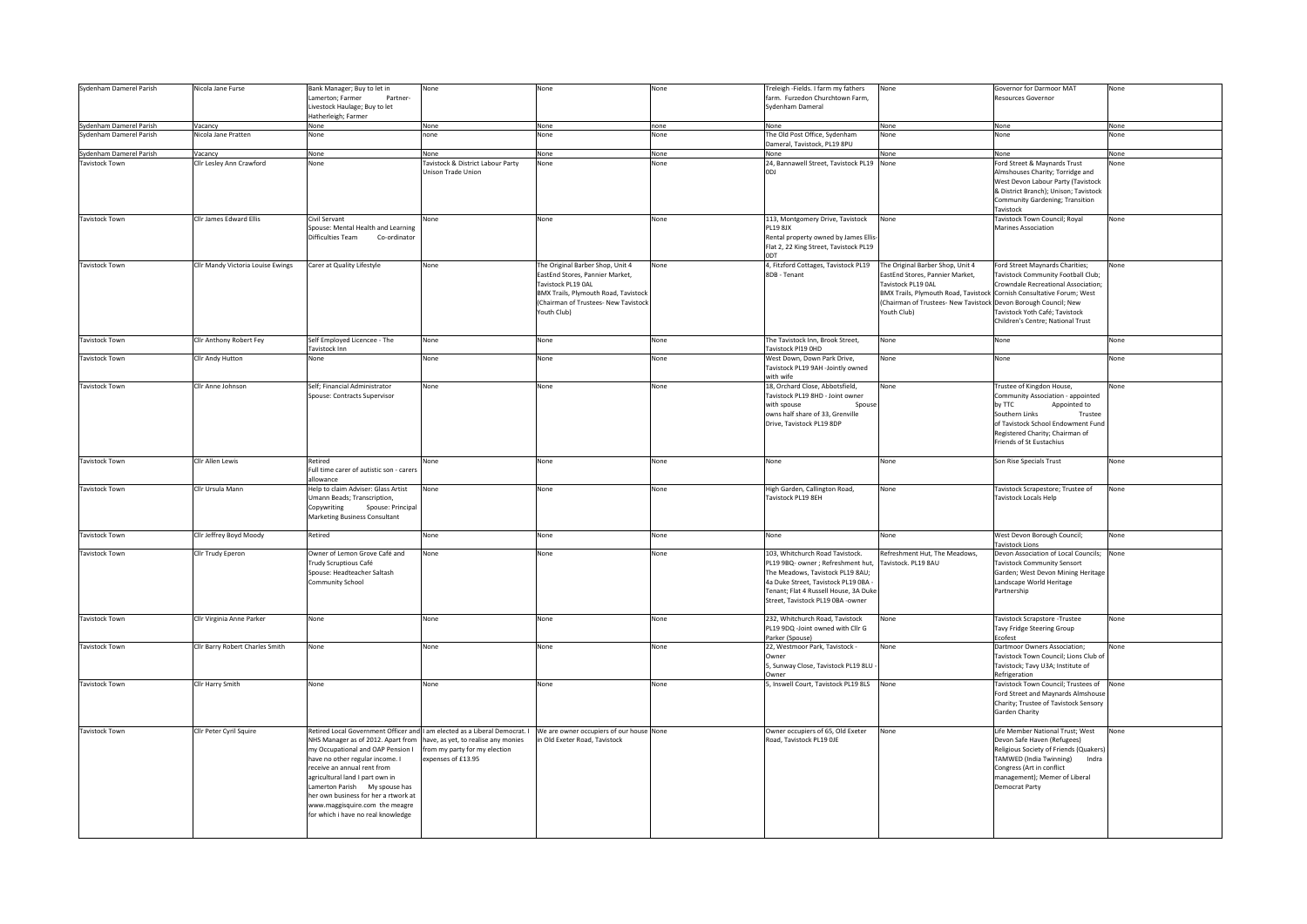| Sydenham Damerel Parish | Nicola Jane Furse                 | Bank Manager; Buy to let in                                            | None                              | None                                                                                                                    | None | Treleigh -Fields. I farm my fathers                 | None                                                                  | Governor for Darmoor MAT                                          | None |
|-------------------------|-----------------------------------|------------------------------------------------------------------------|-----------------------------------|-------------------------------------------------------------------------------------------------------------------------|------|-----------------------------------------------------|-----------------------------------------------------------------------|-------------------------------------------------------------------|------|
|                         |                                   | Lamerton; Farmer<br>Partner                                            |                                   |                                                                                                                         |      | farm. Furzedon Churchtown Farm,                     |                                                                       | <b>Resources Governor</b>                                         |      |
|                         |                                   | Livestock Haulage; Buy to let                                          |                                   |                                                                                                                         |      | Sydenham Dameral                                    |                                                                       |                                                                   |      |
|                         |                                   | Hatherleigh; Farmer                                                    |                                   |                                                                                                                         |      |                                                     |                                                                       |                                                                   |      |
| Sydenham Damerel Parish | Vacancy                           | None                                                                   | None                              | None                                                                                                                    | none | None                                                | None                                                                  | None                                                              | None |
| Sydenham Damerel Parish | Nicola Jane Pratten               | None                                                                   | one                               | None                                                                                                                    | None | The Old Post Office, Sydenham                       | None                                                                  | None                                                              | None |
|                         |                                   |                                                                        |                                   |                                                                                                                         |      | Dameral, Tavistock, PL19 8PU                        |                                                                       |                                                                   |      |
| Sydenham Damerel Parish | Vacancy                           | None                                                                   | None                              | None                                                                                                                    | None | None                                                | None                                                                  | None                                                              | None |
| Tavistock Town          | Clir Lesley Ann Crawford          | None                                                                   | Tavistock & District Labour Party | None                                                                                                                    | None | 24, Bannawell Street, Tavistock PL19 None           |                                                                       | Ford Street & Maynards Trust                                      | None |
|                         |                                   |                                                                        | Unison Trade Union                |                                                                                                                         |      | LOD                                                 |                                                                       | Almshouses Charity; Torridge and                                  |      |
|                         |                                   |                                                                        |                                   |                                                                                                                         |      |                                                     |                                                                       | West Devon Labour Party (Tavistock                                |      |
|                         |                                   |                                                                        |                                   |                                                                                                                         |      |                                                     |                                                                       | & District Branch); Unison; Tavistock                             |      |
|                         |                                   |                                                                        |                                   |                                                                                                                         |      |                                                     |                                                                       | Community Gardening; Transition                                   |      |
|                         |                                   |                                                                        |                                   |                                                                                                                         |      |                                                     |                                                                       | Tavistock                                                         |      |
| Tavistock Town          | Cllr James Edward Ellis           | Civil Servant                                                          | None                              | None                                                                                                                    | None | 113, Montgomery Drive, Tavistock                    | None                                                                  | Tavistock Town Council; Royal                                     | None |
|                         |                                   | Spouse: Mental Health and Learning                                     |                                   |                                                                                                                         |      | <b>PL19 8JX</b>                                     |                                                                       | Marines Association                                               |      |
|                         |                                   | Difficulties Team<br>Co-ordinator                                      |                                   |                                                                                                                         |      | Rental property owned by James Ellis-               |                                                                       |                                                                   |      |
|                         |                                   |                                                                        |                                   |                                                                                                                         |      | Flat 2, 22 King Street, Tavistock PL19              |                                                                       |                                                                   |      |
|                         |                                   |                                                                        |                                   |                                                                                                                         |      | <b>ODT</b>                                          |                                                                       |                                                                   |      |
| <b>Tavistock Town</b>   | Cllr Mandy Victoria Louise Ewings | Carer at Quality Lifestyle                                             | None                              | The Original Barber Shop, Unit 4                                                                                        | None | 4, Fitzford Cottages, Tavistock PL19                | The Original Barber Shop, Unit 4                                      | Ford Street Maynards Charities;                                   | None |
|                         |                                   |                                                                        |                                   | EastEnd Stores, Pannier Market,                                                                                         |      | 8DB - Tenant                                        | EastEnd Stores, Pannier Market,                                       | Tavistock Community Football Club;                                |      |
|                         |                                   |                                                                        |                                   | Tavistock PL19 OAL                                                                                                      |      |                                                     | Tavistock PL19 0AL                                                    | Crowndale Recreational Association;                               |      |
|                         |                                   |                                                                        |                                   | <b>BMX Trails, Plymouth Road, Tavistock</b>                                                                             |      |                                                     | BMX Trails, Plymouth Road, Tavistock Cornish Consultative Forum; West |                                                                   |      |
|                         |                                   |                                                                        |                                   | (Chairman of Trustees- New Tavistock                                                                                    |      |                                                     | (Chairman of Trustees- New Tavistock Devon Borough Council; New       |                                                                   |      |
|                         |                                   |                                                                        |                                   | Youth Club)                                                                                                             |      |                                                     | Youth Club)                                                           | Tavistock Yoth Café; Tavistock                                    |      |
|                         |                                   |                                                                        |                                   |                                                                                                                         |      |                                                     |                                                                       | Children's Centre; National Trust                                 |      |
|                         |                                   |                                                                        |                                   |                                                                                                                         |      |                                                     |                                                                       |                                                                   |      |
| Tavistock Town          | Clir Anthony Robert Fey           | Self Employed Licencee - The                                           | None                              | None                                                                                                                    | None | The Tavistock Inn, Brook Street,                    | None                                                                  | None                                                              | None |
|                         |                                   | Tavistock Inn                                                          |                                   |                                                                                                                         |      | Tavistock PI19 OHD                                  |                                                                       |                                                                   |      |
| <b>Tavistock Town</b>   | Cllr Andy Hutton                  | None                                                                   | None                              | None                                                                                                                    | None | West Down, Down Park Drive,                         | None                                                                  | None                                                              | None |
|                         |                                   |                                                                        |                                   |                                                                                                                         |      | Tavistock PL19 9AH -Jointly owned                   |                                                                       |                                                                   |      |
|                         |                                   |                                                                        |                                   |                                                                                                                         |      | with wife                                           |                                                                       |                                                                   |      |
| <b>Tavistock Town</b>   | Cllr Anne Johnson                 | Self; Financial Administrator                                          | None                              | None                                                                                                                    | None | 18, Orchard Close, Abbotsfield,                     | None                                                                  | Trustee of Kingdon House,                                         | None |
|                         |                                   | Spouse: Contracts Supervisor                                           |                                   |                                                                                                                         |      | Tavistock PL19 8HD - Joint owner                    |                                                                       | Community Association - appointed                                 |      |
|                         |                                   |                                                                        |                                   |                                                                                                                         |      | with spouse<br>Spou:                                |                                                                       | by TTC<br>Appointed to                                            |      |
|                         |                                   |                                                                        |                                   |                                                                                                                         |      | owns half share of 33, Grenville                    |                                                                       | Southern Links<br>Trustee                                         |      |
|                         |                                   |                                                                        |                                   |                                                                                                                         |      | Drive, Tavistock PL19 8DP                           |                                                                       | of Tavistock School Endowment Fund                                |      |
|                         |                                   |                                                                        |                                   |                                                                                                                         |      |                                                     |                                                                       |                                                                   |      |
|                         |                                   |                                                                        |                                   |                                                                                                                         |      |                                                     |                                                                       | Registered Charity; Chairman of                                   |      |
|                         |                                   |                                                                        |                                   |                                                                                                                         |      |                                                     |                                                                       | Friends of St Eustachius                                          |      |
|                         |                                   |                                                                        |                                   |                                                                                                                         |      |                                                     |                                                                       |                                                                   |      |
| Tavistock Town          | Cllr Allen Lewis                  | Retired                                                                | None                              | None                                                                                                                    | None | None                                                | None                                                                  | Son Rise Specials Trust                                           | None |
|                         |                                   | Full time carer of autistic son - carers                               |                                   |                                                                                                                         |      |                                                     |                                                                       |                                                                   |      |
|                         |                                   | allowance                                                              |                                   |                                                                                                                         |      |                                                     |                                                                       |                                                                   |      |
| Tavistock Town          | Clir Ursula Mann                  | Help to claim Adviser: Glass Artist                                    | None                              | None                                                                                                                    | None | High Garden, Callington Road,<br>Tavistock PL19 8EH | None                                                                  | Tavistock Scrapestore; Trustee of<br><b>Tavistock Locals Help</b> | None |
|                         |                                   | Umann Beads; Transcription,                                            |                                   |                                                                                                                         |      |                                                     |                                                                       |                                                                   |      |
|                         |                                   | Copywriting<br>Spouse: Principal                                       |                                   |                                                                                                                         |      |                                                     |                                                                       |                                                                   |      |
|                         |                                   | Marketing Business Consultant                                          |                                   |                                                                                                                         |      |                                                     |                                                                       |                                                                   |      |
|                         |                                   |                                                                        |                                   |                                                                                                                         |      |                                                     |                                                                       |                                                                   |      |
| <b>Tavistock Town</b>   | Cllr Jeffrey Boyd Moody           | Retired                                                                | None                              | None                                                                                                                    | None | None                                                | None                                                                  | West Devon Borough Council;                                       | None |
|                         |                                   |                                                                        |                                   |                                                                                                                         |      |                                                     |                                                                       | <b>Tavistock Lions</b>                                            |      |
| Tavistock Town          | Clir Trudy Eperon                 | Owner of Lemon Grove Café and                                          | None                              | None                                                                                                                    | None | 103, Whitchurch Road Tavistock.                     | Refreshment Hut, The Meadows,                                         | Devon Association of Local Councils; None                         |      |
|                         |                                   | Trudy Scruptious Café                                                  |                                   |                                                                                                                         |      | PL19 9BQ- owner ; Refreshment hut,                  | Tavistock. PL19 8AU                                                   | <b>Tavistock Community Sensort</b>                                |      |
|                         |                                   | Spouse: Headteacher Saltash                                            |                                   |                                                                                                                         |      | The Meadows, Tavistock PL19 8AU;                    |                                                                       | Garden; West Devon Mining Heritage                                |      |
|                         |                                   | Community School                                                       |                                   |                                                                                                                         |      | 4a Duke Street, Tavistock PL19 OBA -                |                                                                       | Landscape World Heritage                                          |      |
|                         |                                   |                                                                        |                                   |                                                                                                                         |      | Tenant; Flat 4 Russell House, 3A Duke               |                                                                       | Partnership                                                       |      |
|                         |                                   |                                                                        |                                   |                                                                                                                         |      | Street, Tavistock PL19 0BA -owner                   |                                                                       |                                                                   |      |
|                         |                                   | None                                                                   | None                              | None                                                                                                                    | None |                                                     |                                                                       | Tavistock Scrapstore - Trustee                                    | None |
| <b>Tavistock Town</b>   | Cllr Virginia Anne Parker         |                                                                        |                                   |                                                                                                                         |      | 232, Whitchurch Road, Tavistock                     | None                                                                  |                                                                   |      |
|                         |                                   |                                                                        |                                   |                                                                                                                         |      | PL19 9DQ -Joint owned with Cllr G                   |                                                                       | Tavy Fridge Steering Group                                        |      |
| <b>Tavistock Town</b>   |                                   |                                                                        |                                   | None                                                                                                                    |      | Parker (Spouse)                                     |                                                                       | Ecofest<br>Dartmoor Owners Association:                           |      |
|                         | Cllr Barry Robert Charles Smith   | None                                                                   | None                              |                                                                                                                         | None | 22, Westmoor Park, Tavistock -                      | None                                                                  |                                                                   | None |
|                         |                                   |                                                                        |                                   |                                                                                                                         |      | Owner                                               |                                                                       | Tavistock Town Council; Lions Club of                             |      |
|                         |                                   |                                                                        |                                   |                                                                                                                         |      | 5, Sunway Close, Tavistock PL19 8LU<br>Owner        |                                                                       | Tavistock; Tavy U3A; Institute of<br>Refrigeration                |      |
|                         |                                   |                                                                        |                                   |                                                                                                                         |      |                                                     |                                                                       |                                                                   |      |
| Tavistock Town          | Cllr Harry Smith                  | None                                                                   | None                              | None                                                                                                                    | None | 5, Inswell Court, Tavistock PL19 8LS None           |                                                                       | Tavistock Town Council; Trustees of                               | None |
|                         |                                   |                                                                        |                                   |                                                                                                                         |      |                                                     |                                                                       | Ford Street and Maynards Almshouse                                |      |
|                         |                                   |                                                                        |                                   |                                                                                                                         |      |                                                     |                                                                       | Charity; Trustee of Tavistock Sensory                             |      |
|                         |                                   |                                                                        |                                   |                                                                                                                         |      |                                                     |                                                                       | Garden Charity                                                    |      |
|                         |                                   |                                                                        |                                   |                                                                                                                         |      |                                                     |                                                                       |                                                                   |      |
| <b>Tavistock Town</b>   | Cllr Peter Cyril Squire           |                                                                        |                                   | Retired Local Government Officer and I am elected as a Liberal Democrat. I   We are owner occupiers of our house   None |      | Owner occupiers of 65, Old Exeter                   | None                                                                  | Life Member National Trust; West                                  | None |
|                         |                                   | NHS Manager as of 2012. Apart from have, as yet, to realise any monies |                                   | n Old Exeter Road, Tavistock                                                                                            |      | Road, Tavistock PL19 OJE                            |                                                                       | Devon Safe Haven (Refugees)                                       |      |
|                         |                                   | my Occupational and OAP Pension I from my party for my election        |                                   |                                                                                                                         |      |                                                     |                                                                       | Religious Society of Friends (Quakers)                            |      |
|                         |                                   | have no other regular income. I                                        | expenses of £13.95                |                                                                                                                         |      |                                                     |                                                                       | TAMWED (India Twinning)<br>Indra                                  |      |
|                         |                                   | receive an annual rent from                                            |                                   |                                                                                                                         |      |                                                     |                                                                       | Congress (Art in conflict                                         |      |
|                         |                                   | agricultural land I part own in                                        |                                   |                                                                                                                         |      |                                                     |                                                                       | management); Memer of Liberal                                     |      |
|                         |                                   | Lamerton Parish My spouse has                                          |                                   |                                                                                                                         |      |                                                     |                                                                       | Democrat Party                                                    |      |
|                         |                                   | her own business for her a rtwork at                                   |                                   |                                                                                                                         |      |                                                     |                                                                       |                                                                   |      |
|                         |                                   | www.maggisquire.com the meagre                                         |                                   |                                                                                                                         |      |                                                     |                                                                       |                                                                   |      |
|                         |                                   | for which i have no real knowledge                                     |                                   |                                                                                                                         |      |                                                     |                                                                       |                                                                   |      |
|                         |                                   |                                                                        |                                   |                                                                                                                         |      |                                                     |                                                                       |                                                                   |      |
|                         |                                   |                                                                        |                                   |                                                                                                                         |      |                                                     |                                                                       |                                                                   |      |